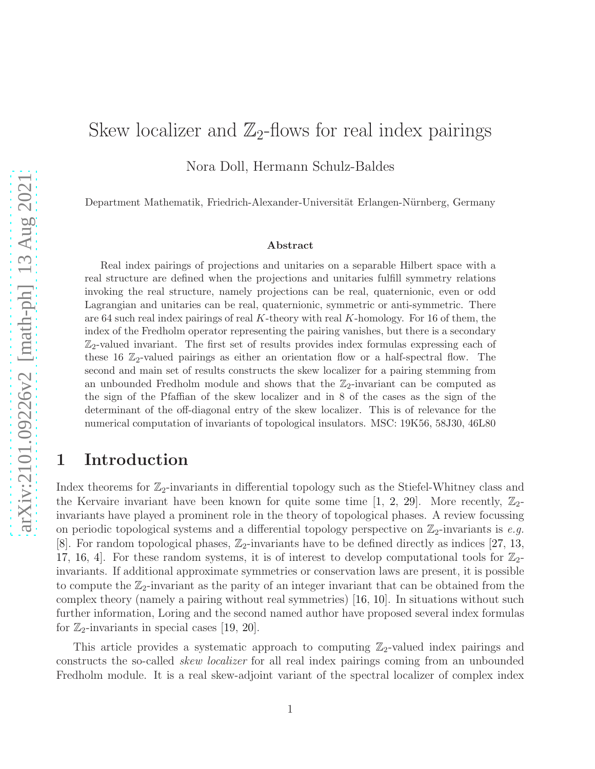# Skew localizer and  $\mathbb{Z}_2$ -flows for real index pairings

Nora Doll, Hermann Schulz-Baldes

Department Mathematik, Friedrich-Alexander-Universität Erlangen-Nürnberg, Germany

#### Abstract

Real index pairings of projections and unitaries on a separable Hilbert space with a real structure are defined when the projections and unitaries fulfill symmetry relations invoking the real structure, namely projections can be real, quaternionic, even or odd Lagrangian and unitaries can be real, quaternionic, symmetric or anti-symmetric. There are 64 such real index pairings of real K-theory with real K-homology. For 16 of them, the index of the Fredholm operator representing the pairing vanishes, but there is a secondary  $\mathbb{Z}_2$ -valued invariant. The first set of results provides index formulas expressing each of these 16  $\mathbb{Z}_2$ -valued pairings as either an orientation flow or a half-spectral flow. The second and main set of results constructs the skew localizer for a pairing stemming from an unbounded Fredholm module and shows that the  $\mathbb{Z}_2$ -invariant can be computed as the sign of the Pfaffian of the skew localizer and in 8 of the cases as the sign of the determinant of the off-diagonal entry of the skew localizer. This is of relevance for the numerical computation of invariants of topological insulators. MSC: 19K56, 58J30, 46L80

## 1 Introduction

Index theorems for  $\mathbb{Z}_2$ -invariants in differential topology such as the Stiefel-Whitney class and the Kervaire invariant have been known for quite some time [\[1,](#page-36-0) [2,](#page-36-1) [29\]](#page-37-0). More recently,  $\mathbb{Z}_2$ invariants have played a prominent role in the theory of topological phases. A review focussing on periodic topological systems and a differential topology perspective on  $\mathbb{Z}_2$ -invariants is *e.g.* [\[8\]](#page-36-2). For random topological phases,  $\mathbb{Z}_2$ -invariants have to be defined directly as indices [\[27,](#page-37-1) [13,](#page-36-3) [17,](#page-36-4) [16,](#page-36-5) 4. For these random systems, it is of interest to develop computational tools for  $\mathbb{Z}_2$ invariants. If additional approximate symmetries or conservation laws are present, it is possible to compute the  $\mathbb{Z}_2$ -invariant as the parity of an integer invariant that can be obtained from the complex theory (namely a pairing without real symmetries) [\[16,](#page-36-5) [10\]](#page-36-7). In situations without such further information, Loring and the second named author have proposed several index formulas for  $\mathbb{Z}_2$ -invariants in special cases [\[19,](#page-37-2) [20\]](#page-37-3).

This article provides a systematic approach to computing  $\mathbb{Z}_2$ -valued index pairings and constructs the so-called *skew localizer* for all real index pairings coming from an unbounded Fredholm module. It is a real skew-adjoint variant of the spectral localizer of complex index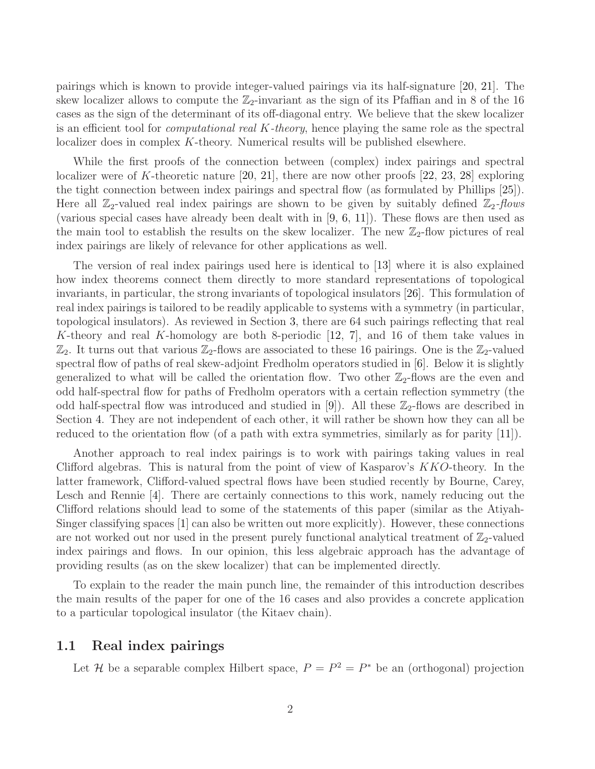pairings which is known to provide integer-valued pairings via its half-signature [\[20,](#page-37-3) [21\]](#page-37-4). The skew localizer allows to compute the  $\mathbb{Z}_2$ -invariant as the sign of its Pfaffian and in 8 of the 16 cases as the sign of the determinant of its off-diagonal entry. We believe that the skew localizer is an efficient tool for *computational real* K*-theory*, hence playing the same role as the spectral localizer does in complex K-theory. Numerical results will be published elsewhere.

While the first proofs of the connection between (complex) index pairings and spectral localizer were of K-theoretic nature [\[20,](#page-37-3) [21\]](#page-37-4), there are now other proofs [\[22,](#page-37-5) [23,](#page-37-6) [28\]](#page-37-7) exploring the tight connection between index pairings and spectral flow (as formulated by Phillips [\[25\]](#page-37-8)). Here all  $\mathbb{Z}_2$ -valued real index pairings are shown to be given by suitably defined  $\mathbb{Z}_2$ -flows (various special cases have already been dealt with in [\[9,](#page-36-8) [6,](#page-36-9) [11\]](#page-36-10)). These flows are then used as the main tool to establish the results on the skew localizer. The new  $\mathbb{Z}_2$ -flow pictures of real index pairings are likely of relevance for other applications as well.

The version of real index pairings used here is identical to [\[13\]](#page-36-3) where it is also explained how index theorems connect them directly to more standard representations of topological invariants, in particular, the strong invariants of topological insulators [\[26\]](#page-37-9). This formulation of real index pairings is tailored to be readily applicable to systems with a symmetry (in particular, topological insulators). As reviewed in Section [3,](#page-8-0) there are 64 such pairings reflecting that real K-theory and real K-homology are both 8-periodic [\[12,](#page-36-11) [7\]](#page-36-12), and 16 of them take values in  $\mathbb{Z}_2$ . It turns out that various  $\mathbb{Z}_2$ -flows are associated to these 16 pairings. One is the  $\mathbb{Z}_2$ -valued spectral flow of paths of real skew-adjoint Fredholm operators studied in [\[6\]](#page-36-9). Below it is slightly generalized to what will be called the orientation flow. Two other  $\mathbb{Z}_2$ -flows are the even and odd half-spectral flow for paths of Fredholm operators with a certain reflection symmetry (the odd half-spectral flow was introduced and studied in [\[9\]](#page-36-8)). All these  $\mathbb{Z}_2$ -flows are described in Section [4.](#page-11-0) They are not independent of each other, it will rather be shown how they can all be reduced to the orientation flow (of a path with extra symmetries, similarly as for parity [\[11\]](#page-36-10)).

Another approach to real index pairings is to work with pairings taking values in real Clifford algebras. This is natural from the point of view of Kasparov's KKO-theory. In the latter framework, Clifford-valued spectral flows have been studied recently by Bourne, Carey, Lesch and Rennie [\[4\]](#page-36-6). There are certainly connections to this work, namely reducing out the Clifford relations should lead to some of the statements of this paper (similar as the Atiyah-Singer classifying spaces [\[1\]](#page-36-0) can also be written out more explicitly). However, these connections are not worked out nor used in the present purely functional analytical treatment of  $\mathbb{Z}_2$ -valued index pairings and flows. In our opinion, this less algebraic approach has the advantage of providing results (as on the skew localizer) that can be implemented directly.

To explain to the reader the main punch line, the remainder of this introduction describes the main results of the paper for one of the 16 cases and also provides a concrete application to a particular topological insulator (the Kitaev chain).

#### <span id="page-1-0"></span>1.1 Real index pairings

Let *H* be a separable complex Hilbert space,  $P = P^2 = P^*$  be an (orthogonal) projection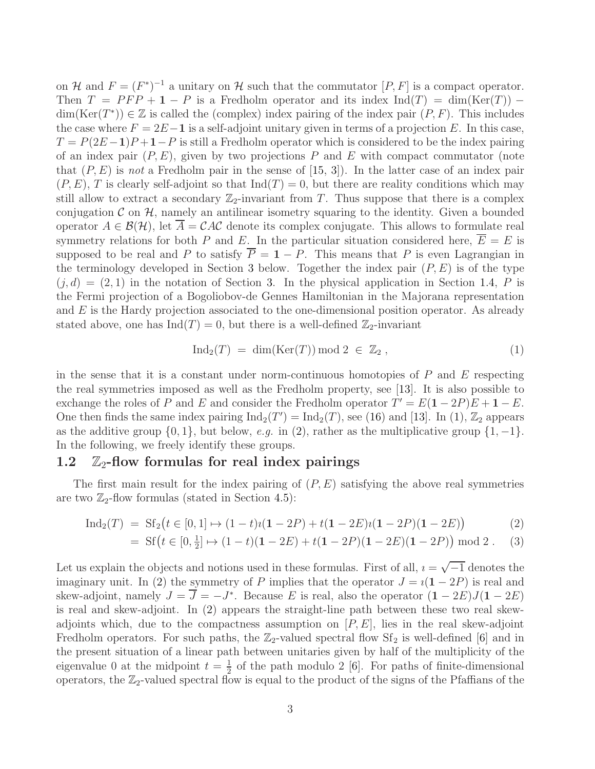on H and  $F = (F^*)^{-1}$  a unitary on H such that the commutator  $[P, F]$  is a compact operator. Then  $T = PFP + 1 - P$  is a Fredholm operator and its index Ind(T) = dim(Ker(T)) –  $dim(Ker(T^*)) \in \mathbb{Z}$  is called the (complex) index pairing of the index pair  $(P, F)$ . This includes the case where  $F = 2E - 1$  is a self-adjoint unitary given in terms of a projection E. In this case,  $T = P(2E-1)P + 1 - P$  is still a Fredholm operator which is considered to be the index pairing of an index pair  $(P, E)$ , given by two projections P and E with compact commutator (note that  $(P, E)$  is *not* a Fredholm pair in the sense of  $[15, 3]$  $[15, 3]$ . In the latter case of an index pair  $(P, E), T$  is clearly self-adjoint so that  $\text{Ind}(T) = 0$ , but there are reality conditions which may still allow to extract a secondary  $\mathbb{Z}_2$ -invariant from T. Thus suppose that there is a complex conjugation  $\mathcal C$  on  $\mathcal H$ , namely an antilinear isometry squaring to the identity. Given a bounded operator  $A \in \mathcal{B}(\mathcal{H})$ , let  $\overline{A} = \mathcal{C}A\mathcal{C}$  denote its complex conjugate. This allows to formulate real symmetry relations for both P and E. In the particular situation considered here,  $\overline{E} = E$  is supposed to be real and P to satisfy  $\overline{P} = 1 - P$ . This means that P is even Lagrangian in the terminology developed in Section [3](#page-8-0) below. Together the index pair  $(P, E)$  is of the type  $(j, d) = (2, 1)$  in the notation of Section [3.](#page-8-0) In the physical application in Section [1.4,](#page-4-0) P is the Fermi projection of a Bogoliobov-de Gennes Hamiltonian in the Majorana representation and E is the Hardy projection associated to the one-dimensional position operator. As already stated above, one has  $\text{Ind}(T) = 0$ , but there is a well-defined  $\mathbb{Z}_2$ -invariant

<span id="page-2-2"></span><span id="page-2-1"></span><span id="page-2-0"></span>
$$
Ind_2(T) = dim(Ker(T)) mod 2 \in \mathbb{Z}_2 , \qquad (1)
$$

in the sense that it is a constant under norm-continuous homotopies of  $P$  and  $E$  respecting the real symmetries imposed as well as the Fredholm property, see [\[13\]](#page-36-3). It is also possible to exchange the roles of P and E and consider the Fredholm operator  $T' = E(1 - 2P)E + 1 - E$ . One then finds the same index pairing  $\text{Ind}_2(T') = \text{Ind}_2(T)$ , see [\(16\)](#page-9-0) and [\[13\]](#page-36-3). In [\(1\)](#page-2-0),  $\mathbb{Z}_2$  appears as the additive group  $\{0, 1\}$ , but below, *e.g.* in [\(2\)](#page-2-1), rather as the multiplicative group  $\{1, -1\}$ . In the following, we freely identify these groups.

#### 1.2  $\mathbb{Z}_2$ -flow formulas for real index pairings

The first main result for the index pairing of  $(P, E)$  satisfying the above real symmetries are two  $\mathbb{Z}_2$ -flow formulas (stated in Section [4.5\)](#page-18-0):

$$
Ind_2(T) = Sf_2(t \in [0,1] \mapsto (1-t)i(1-2P) + t(1-2E)i(1-2P)(1-2E))
$$
\n(2)

= 
$$
\text{Sf}(t \in [0, \frac{1}{2}] \mapsto (1-t)(1-2E) + t(1-2P)(1-2E)(1-2P) \mod 2
$$
. (3)

Let us explain the objects and notions used in these formulas. First of all,  $i = \sqrt{-1}$  denotes the imaginary unit. In [\(2\)](#page-2-1) the symmetry of P implies that the operator  $J = i(1 - 2P)$  is real and skew-adjoint, namely  $J = \overline{J} = -J^*$ . Because E is real, also the operator  $(1 - 2E)J(1 - 2E)$ is real and skew-adjoint. In [\(2\)](#page-2-1) appears the straight-line path between these two real skewadjoints which, due to the compactness assumption on  $[P, E]$ , lies in the real skew-adjoint Fredholm operators. For such paths, the  $\mathbb{Z}_2$ -valued spectral flow Sf<sub>2</sub> is well-defined [\[6\]](#page-36-9) and in the present situation of a linear path between unitaries given by half of the multiplicity of the eigenvalue 0 at the midpoint  $t=\frac{1}{2}$  $\frac{1}{2}$  of the path modulo 2 [\[6\]](#page-36-9). For paths of finite-dimensional operators, the  $\mathbb{Z}_2$ -valued spectral flow is equal to the product of the signs of the Pfaffians of the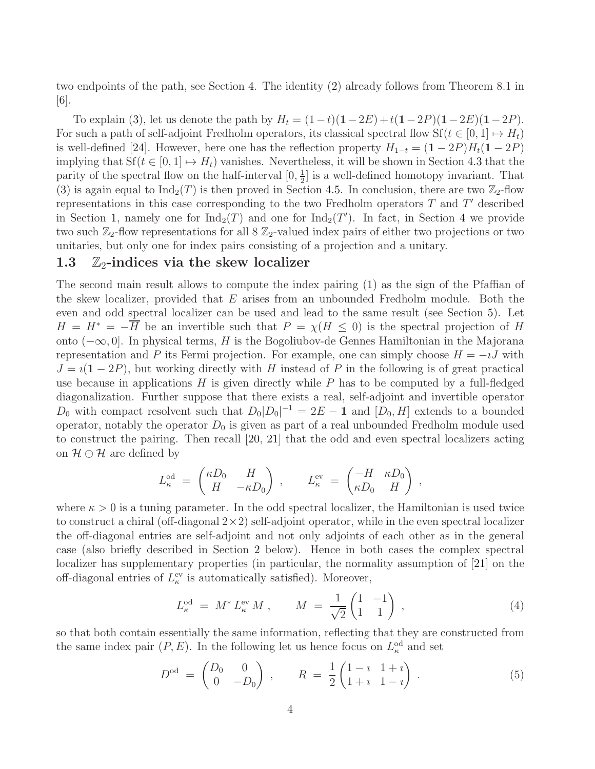two endpoints of the path, see Section [4.](#page-11-0) The identity [\(2\)](#page-2-1) already follows from Theorem 8.1 in [\[6\]](#page-36-9).

To explain [\(3\)](#page-2-2), let us denote the path by  $H_t = (1-t)(1-2E) + t(1-2P)(1-2E)(1-2P)$ . For such a path of self-adjoint Fredholm operators, its classical spectral flow  $Sf(t \in [0, 1] \mapsto H_t)$ is well-defined [\[24\]](#page-37-10). However, here one has the reflection property  $H_{1-t} = (1 - 2P)H_t(1 - 2P)$ implying that  $Sf(t \in [0, 1] \mapsto H_t)$  vanishes. Nevertheless, it will be shown in Section [4.3](#page-13-0) that the parity of the spectral flow on the half-interval  $[0, \frac{1}{2}]$  $\frac{1}{2}$  is a well-defined homotopy invariant. That [\(3\)](#page-2-2) is again equal to  $\text{Ind}_2(T)$  is then proved in Section [4.5.](#page-18-0) In conclusion, there are two  $\mathbb{Z}_2$ -flow representations in this case corresponding to the two Fredholm operators  $T$  and  $T'$  described in Section [1,](#page-1-0) namely one for  $\text{Ind}_2(T)$  and one for  $\text{Ind}_2(T')$ . In fact, in Section [4](#page-11-0) we provide two such  $\mathbb{Z}_2$ -flow representations for all  $8 \mathbb{Z}_2$ -valued index pairs of either two projections or two unitaries, but only one for index pairs consisting of a projection and a unitary.

#### 1.3  $\mathbb{Z}_2$ -indices via the skew localizer

The second main result allows to compute the index pairing [\(1\)](#page-2-0) as the sign of the Pfaffian of the skew localizer, provided that  $E$  arises from an unbounded Fredholm module. Both the even and odd spectral localizer can be used and lead to the same result (see Section [5\)](#page-20-0). Let  $H = H^* = -\overline{H}$  be an invertible such that  $P = \chi(H \leq 0)$  is the spectral projection of H onto (−∞, 0]. In physical terms, H is the Bogoliubov-de Gennes Hamiltonian in the Majorana representation and P its Fermi projection. For example, one can simply choose  $H = -iJ$  with  $J = i(1 - 2P)$ , but working directly with H instead of P in the following is of great practical use because in applications  $H$  is given directly while  $P$  has to be computed by a full-fledged diagonalization. Further suppose that there exists a real, self-adjoint and invertible operator  $D_0$  with compact resolvent such that  $D_0|D_0|^{-1} = 2E - 1$  and  $[D_0, H]$  extends to a bounded operator, notably the operator  $D_0$  is given as part of a real unbounded Fredholm module used to construct the pairing. Then recall [\[20,](#page-37-3) [21\]](#page-37-4) that the odd and even spectral localizers acting on  $\mathcal{H} \oplus \mathcal{H}$  are defined by

$$
L_{\kappa}^{\text{od}} \; = \; \begin{pmatrix} \kappa D_0 & H \\ H & -\kappa D_0 \end{pmatrix} \; , \qquad L_{\kappa}^{\text{ev}} \; = \; \begin{pmatrix} -H & \kappa D_0 \\ \kappa D_0 & H \end{pmatrix} \; ,
$$

where  $\kappa > 0$  is a tuning parameter. In the odd spectral localizer, the Hamiltonian is used twice to construct a chiral (off-diagonal  $2\times 2$ ) self-adjoint operator, while in the even spectral localizer the off-diagonal entries are self-adjoint and not only adjoints of each other as in the general case (also briefly described in Section [2](#page-5-0) below). Hence in both cases the complex spectral localizer has supplementary properties (in particular, the normality assumption of [\[21\]](#page-37-4) on the off-diagonal entries of  $L_{\kappa}^{\text{ev}}$  is automatically satisfied). Moreover,

<span id="page-3-1"></span>
$$
L_{\kappa}^{\text{od}} = M^* L_{\kappa}^{\text{ev}} M , \qquad M = \frac{1}{\sqrt{2}} \begin{pmatrix} 1 & -1 \\ 1 & 1 \end{pmatrix} , \tag{4}
$$

so that both contain essentially the same information, reflecting that they are constructed from the same index pair  $(P, E)$ . In the following let us hence focus on  $L_{\kappa}^{\text{od}}$  and set

<span id="page-3-0"></span>
$$
Dod = \begin{pmatrix} D_0 & 0 \\ 0 & -D_0 \end{pmatrix}, \qquad R = \frac{1}{2} \begin{pmatrix} 1-i & 1+i \\ 1+i & 1-i \end{pmatrix}.
$$
 (5)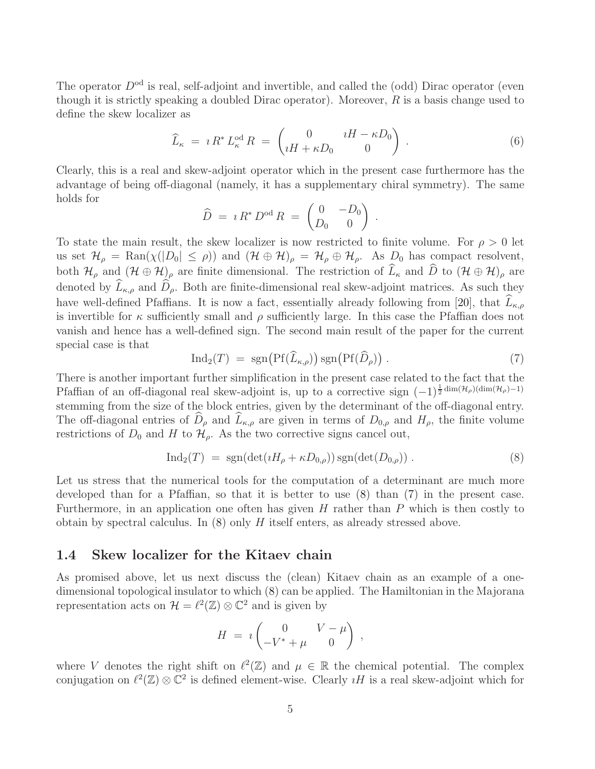The operator  $D^{od}$  is real, self-adjoint and invertible, and called the (odd) Dirac operator (even though it is strictly speaking a doubled Dirac operator). Moreover,  $R$  is a basis change used to define the skew localizer as

<span id="page-4-3"></span>
$$
\widehat{L}_{\kappa} = i R^* L_{\kappa}^{\text{od}} R = \begin{pmatrix} 0 & iH - \kappa D_0 \\ iH + \kappa D_0 & 0 \end{pmatrix} . \tag{6}
$$

Clearly, this is a real and skew-adjoint operator which in the present case furthermore has the advantage of being off-diagonal (namely, it has a supplementary chiral symmetry). The same holds for

$$
\widehat{D} = i R^* D^{\text{od}} R = \begin{pmatrix} 0 & -D_0 \\ D_0 & 0 \end{pmatrix}.
$$

To state the main result, the skew localizer is now restricted to finite volume. For  $\rho > 0$  let us set  $\mathcal{H}_{\rho} = \text{Ran}(\chi(|D_0| \le \rho))$  and  $(\mathcal{H} \oplus \mathcal{H})_{\rho} = \mathcal{H}_{\rho} \oplus \mathcal{H}_{\rho}$ . As  $D_0$  has compact resolvent, both  $\mathcal{H}_{\rho}$  and  $(\mathcal{H} \oplus \mathcal{H})_{\rho}$  are finite dimensional. The restriction of  $\widehat{L}_{\kappa}$  and  $\widehat{D}$  to  $(\mathcal{H} \oplus \mathcal{H})_{\rho}$  are denoted by  $\widehat{L}_{\kappa,\rho}$  and  $\widehat{D}_{\rho}$ . Both are finite-dimensional real skew-adjoint matrices. As such they have well-defined Pfaffians. It is now a fact, essentially already following from [\[20\]](#page-37-3), that  $L_{\kappa,\rho}$ is invertible for  $\kappa$  sufficiently small and  $\rho$  sufficiently large. In this case the Pfaffian does not vanish and hence has a well-defined sign. The second main result of the paper for the current special case is that

<span id="page-4-2"></span>
$$
\mathrm{Ind}_2(T) = \mathrm{sgn}\big(\mathrm{Pf}(\widehat{L}_{\kappa,\rho})\big)\,\mathrm{sgn}\big(\mathrm{Pf}(\widehat{D}_{\rho})\big) \,. \tag{7}
$$

There is another important further simplification in the present case related to the fact that the Pfaffian of an off-diagonal real skew-adjoint is, up to a corrective sign  $(-1)^{\frac{1}{2} \dim(\mathcal{H}_{\rho})(\dim(\mathcal{H}_{\rho})-1)}$ stemming from the size of the block entries, given by the determinant of the off-diagonal entry. The off-diagonal entries of  $\widehat{D}_{\rho}$  and  $\widehat{L}_{\kappa,\rho}$  are given in terms of  $D_{0,\rho}$  and  $H_{\rho}$ , the finite volume restrictions of  $D_0$  and H to  $\mathcal{H}_{\rho}$ . As the two corrective signs cancel out,

<span id="page-4-1"></span>
$$
\text{Ind}_2(T) = \text{sgn}(\det(iH_\rho + \kappa D_{0,\rho})) \text{sgn}(\det(D_{0,\rho})) . \tag{8}
$$

Let us stress that the numerical tools for the computation of a determinant are much more developed than for a Pfaffian, so that it is better to use [\(8\)](#page-4-1) than [\(7\)](#page-4-2) in the present case. Furthermore, in an application one often has given  $H$  rather than  $P$  which is then costly to obtain by spectral calculus. In  $(8)$  only  $H$  itself enters, as already stressed above.

#### <span id="page-4-0"></span>1.4 Skew localizer for the Kitaev chain

As promised above, let us next discuss the (clean) Kitaev chain as an example of a onedimensional topological insulator to which [\(8\)](#page-4-1) can be applied. The Hamiltonian in the Majorana representation acts on  $\mathcal{H} = \ell^2(\mathbb{Z}) \otimes \mathbb{C}^2$  and is given by

$$
H = i \begin{pmatrix} 0 & V - \mu \\ -V^* + \mu & 0 \end{pmatrix} ,
$$

where V denotes the right shift on  $\ell^2(\mathbb{Z})$  and  $\mu \in \mathbb{R}$  the chemical potential. The complex conjugation on  $\ell^2(\mathbb{Z}) \otimes \mathbb{C}^2$  is defined element-wise. Clearly  $\iota H$  is a real skew-adjoint which for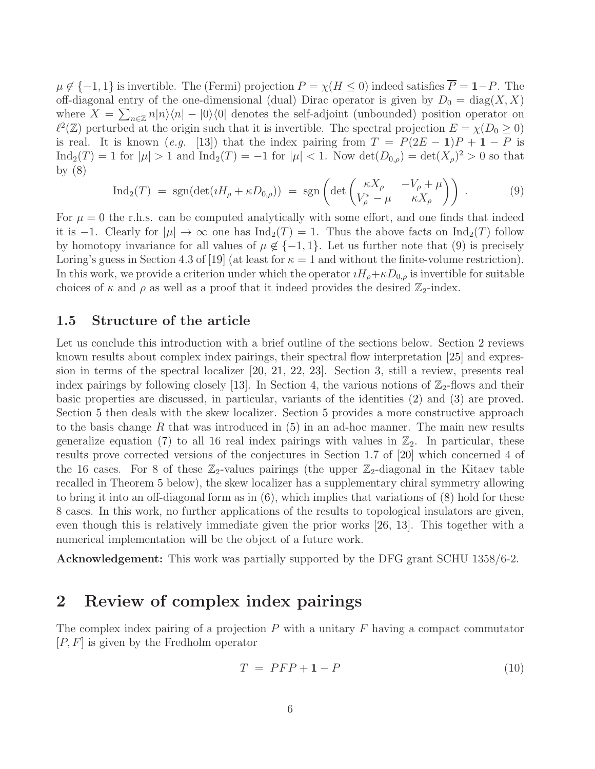$\mu \notin \{-1, 1\}$  is invertible. The (Fermi) projection  $P = \chi(H \leq 0)$  indeed satisfies  $\overline{P} = 1-P$ . The off-diagonal entry of the one-dimensional (dual) Dirac operator is given by  $D_0 = \text{diag}(X, X)$ where  $X = \sum_{n \in \mathbb{Z}} n|n\rangle\langle n| - |0\rangle\langle 0|$  denotes the self-adjoint (unbounded) position operator on  $\ell^2(\mathbb{Z})$  perturbed at the origin such that it is invertible. The spectral projection  $E = \chi(D_0 \ge 0)$ is real. It is known (*e.g.* [\[13\]](#page-36-3)) that the index pairing from  $T = P(2E - 1)P + 1 - P$  is  $\text{Ind}_2(T) = 1$  for  $|\mu| > 1$  and  $\text{Ind}_2(T) = -1$  for  $|\mu| < 1$ . Now  $\det(D_{0,\rho}) = \det(X_\rho)^2 > 0$  so that by  $(8)$ 

<span id="page-5-1"></span>
$$
\text{Ind}_2(T) = \text{sgn}(\det(\iota H_\rho + \kappa D_{0,\rho})) = \text{sgn}\left(\det\begin{pmatrix} \kappa X_\rho & -V_\rho + \mu \\ V_\rho^* - \mu & \kappa X_\rho \end{pmatrix}\right). \tag{9}
$$

For  $\mu = 0$  the r.h.s. can be computed analytically with some effort, and one finds that indeed it is −1. Clearly for  $|\mu| \to \infty$  one has  $\text{Ind}_2(T) = 1$ . Thus the above facts on  $\text{Ind}_2(T)$  follow by homotopy invariance for all values of  $\mu \notin \{-1,1\}$ . Let us further note that [\(9\)](#page-5-1) is precisely Loring's guess in Section 4.3 of [\[19\]](#page-37-2) (at least for  $\kappa = 1$  and without the finite-volume restriction). In this work, we provide a criterion under which the operator  $iH_{\rho}+\kappa D_{0,\rho}$  is invertible for suitable choices of  $\kappa$  and  $\rho$  as well as a proof that it indeed provides the desired  $\mathbb{Z}_2$ -index.

#### 1.5 Structure of the article

Let us conclude this introduction with a brief outline of the sections below. Section [2](#page-5-0) reviews known results about complex index pairings, their spectral flow interpretation [\[25\]](#page-37-8) and expression in terms of the spectral localizer [\[20,](#page-37-3) [21,](#page-37-4) [22,](#page-37-5) [23\]](#page-37-6). Section [3,](#page-8-0) still a review, presents real index pairings by following closely [\[13\]](#page-36-3). In Section [4,](#page-11-0) the various notions of  $\mathbb{Z}_2$ -flows and their basic properties are discussed, in particular, variants of the identities [\(2\)](#page-2-1) and [\(3\)](#page-2-2) are proved. Section [5](#page-20-0) then deals with the skew localizer. Section [5](#page-20-0) provides a more constructive approach to the basis change R that was introduced in  $(5)$  in an ad-hoc manner. The main new results generalize equation [\(7\)](#page-4-2) to all 16 real index pairings with values in  $\mathbb{Z}_2$ . In particular, these results prove corrected versions of the conjectures in Section 1.7 of [\[20\]](#page-37-3) which concerned 4 of the 16 cases. For 8 of these  $\mathbb{Z}_2$ -values pairings (the upper  $\mathbb{Z}_2$ -diagonal in the Kitaev table recalled in Theorem [5](#page-9-1) below), the skew localizer has a supplementary chiral symmetry allowing to bring it into an off-diagonal form as in [\(6\)](#page-4-3), which implies that variations of [\(8\)](#page-4-1) hold for these 8 cases. In this work, no further applications of the results to topological insulators are given, even though this is relatively immediate given the prior works [\[26,](#page-37-9) [13\]](#page-36-3). This together with a numerical implementation will be the object of a future work.

Acknowledgement: This work was partially supported by the DFG grant SCHU 1358/6-2.

## <span id="page-5-0"></span>2 Review of complex index pairings

The complex index pairing of a projection  $P$  with a unitary  $F$  having a compact commutator  $[P, F]$  is given by the Fredholm operator

<span id="page-5-2"></span>
$$
T = PFP + 1 - P \tag{10}
$$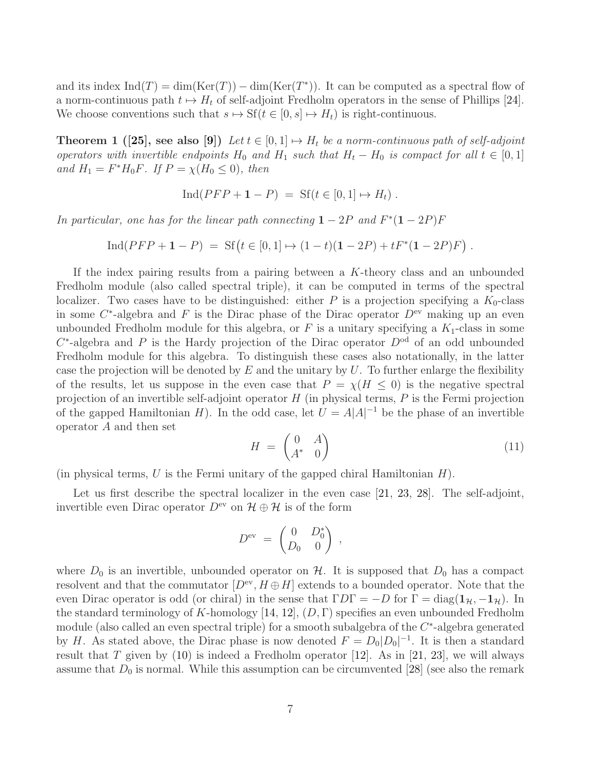and its index  $\text{Ind}(T) = \dim(\text{Ker}(T)) - \dim(\text{Ker}(T^*))$ . It can be computed as a spectral flow of a norm-continuous path  $t \mapsto H_t$  of self-adjoint Fredholm operators in the sense of Phillips [\[24\]](#page-37-10). We choose conventions such that  $s \mapsto \mathrm{Sf}(t \in [0, s] \mapsto H_t)$  is right-continuous.

<span id="page-6-0"></span>**Theorem 1 ([\[25\]](#page-37-8), see also [\[9\]](#page-36-8))** Let  $t \in [0, 1] \mapsto H_t$  be a norm-continuous path of self-adjoint *operators with invertible endpoints*  $H_0$  *and*  $H_1$  *such that*  $H_t - H_0$  *is compact for all*  $t \in [0, 1]$ *and*  $H_1 = F^*H_0F$ *. If*  $P = \chi(H_0 \le 0)$ *, then* 

$$
Ind( PFP + 1 - P) = Sf(t \in [0, 1] \mapsto H_t).
$$

*In particular, one has for the linear path connecting*  $1 - 2P$  *and*  $F^*(1 - 2P)F$ 

 $\text{Ind}(PFP + 1 - P) = \text{Sf}(t \in [0, 1] \mapsto (1 - t)(1 - 2P) + tF^*(1 - 2P)F)$ .

If the index pairing results from a pairing between a K-theory class and an unbounded Fredholm module (also called spectral triple), it can be computed in terms of the spectral localizer. Two cases have to be distinguished: either P is a projection specifying a  $K_0$ -class in some  $C^*$ -algebra and F is the Dirac phase of the Dirac operator  $D^{\text{ev}}$  making up an even unbounded Fredholm module for this algebra, or  $F$  is a unitary specifying a  $K_1$ -class in some  $C^*$ -algebra and P is the Hardy projection of the Dirac operator  $D^{od}$  of an odd unbounded Fredholm module for this algebra. To distinguish these cases also notationally, in the latter case the projection will be denoted by  $E$  and the unitary by  $U$ . To further enlarge the flexibility of the results, let us suppose in the even case that  $P = \chi(H \leq 0)$  is the negative spectral projection of an invertible self-adjoint operator  $H$  (in physical terms,  $P$  is the Fermi projection of the gapped Hamiltonian H). In the odd case, let  $U = A|A|^{-1}$  be the phase of an invertible operator A and then set

$$
H = \begin{pmatrix} 0 & A \\ A^* & 0 \end{pmatrix} \tag{11}
$$

(in physical terms,  $U$  is the Fermi unitary of the gapped chiral Hamiltonian  $H$ ).

Let us first describe the spectral localizer in the even case [\[21,](#page-37-4) [23,](#page-37-6) [28\]](#page-37-7). The self-adjoint, invertible even Dirac operator  $D^{\text{ev}}$  on  $\mathcal{H} \oplus \mathcal{H}$  is of the form

$$
D^{\text{ev}}\ =\ \begin{pmatrix}0 & D^*_0 \\ D_0 & 0\end{pmatrix}\ ,
$$

where  $D_0$  is an invertible, unbounded operator on H. It is supposed that  $D_0$  has a compact resolvent and that the commutator  $[D^{\text{ev}}, H \oplus H]$  extends to a bounded operator. Note that the even Dirac operator is odd (or chiral) in the sense that  $\Gamma D\Gamma = -D$  for  $\Gamma = \text{diag}(1_{\mathcal{H}}, -1_{\mathcal{H}})$ . In the standard terminology of K-homology [\[14,](#page-36-15) [12\]](#page-36-11),  $(D, \Gamma)$  specifies an even unbounded Fredholm module (also called an even spectral triple) for a smooth subalgebra of the  $C^*$ -algebra generated by H. As stated above, the Dirac phase is now denoted  $F = D_0|D_0|^{-1}$ . It is then a standard result that T given by  $(10)$  is indeed a Fredholm operator [\[12\]](#page-36-11). As in [\[21,](#page-37-4) [23\]](#page-37-6), we will always assume that  $D_0$  is normal. While this assumption can be circumvented [\[28\]](#page-37-7) (see also the remark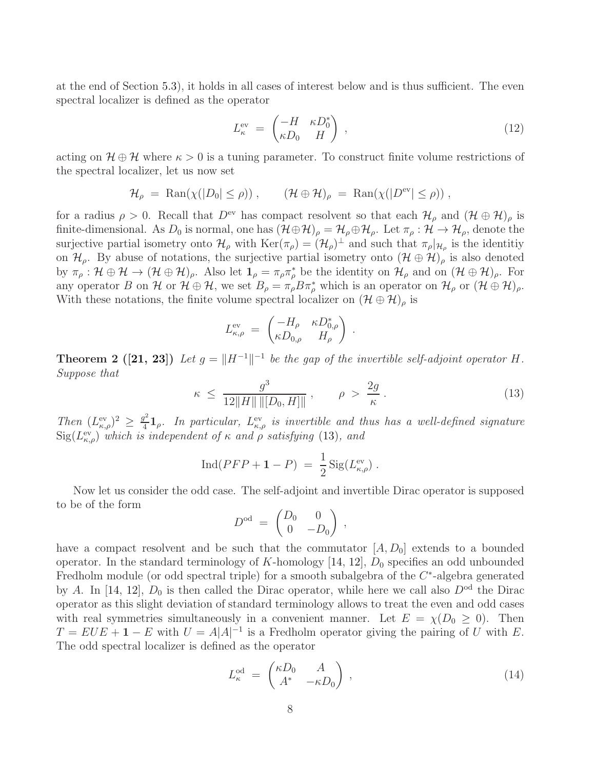at the end of Section [5.3\)](#page-28-0), it holds in all cases of interest below and is thus sufficient. The even spectral localizer is defined as the operator

<span id="page-7-1"></span>
$$
L_{\kappa}^{\text{ev}} = \begin{pmatrix} -H & \kappa D_0^* \\ \kappa D_0 & H \end{pmatrix} , \qquad (12)
$$

acting on  $\mathcal{H} \oplus \mathcal{H}$  where  $\kappa > 0$  is a tuning parameter. To construct finite volume restrictions of the spectral localizer, let us now set

$$
\mathcal{H}_{\rho} \ = \ \text{Ran}(\chi(|D_0| \le \rho)) \ , \qquad (\mathcal{H} \oplus \mathcal{H})_{\rho} \ = \ \text{Ran}(\chi(|D^{\text{ev}}| \le \rho)) \ ,
$$

for a radius  $\rho > 0$ . Recall that  $D^{\text{ev}}$  has compact resolvent so that each  $\mathcal{H}_{\rho}$  and  $(\mathcal{H} \oplus \mathcal{H})_{\rho}$  is finite-dimensional. As  $D_0$  is normal, one has  $(\mathcal{H} \oplus \mathcal{H})_\rho = \mathcal{H}_\rho \oplus \mathcal{H}_\rho$ . Let  $\pi_\rho : \mathcal{H} \to \mathcal{H}_\rho$ , denote the surjective partial isometry onto  $\mathcal{H}_{\rho}$  with  $\text{Ker}(\pi_{\rho}) = (\mathcal{H}_{\rho})^{\perp}$  and such that  $\pi_{\rho}|_{\mathcal{H}_{\rho}}$  is the identitive on  $\mathcal{H}_{\rho}$ . By abuse of notations, the surjective partial isometry onto  $(\mathcal{H} \oplus \mathcal{H})_{\rho}$  is also denoted by  $\pi_{\rho}: \mathcal{H} \oplus \mathcal{H} \to (\mathcal{H} \oplus \mathcal{H})_{\rho}$ . Also let  $\mathbf{1}_{\rho} = \pi_{\rho} \pi_{\rho}^{*}$  be the identity on  $\mathcal{H}_{\rho}$  and on  $(\mathcal{H} \oplus \mathcal{H})_{\rho}$ . For any operator B on H or  $\mathcal{H} \oplus \mathcal{H}$ , we set  $B_{\rho} = \pi_{\rho} B \pi_{\rho}^{*}$  which is an operator on  $\mathcal{H}_{\rho}$  or  $(\mathcal{H} \oplus \mathcal{H})_{\rho}$ . With these notations, the finite volume spectral localizer on  $(\mathcal{H} \oplus \mathcal{H})_\rho$  is

$$
L_{\kappa,\rho}^{\text{ev}} = \begin{pmatrix} -H_{\rho} & \kappa D_{0,\rho}^* \\ \kappa D_{0,\rho} & H_{\rho} \end{pmatrix} .
$$

<span id="page-7-3"></span>**Theorem 2** ([\[21,](#page-37-4) [23\]](#page-37-6)) Let  $g = ||H^{-1}||^{-1}$  be the gap of the invertible self-adjoint operator H. *Suppose that*

<span id="page-7-0"></span>
$$
\kappa \le \frac{g^3}{12\|H\| \|[D_0, H]\|} \,, \qquad \rho > \frac{2g}{\kappa} \,. \tag{13}
$$

*Then*  $(L_{\kappa,\rho}^{\text{ev}})^2 \geq \frac{g^2}{4}$  $\frac{d^2}{dt}\mathbf{1}_\rho$ . In particular,  $L_{\kappa,\rho}^{\text{ev}}$  is invertible and thus has a well-defined signature  ${\rm Sig}(L_{\kappa,\rho}^{\rm ev})$  *which is independent of*  $\kappa$  *and*  $\rho$  *satisfying* [\(13\)](#page-7-0)*, and* 

$$
Ind( PFP + 1 - P) = \frac{1}{2} Sig(L_{\kappa,\rho}^{ev}).
$$

Now let us consider the odd case. The self-adjoint and invertible Dirac operator is supposed to be of the form

$$
D^{\text{od}} = \begin{pmatrix} D_0 & 0 \\ 0 & -D_0 \end{pmatrix} ,
$$

have a compact resolvent and be such that the commutator  $[A, D_0]$  extends to a bounded operator. In the standard terminology of K-homology  $[14, 12]$  $[14, 12]$ ,  $D_0$  specifies an odd unbounded Fredholm module (or odd spectral triple) for a smooth subalgebra of the  $C^*$ -algebra generated by A. In [\[14,](#page-36-15) [12\]](#page-36-11),  $D_0$  is then called the Dirac operator, while here we call also  $D^{od}$  the Dirac operator as this slight deviation of standard terminology allows to treat the even and odd cases with real symmetries simultaneously in a convenient manner. Let  $E = \chi(D_0 \ge 0)$ . Then  $T = EUE + 1 - E$  with  $U = A|A|^{-1}$  is a Fredholm operator giving the pairing of U with E. The odd spectral localizer is defined as the operator

<span id="page-7-2"></span>
$$
L_{\kappa}^{\text{od}} = \begin{pmatrix} \kappa D_0 & A \\ A^* & -\kappa D_0 \end{pmatrix} , \qquad (14)
$$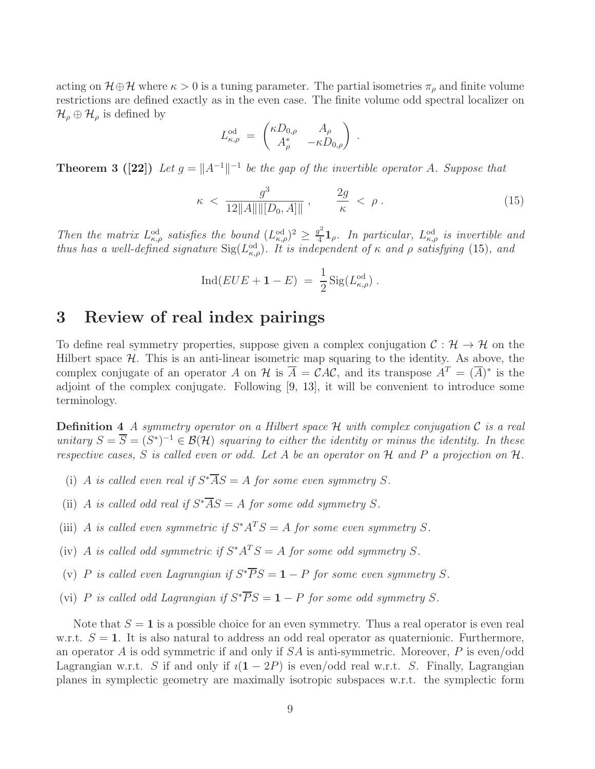acting on  $\mathcal{H} \oplus \mathcal{H}$  where  $\kappa > 0$  is a tuning parameter. The partial isometries  $\pi_{\rho}$  and finite volume restrictions are defined exactly as in the even case. The finite volume odd spectral localizer on  $\mathcal{H}_{\rho} \oplus \mathcal{H}_{\rho}$  is defined by

$$
L_{\kappa,\rho}^{\text{od}} = \begin{pmatrix} \kappa D_{0,\rho} & A_{\rho} \\ A_{\rho}^* & -\kappa D_{0,\rho} \end{pmatrix}
$$

<span id="page-8-3"></span>**Theorem 3 ([\[22\]](#page-37-5))** Let  $g = ||A^{-1}||^{-1}$  be the gap of the invertible operator A. Suppose that

<span id="page-8-1"></span>
$$
\kappa \, < \, \frac{g^3}{12\|A\| \|[D_0, A]\|} \,, \qquad \frac{2g}{\kappa} \, < \, \rho \,. \tag{15}
$$

.

*Then the matrix*  $L_{\kappa,\rho}^{\text{od}}$  *satisfies the bound*  $(L_{\kappa,\rho}^{\text{od}})^2 \geq \frac{g^2}{4}$  $\frac{d^2}{4}$ **1**<sub>ρ</sub>. In particular,  $L_{\kappa,\rho}^{od}$  is invertible and *thus has a well-defined signature*  $Sig(L_{\kappa,\rho}^{od})$ *. It is independent of*  $\kappa$  *and*  $\rho$  *satisfying* [\(15\)](#page-8-1)*, and* 

$$
Ind(EUE + 1 - E) = \frac{1}{2} Sig(L_{\kappa,\rho}^{\text{od}}).
$$

## <span id="page-8-0"></span>3 Review of real index pairings

To define real symmetry properties, suppose given a complex conjugation  $\mathcal{C}: \mathcal{H} \to \mathcal{H}$  on the Hilbert space  $H$ . This is an anti-linear isometric map squaring to the identity. As above, the complex conjugate of an operator A on H is  $\overline{A} = \mathcal{C}AC$ , and its transpose  $A^T = (\overline{A})^*$  is the adjoint of the complex conjugate. Following [\[9,](#page-36-8) [13\]](#page-36-3), it will be convenient to introduce some terminology.

<span id="page-8-2"></span>Definition 4 *A symmetry operator on a Hilbert space* H *with complex conjugation* C *is a real unitary*  $S = \overline{S} = (S^*)^{-1} \in \mathcal{B}(\mathcal{H})$  *squaring to either the identity or minus the identity. In these respective cases,* S *is called even or odd. Let* A *be an operator on* H *and* P *a projection on* H*.*

- (i) A *is called even real if*  $S^*\overline{AS} = A$  *for some even symmetry* S.
- (ii) A *is called odd real if*  $S^*\overline{AS} = A$  *for some odd symmetry* S.
- (iii) A *is called even symmetric if*  $S^*A^TS = A$  *for some even symmetry* S.
- (iv) A *is called odd symmetric if*  $S^*A^TS = A$  *for some odd symmetry* S.
- (v) P is called even Lagrangian if  $S^* \overline{P} S = 1 P$  for some even symmetry S.
- (vi) P *is called odd Lagrangian if*  $S^* \overline{PS} = 1 P$  *for some odd symmetry* S.

Note that  $S = 1$  is a possible choice for an even symmetry. Thus a real operator is even real w.r.t.  $S = 1$ . It is also natural to address an odd real operator as quaternionic. Furthermore, an operator A is odd symmetric if and only if  $SA$  is anti-symmetric. Moreover, P is even/odd Lagrangian w.r.t. S if and only if  $i(1 - 2P)$  is even/odd real w.r.t. S. Finally, Lagrangian planes in symplectic geometry are maximally isotropic subspaces w.r.t. the symplectic form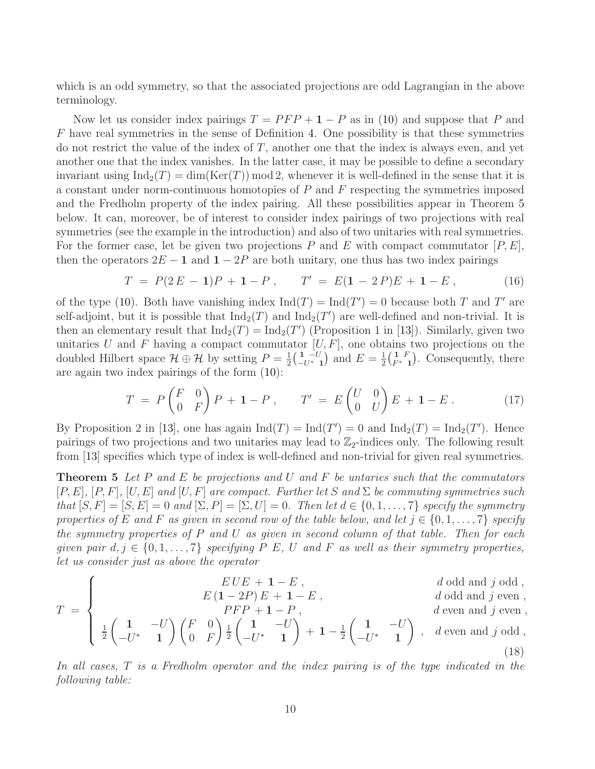which is an odd symmetry, so that the associated projections are odd Lagrangian in the above terminology.

Now let us consider index pairings  $T = PFP + 1 - P$  as in [\(10\)](#page-5-2) and suppose that P and  $F$  have real symmetries in the sense of Definition [4.](#page-8-2) One possibility is that these symmetries do not restrict the value of the index of  $T$ , another one that the index is always even, and yet another one that the index vanishes. In the latter case, it may be possible to define a secondary invariant using  $\text{Ind}_2(T) = \dim(\text{Ker}(T)) \mod 2$ , whenever it is well-defined in the sense that it is a constant under norm-continuous homotopies of  $P$  and  $F$  respecting the symmetries imposed and the Fredholm property of the index pairing. All these possibilities appear in Theorem [5](#page-9-1) below. It can, moreover, be of interest to consider index pairings of two projections with real symmetries (see the example in the introduction) and also of two unitaries with real symmetries. For the former case, let be given two projections P and E with compact commutator  $[P, E]$ , then the operators  $2E - 1$  and  $1 - 2P$  are both unitary, one thus has two index pairings

<span id="page-9-0"></span>
$$
T = P(2E - 1)P + 1 - P, \qquad T' = E(1 - 2P)E + 1 - E, \tag{16}
$$

of the type [\(10\)](#page-5-2). Both have vanishing index  $\text{Ind}(T) = \text{Ind}(T') = 0$  because both T and T' are self-adjoint, but it is possible that  $\text{Ind}_2(T)$  and  $\text{Ind}_2(T')$  are well-defined and non-trivial. It is then an elementary result that  $\text{Ind}_2(T) = \text{Ind}_2(T')$  (Proposition 1 in [\[13\]](#page-36-3)). Similarly, given two unitaries U and F having a compact commutator  $[U, F]$ , one obtains two projections on the doubled Hilbert space  $\mathcal{H} \oplus \mathcal{H}$  by setting  $P = \frac{1}{2}$  $\frac{1}{2} \Big( \frac{1}{-U^*}^{-U}$  $\frac{1}{-U^*}$  and  $E = \frac{1}{2}$  $\frac{1}{2} \Big( \frac{1}{F^*} F$  $\frac{1}{F^*}$  ( $\frac{F}{1}$ ). Consequently, there are again two index pairings of the form [\(10\)](#page-5-2):

<span id="page-9-3"></span>
$$
T = P\begin{pmatrix} F & 0 \\ 0 & F \end{pmatrix} P + \mathbf{1} - P , \qquad T' = E\begin{pmatrix} U & 0 \\ 0 & U \end{pmatrix} E + \mathbf{1} - E . \tag{17}
$$

By Proposition 2 in [\[13\]](#page-36-3), one has again  $\text{Ind}(T) = \text{Ind}(T') = 0$  and  $\text{Ind}_2(T) = \text{Ind}_2(T')$ . Hence pairings of two projections and two unitaries may lead to  $\mathbb{Z}_2$ -indices only. The following result from [\[13\]](#page-36-3) specifies which type of index is well-defined and non-trivial for given real symmetries.

<span id="page-9-1"></span>Theorem 5 *Let* P *and* E *be projections and* U *and* F *be untaries such that the commutators*  $[P, E]$ *,*  $[P, F]$ *,*  $[U, E]$  *and*  $[U, F]$  *are compact. Further let* S *and*  $\Sigma$  *be commuting symmetries such that*  $[S, F] = [S, E] = 0$  *and*  $[\Sigma, P] = [\Sigma, U] = 0$ *. Then let*  $d \in \{0, 1, \ldots, 7\}$  *specify the symmetry properties of* E and F as given in second row of the table below, and let  $j \in \{0, 1, \ldots, 7\}$  specify *the symmetry properties of* P *and* U *as given in second column of that table. Then for each given pair*  $d, j \in \{0, 1, \ldots, 7\}$  *specifying*  $P \ E$ ,  $U$  *and*  $F$  *as well as their symmetry properties, let us consider just as above the operator*

$$
EUE + 1 - E , \qquad d \text{ odd and } j \text{ odd},
$$

$$
E(1-2P)E + 1-E,
$$
\n
$$
d \text{ odd and } j \text{ even}
$$

<span id="page-9-2"></span>
$$
T = \begin{cases} E(1-2P)E + 1 - E, & d \text{ odd and } j \text{ even,} \\ PE(1-2P)E + 1 - E, & d \text{ odd and } j \text{ even,} \\ \frac{1}{2} \begin{pmatrix} 1 & -U \\ -U^* & 1 \end{pmatrix} \begin{pmatrix} F & 0 \\ 0 & F \end{pmatrix} \frac{1}{2} \begin{pmatrix} 1 & -U \\ -U^* & 1 \end{pmatrix} + 1 - \frac{1}{2} \begin{pmatrix} 1 & -U \\ -U^* & 1 \end{pmatrix}, & d \text{ even and } j \text{ odd,} \\ (18)
$$

 $\sqrt{ }$ 

*In all cases,* T *is a Fredholm operator and the index pairing is of the type indicated in the following table:*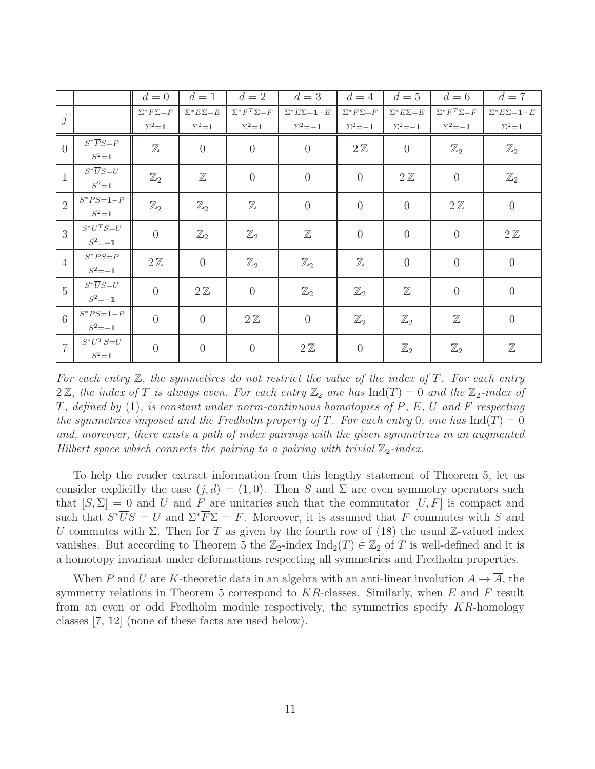|                  |                                            | $d=0$                                | $d=1$                                | $d=2$                          | $d=3$                                           | $d=4$                            | $d=5$                              | $d=6$                          | $d=7$                                           |
|------------------|--------------------------------------------|--------------------------------------|--------------------------------------|--------------------------------|-------------------------------------------------|----------------------------------|------------------------------------|--------------------------------|-------------------------------------------------|
| $\dot{j}$        |                                            | $\Sigma^* \overline{F} \Sigma {=} F$ | $\Sigma^* \overline{E} \Sigma {=} E$ | $\Sigma^*F^T\Sigma\mathbf{=}F$ | $\Sigma^* \overline{E} \Sigma = \mathbf{1} - E$ | $\Sigma^*\overline{F}\Sigma{=}F$ | $\Sigma^* \overline{E} \Sigma = E$ | $\Sigma^*F^T\Sigma\mathbf{=}F$ | $\Sigma^* \overline{E} \Sigma = \mathbf{1} - E$ |
|                  |                                            | $\Sigma^2 = 1$                       | $\Sigma^2$ =1                        | $\Sigma^2$ =1                  | $\Sigma^2 = -1$                                 | $\Sigma^2 = -1$                  | $\Sigma^2 = -1$                    | $\Sigma^2 = -1$                | $\Sigma^2$ =1                                   |
| $\left( \right)$ | $S^*\overline{P}S {=} P$<br>$S^2 = 1$      | $\mathbb Z$                          | $\theta$                             | $\theta$                       | $\overline{0}$                                  | $2\mathbb{Z}$                    | $\theta$                           | $\mathbb{Z}_2$                 | $\mathbb{Z}_2$                                  |
| $\mathbf{1}$     | $S^*\overline{U}S{=}U$<br>$S^2 = 1$        | $\mathbb{Z}_2$                       | $\mathbb Z$                          | $\theta$                       | $\overline{0}$                                  | $\overline{0}$                   | $2\mathbb{Z}$                      | $\overline{0}$                 | $\mathbb{Z}_2$                                  |
| $\overline{2}$   | $S^*\overline{P}S = 1-P$<br>$S^2 = 1$      | $\mathbb{Z}_2$                       | $\mathbb{Z}_2$                       | $\mathbb Z$                    | $\overline{0}$                                  | $\overline{0}$                   | $\overline{0}$                     | $2\mathbb{Z}$                  | $\theta$                                        |
| $\overline{3}$   | $S^{\ast}U^{T}S\!\!=\!\!U$<br>$S^2 = -1$   | $\theta$                             | $\mathbb{Z}_2$                       | $\mathbb{Z}_2$                 | $\mathbb Z$                                     | $\overline{0}$                   | $\overline{0}$                     | $\overline{0}$                 | $2\mathbb{Z}$                                   |
| $\overline{4}$   | $S^*\overline{P}S = P$<br>$S^2 = -1$       | $2\mathbb{Z}$                        | $\overline{0}$                       | $\mathbb{Z}_2$                 | $\mathbb{Z}_2$                                  | $\mathbb Z$                      | $\overline{0}$                     | $\overline{0}$                 | $\overline{0}$                                  |
| $\overline{5}$   | $S^*\overline{U}S = U$<br>$S^2 = -1$       | $\overline{0}$                       | $2\mathbb{Z}$                        | $\overline{0}$                 | $\mathbb{Z}_2$                                  | $\mathbb{Z}_2$                   | $\mathbb Z$                        | $\overline{0}$                 | $\overline{0}$                                  |
| 6                | $S^* \overline{P} S = 1 - P$<br>$S^2 = -1$ | $\overline{0}$                       | $\overline{0}$                       | $2\mathbb{Z}$                  | $\overline{0}$                                  | $\mathbb{Z}_2$                   | $\mathbb{Z}_2$                     | $\mathbb Z$                    | $\overline{0}$                                  |
| $\overline{7}$   | $S^{\ast}U^{T}S\mathbf{=}U$<br>$S^2 = 1$   | $\overline{0}$                       | $\overline{0}$                       | $\overline{0}$                 | $2\mathbb{Z}$                                   | $\overline{0}$                   | $\mathbb{Z}_2$                     | $\mathbb{Z}_2$                 | $\mathbb Z$                                     |

*For each entry* Z*, the symmetires do not restrict the value of the index of* T*. For each entry*  $2\mathbb{Z}$ , the index of T is always even. For each entry  $\mathbb{Z}_2$  one has  $\text{Ind}(T) = 0$  and the  $\mathbb{Z}_2$ -index of T*, defined by* [\(1\)](#page-2-0)*, is constant under norm-continuous homotopies of* P*,* E*,* U *and* F *respecting the symmetries imposed and the Fredholm property of* T. For each entry 0, one has  $\text{Ind}(T) = 0$ *and, moreover, there exists a path of index pairings with the given symmetries in an augmented Hilbert space which connects the pairing to a pairing with trivial*  $\mathbb{Z}_2$ *-index.* 

To help the reader extract information from this lengthy statement of Theorem [5,](#page-9-1) let us consider explicitly the case  $(j, d) = (1, 0)$ . Then S and  $\Sigma$  are even symmetry operators such that  $[S, \Sigma] = 0$  and U and F are unitaries such that the commutator  $[U, F]$  is compact and such that  $S^*\overline{U}S = U$  and  $\Sigma^*\overline{F}\Sigma = F$ . Moreover, it is assumed that F commutes with S and U commutes with  $\Sigma$ . Then for T as given by the fourth row of [\(18\)](#page-9-2) the usual Z-valued index vanishes. But according to Theorem [5](#page-9-1) the  $\mathbb{Z}_2$ -index Ind<sub>2</sub>(T)  $\in \mathbb{Z}_2$  of T is well-defined and it is a homotopy invariant under deformations respecting all symmetries and Fredholm properties.

When P and U are K-theoretic data in an algebra with an anti-linear involution  $A \mapsto \overline{A}$ , the symmetry relations in Theorem [5](#page-9-1) correspond to  $KR$ -classes. Similarly, when  $E$  and  $F$  result from an even or odd Fredholm module respectively, the symmetries specify KR-homology classes [\[7,](#page-36-12) [12\]](#page-36-11) (none of these facts are used below).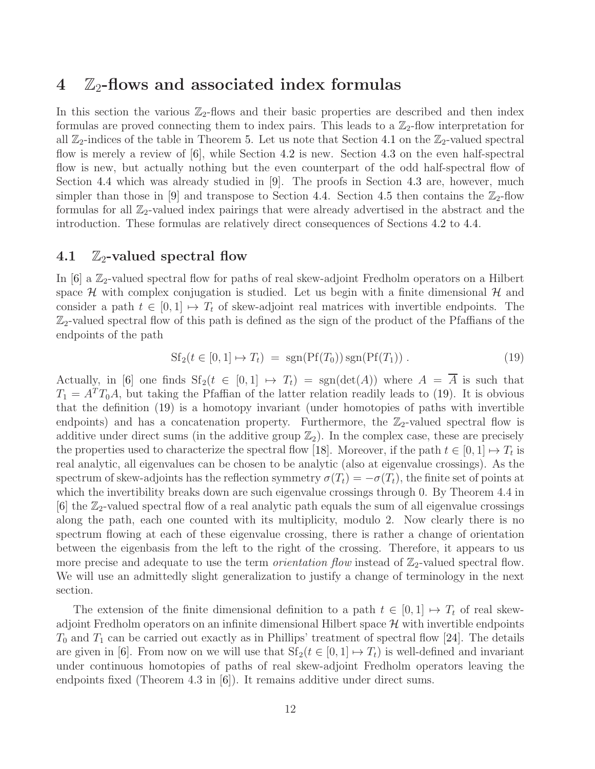### <span id="page-11-0"></span> $4\quad\mathbb{Z}_2$ -flows and associated index formulas

In this section the various  $\mathbb{Z}_2$ -flows and their basic properties are described and then index formulas are proved connecting them to index pairs. This leads to a  $\mathbb{Z}_2$ -flow interpretation for all  $\mathbb{Z}_2$ -indices of the table in Theorem [5.](#page-9-1) Let us note that Section [4.1](#page-11-1) on the  $\mathbb{Z}_2$ -valued spectral flow is merely a review of [\[6\]](#page-36-9), while Section [4.2](#page-12-0) is new. Section [4.3](#page-13-0) on the even half-spectral flow is new, but actually nothing but the even counterpart of the odd half-spectral flow of Section [4.4](#page-17-0) which was already studied in [\[9\]](#page-36-8). The proofs in Section [4.3](#page-13-0) are, however, much simpler than those in [\[9\]](#page-36-8) and transpose to Section [4.4.](#page-17-0) Section [4.5](#page-18-0) then contains the  $\mathbb{Z}_2$ -flow formulas for all  $\mathbb{Z}_2$ -valued index pairings that were already advertised in the abstract and the introduction. These formulas are relatively direct consequences of Sections [4.2](#page-12-0) to [4.4.](#page-17-0)

### <span id="page-11-1"></span>4.1  $\mathbb{Z}_2$ -valued spectral flow

In  $[6]$  a  $\mathbb{Z}_2$ -valued spectral flow for paths of real skew-adjoint Fredholm operators on a Hilbert space  $H$  with complex conjugation is studied. Let us begin with a finite dimensional  $H$  and consider a path  $t \in [0,1] \mapsto T_t$  of skew-adjoint real matrices with invertible endpoints. The  $\mathbb{Z}_2$ -valued spectral flow of this path is defined as the sign of the product of the Pfaffians of the endpoints of the path

<span id="page-11-2"></span>
$$
Sf_2(t \in [0,1] \mapsto T_t) = sgn(Pf(T_0)) sgn(Pf(T_1)) . \tag{19}
$$

Actually, in [\[6\]](#page-36-9) one finds  $Sf_2(t \in [0,1] \mapsto T_t) = sgn(det(A))$  where  $A = \overline{A}$  is such that  $T_1 = A^T T_0 A$ , but taking the Pfaffian of the latter relation readily leads to [\(19\)](#page-11-2). It is obvious that the definition [\(19\)](#page-11-2) is a homotopy invariant (under homotopies of paths with invertible endpoints) and has a concatenation property. Furthermore, the  $\mathbb{Z}_2$ -valued spectral flow is additive under direct sums (in the additive group  $\mathbb{Z}_2$ ). In the complex case, these are precisely the properties used to characterize the spectral flow [\[18\]](#page-37-11). Moreover, if the path  $t \in [0,1] \mapsto T_t$  is real analytic, all eigenvalues can be chosen to be analytic (also at eigenvalue crossings). As the spectrum of skew-adjoints has the reflection symmetry  $\sigma(T_t) = -\sigma(T_t)$ , the finite set of points at which the invertibility breaks down are such eigenvalue crossings through 0. By Theorem 4.4 in [\[6\]](#page-36-9) the  $\mathbb{Z}_2$ -valued spectral flow of a real analytic path equals the sum of all eigenvalue crossings along the path, each one counted with its multiplicity, modulo 2. Now clearly there is no spectrum flowing at each of these eigenvalue crossing, there is rather a change of orientation between the eigenbasis from the left to the right of the crossing. Therefore, it appears to us more precise and adequate to use the term *orientation flow* instead of  $\mathbb{Z}_2$ -valued spectral flow. We will use an admittedly slight generalization to justify a change of terminology in the next section.

The extension of the finite dimensional definition to a path  $t \in [0,1] \mapsto T_t$  of real skewadjoint Fredholm operators on an infinite dimensional Hilbert space  $\mathcal H$  with invertible endpoints  $T_0$  and  $T_1$  can be carried out exactly as in Phillips' treatment of spectral flow [\[24\]](#page-37-10). The details are given in [\[6\]](#page-36-9). From now on we will use that  $Sf_2(t \in [0,1] \mapsto T_t)$  is well-defined and invariant under continuous homotopies of paths of real skew-adjoint Fredholm operators leaving the endpoints fixed (Theorem 4.3 in [\[6\]](#page-36-9)). It remains additive under direct sums.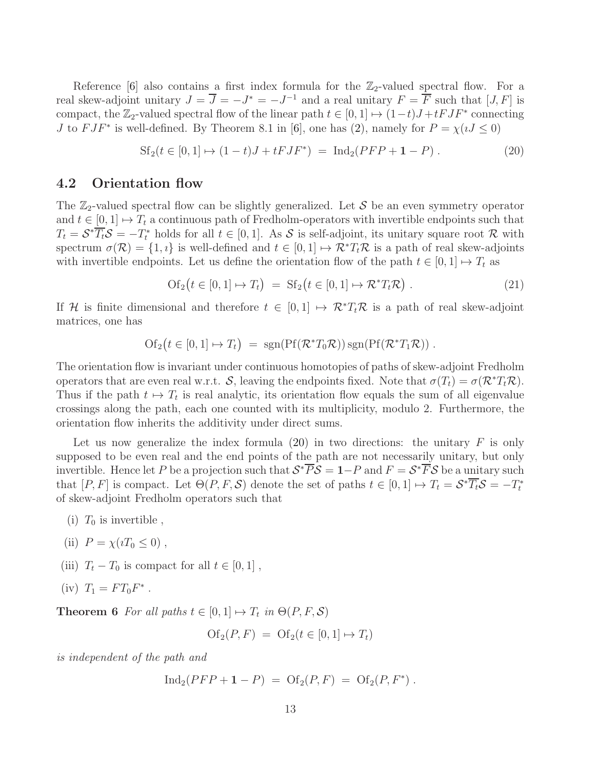Reference [\[6\]](#page-36-9) also contains a first index formula for the  $\mathbb{Z}_2$ -valued spectral flow. For a real skew-adjoint unitary  $J = \overline{J} = -J^* = -J^{-1}$  and a real unitary  $F = \overline{F}$  such that  $[J, F]$  is compact, the  $\mathbb{Z}_2$ -valued spectral flow of the linear path  $t \in [0, 1] \mapsto (1-t)J + tFJF^*$  connecting *J* to  $FJF^*$  is well-defined. By Theorem 8.1 in [\[6\]](#page-36-9), one has [\(2\)](#page-2-1), namely for  $P = \chi(uJ \le 0)$ 

<span id="page-12-1"></span>
$$
Sf_2(t \in [0,1] \mapsto (1-t)J + tFJF^*) = Ind_2(PFP + 1 - P) . \tag{20}
$$

#### <span id="page-12-0"></span>4.2 Orientation flow

The  $\mathbb{Z}_2$ -valued spectral flow can be slightly generalized. Let S be an even symmetry operator and  $t \in [0, 1] \mapsto T_t$  a continuous path of Fredholm-operators with invertible endpoints such that  $T_t = \mathcal{S}^* \overline{T_t} \mathcal{S} = -T_t^*$  holds for all  $t \in [0, 1]$ . As  $\mathcal{S}$  is self-adjoint, its unitary square root  $\mathcal{R}$  with spectrum  $\sigma(\mathcal{R}) = \{1, i\}$  is well-defined and  $t \in [0, 1] \mapsto \mathcal{R}^*T_t\mathcal{R}$  is a path of real skew-adjoints with invertible endpoints. Let us define the orientation flow of the path  $t \in [0, 1] \mapsto T_t$  as

<span id="page-12-2"></span>
$$
\text{Of}_2(t \in [0, 1] \mapsto T_t) = \text{Sf}_2(t \in [0, 1] \mapsto \mathcal{R}^* T_t \mathcal{R}) . \tag{21}
$$

If H is finite dimensional and therefore  $t \in [0,1] \mapsto \mathcal{R}^*T_t\mathcal{R}$  is a path of real skew-adjoint matrices, one has

$$
Of_2(t \in [0,1] \mapsto T_t) = sgn( Pf(\mathcal{R}^*T_0\mathcal{R})) sgn( Pf(\mathcal{R}^*T_1\mathcal{R})) .
$$

The orientation flow is invariant under continuous homotopies of paths of skew-adjoint Fredholm operators that are even real w.r.t. S, leaving the endpoints fixed. Note that  $\sigma(T_t) = \sigma(\mathcal{R}^*T_t\mathcal{R})$ . Thus if the path  $t \mapsto T_t$  is real analytic, its orientation flow equals the sum of all eigenvalue crossings along the path, each one counted with its multiplicity, modulo 2. Furthermore, the orientation flow inherits the additivity under direct sums.

Let us now generalize the index formula  $(20)$  in two directions: the unitary F is only supposed to be even real and the end points of the path are not necessarily unitary, but only invertible. Hence let P be a projection such that  $S^* \overline{P} S = 1-P$  and  $F = S^* \overline{F} S$  be a unitary such that  $[P, F]$  is compact. Let  $\Theta(P, F, S)$  denote the set of paths  $t \in [0, 1] \mapsto T_t = S^* \overline{T_t} S = -T_t^*$ of skew-adjoint Fredholm operators such that

- (i)  $T_0$  is invertible,
- (ii)  $P = \chi(iT_0 \leq 0)$ ,
- (iii)  $T_t T_0$  is compact for all  $t \in [0, 1]$ ,
- <span id="page-12-3"></span>(iv)  $T_1 = FT_0F^*$ .

**Theorem 6** For all paths  $t \in [0, 1] \mapsto T_t$  in  $\Theta(P, F, \mathcal{S})$ 

$$
Of_2(P, F) = Of_2(t \in [0, 1] \mapsto T_t)
$$

*is independent of the path and*

$$
Ind_2( PFP + 1 - P) = Of_2(P, F) = Of_2(P, F^*) .
$$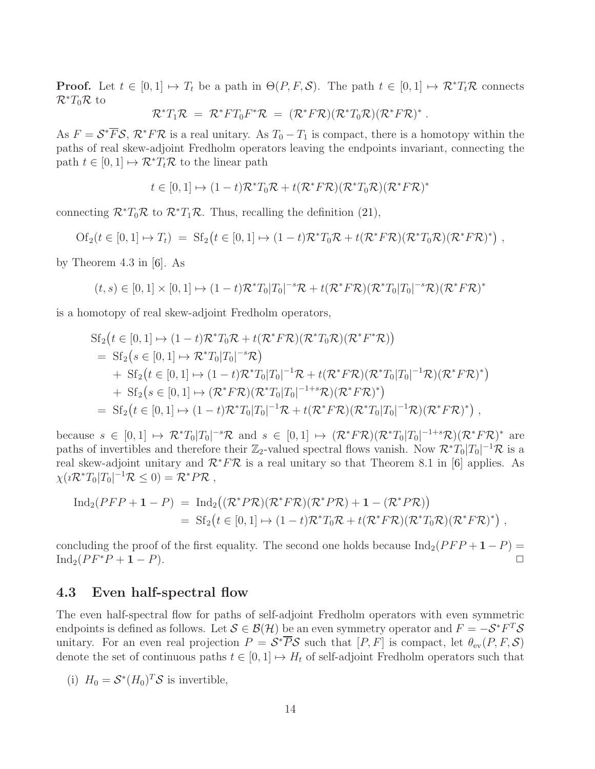**Proof.** Let  $t \in [0,1] \mapsto T_t$  be a path in  $\Theta(P, F, S)$ . The path  $t \in [0,1] \mapsto \mathcal{R}^* T_t \mathcal{R}$  connects  $\mathcal{R}^*T_0\mathcal{R}$  to

$$
\mathcal{R}^*T_1\mathcal{R} = \mathcal{R}^*FT_0F^*\mathcal{R} = (\mathcal{R}^*F\mathcal{R})(\mathcal{R}^*T_0\mathcal{R})(\mathcal{R}^*F\mathcal{R})^*.
$$

As  $F = \mathcal{S}^* \overline{F} \mathcal{S}, \mathcal{R}^* F \mathcal{R}$  is a real unitary. As  $T_0 - T_1$  is compact, there is a homotopy within the paths of real skew-adjoint Fredholm operators leaving the endpoints invariant, connecting the path  $t \in [0, 1] \mapsto \mathcal{R}^* T_t \mathcal{R}$  to the linear path

$$
t\in[0,1]\mapsto(1-t)\mathcal{R}^*T_0\mathcal{R}+t(\mathcal{R}^*F\mathcal{R})(\mathcal{R}^*T_0\mathcal{R})(\mathcal{R}^*F\mathcal{R})^*
$$

connecting  $\mathcal{R}^*T_0\mathcal{R}$  to  $\mathcal{R}^*T_1\mathcal{R}$ . Thus, recalling the definition [\(21\)](#page-12-2),

$$
Of_2(t \in [0,1] \mapsto T_t) = St_2(t \in [0,1] \mapsto (1-t)\mathcal{R}^*T_0\mathcal{R} + t(\mathcal{R}^*F\mathcal{R})(\mathcal{R}^*T_0\mathcal{R})(\mathcal{R}^*F\mathcal{R})^*) ,
$$

by Theorem 4.3 in [\[6\]](#page-36-9). As

$$
(t,s) \in [0,1] \times [0,1] \mapsto (1-t)\mathcal{R}^*T_0|T_0|^{-s}\mathcal{R} + t(\mathcal{R}^*F\mathcal{R})(\mathcal{R}^*T_0|T_0|^{-s}\mathcal{R})(\mathcal{R}^*F\mathcal{R})^*
$$

is a homotopy of real skew-adjoint Fredholm operators,

$$
Sf_2(t \in [0,1] \mapsto (1-t)\mathcal{R}^*T_0\mathcal{R} + t(\mathcal{R}^*F\mathcal{R})(\mathcal{R}^*T_0\mathcal{R})(\mathcal{R}^*F^*\mathcal{R}))
$$
  
\n
$$
= Sf_2(s \in [0,1] \mapsto \mathcal{R}^*T_0|T_0|^{-s}\mathcal{R})
$$
  
\n
$$
+ Sf_2(t \in [0,1] \mapsto (1-t)\mathcal{R}^*T_0|T_0|^{-1}\mathcal{R} + t(\mathcal{R}^*F\mathcal{R})(\mathcal{R}^*T_0|T_0|^{-1}\mathcal{R})(\mathcal{R}^*F\mathcal{R})^*)
$$
  
\n
$$
+ Sf_2(s \in [0,1] \mapsto (\mathcal{R}^*F\mathcal{R})(\mathcal{R}^*T_0|T_0|^{-1+s}\mathcal{R})(\mathcal{R}^*F\mathcal{R})^*)
$$
  
\n
$$
= Sf_2(t \in [0,1] \mapsto (1-t)\mathcal{R}^*T_0|T_0|^{-1}\mathcal{R} + t(\mathcal{R}^*F\mathcal{R})(\mathcal{R}^*T_0|T_0|^{-1}\mathcal{R})(\mathcal{R}^*F\mathcal{R})^*)
$$

because  $s \in [0,1] \mapsto \mathcal{R}^*T_0|T_0|^{-s}\mathcal{R}$  and  $s \in [0,1] \mapsto (\mathcal{R}^*F\mathcal{R})(\mathcal{R}^*T_0|T_0|^{-1+s}\mathcal{R})(\mathcal{R}^*F\mathcal{R})^*$  are paths of invertibles and therefore their  $\mathbb{Z}_2$ -valued spectral flows vanish. Now  $\mathcal{R}^*T_0|T_0|^{-1}\mathcal{R}$  is a real skew-adjoint unitary and  $\mathcal{R}^* F \mathcal{R}$  is a real unitary so that Theorem 8.1 in [\[6\]](#page-36-9) applies. As  $\chi(i\mathcal{R}^*T_0|T_0|^{-1}\mathcal{R}\leq 0)=\mathcal{R}^*P\mathcal{R}$ ,

$$
\mathrm{Ind}_{2}(PFP+1-P) = \mathrm{Ind}_{2}((\mathcal{R}^{*}P\mathcal{R})(\mathcal{R}^{*}F\mathcal{R})(\mathcal{R}^{*}P\mathcal{R})+1-(\mathcal{R}^{*}P\mathcal{R}))
$$
  
=  $\mathrm{Sf}_{2}(t \in [0,1] \mapsto (1-t)\mathcal{R}^{*}T_{0}\mathcal{R}+t(\mathcal{R}^{*}F\mathcal{R})(\mathcal{R}^{*}T_{0}\mathcal{R})(\mathcal{R}^{*}F\mathcal{R})^{*})$ ,

concluding the proof of the first equality. The second one holds because  $\text{Ind}_2(PF + 1 - P) = \text{Ind}_2(PF^*P + 1 - P)$  $\text{Ind}_2(PF^*P + 1 - P).$ 

#### <span id="page-13-0"></span>4.3 Even half-spectral flow

The even half-spectral flow for paths of self-adjoint Fredholm operators with even symmetric endpoints is defined as follows. Let  $S \in \mathcal{B}(\mathcal{H})$  be an even symmetry operator and  $F = -\mathcal{S}^*F^T\mathcal{S}$ unitary. For an even real projection  $P = \mathcal{S}^* \overline{P} \mathcal{S}$  such that  $[P, F]$  is compact, let  $\theta_{ev}(P, F, \mathcal{S})$ denote the set of continuous paths  $t \in [0, 1] \mapsto H_t$  of self-adjoint Fredholm operators such that

(i)  $H_0 = \mathcal{S}^*(H_0)^T \mathcal{S}$  is invertible,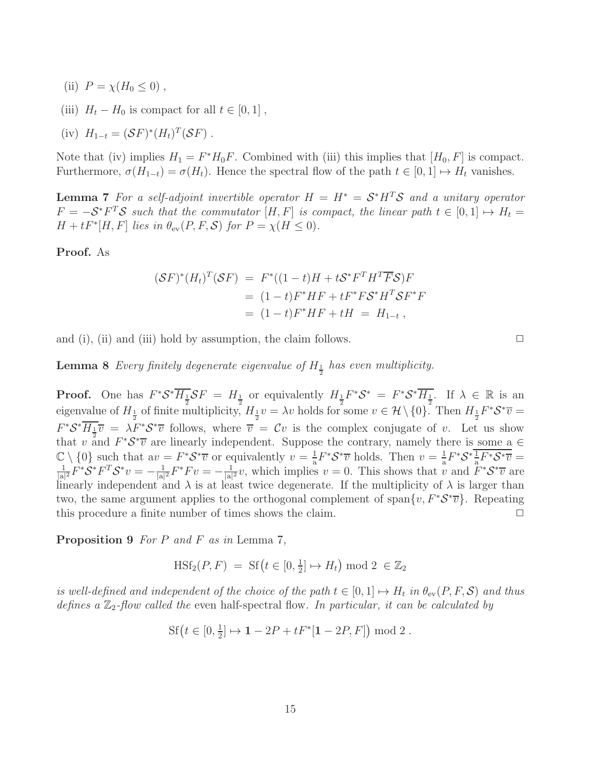- (ii)  $P = \chi(H_0 \leq 0)$ ,
- (iii)  $H_t H_0$  is compact for all  $t \in [0, 1]$ ,
- (iv)  $H_{1-t} = (\mathcal{S}F)^*(H_t)^T(\mathcal{S}F)$ .

<span id="page-14-0"></span>Note that (iv) implies  $H_1 = F^*H_0F$ . Combined with (iii) this implies that  $[H_0, F]$  is compact. Furthermore,  $\sigma(H_{1-t}) = \sigma(H_t)$ . Hence the spectral flow of the path  $t \in [0, 1] \mapsto H_t$  vanishes.

**Lemma 7** For a self-adjoint invertible operator  $H = H^* = \mathcal{S}^* H^T \mathcal{S}$  and a unitary operator  $F = -S^*F^T S$  *such that the commutator*  $[H, F]$  *is compact, the linear path*  $t \in [0, 1] \mapsto H_t =$  $H + tF^*[H, F]$  *lies in*  $\theta_{ev}(P, F, S)$  *for*  $P = \chi(H \le 0)$ *.* 

Proof. As

$$
(\mathcal{S}F)^{*}(H_t)^{T}(\mathcal{S}F) = F^{*}((1-t)H + t\mathcal{S}^{*}F^{T}H^{T}\overline{F}\mathcal{S})F
$$
  
= (1-t)F^{\*}HF + tF^{\*}F\mathcal{S}^{\*}H^{T}\mathcal{S}F^{\*}F  
= (1-t)F^{\*}HF + tH = H\_{1-t},

<span id="page-14-1"></span>and (i), (ii) and (iii) hold by assumption, the claim follows.  $\Box$ 

**Lemma 8** Every finitely degenerate eigenvalue of  $H_{\frac{1}{2}}$  has even multiplicity.

**Proof.** One has  $F^*S^*\overline{H_{\frac{1}{2}}}SF = H_{\frac{1}{2}}$  or equivalently  $H_{\frac{1}{2}}F^*S^* = F^*S^*\overline{H_{\frac{1}{2}}}$ . If  $\lambda \in \mathbb{R}$  is an eigenvalue of  $H_{\frac{1}{2}}$  of finite multiplicity,  $H_{\frac{1}{2}}v = \lambda v$  holds for some  $v \in \mathcal{H} \setminus \{0\}$ . Then  $H_{\frac{1}{2}}F^*\mathcal{S}^*\overline{v} =$  $F^*S^*\overline{H_{\frac{1}{2}}v} = \lambda F^*S^*\overline{v}$  follows, where  $\overline{v} = Cv$  is the complex conjugate of v. Let us show that v and  $F^*S^*\overline{v}$  are linearly independent. Suppose the contrary, namely there is some a  $\in$  $\mathbb{C}\setminus\{0\}$  such that  $av = F^*S^*\overline{v}$  or equivalently  $v = \frac{1}{a}$  $\frac{1}{a}F^*S^*\overline{v}$  holds. Then  $v=\frac{1}{a}$  $\frac{1}{a}F^*\mathcal{S}^*\frac{1}{a}$  $\mathcal{L}\setminus\{0\}$  such that  $av = F^*S^*\overline{v}$  or equivalently  $v = \frac{1}{2}F^*S^*\overline{v}$  holds. Then  $v = \frac{1}{2}F^*S^*\frac{1}{2}F^*S^*\overline{v} = \frac{1}{2}F^*S^*F^TS^*\overline{v} = \frac{1}{2}F^*S^*F^TS^*\overline{v} = \frac{1}{2}F^*S^*F^TS^*\overline{v} = \frac{1}{2}F^*S^*F^TS^*\$  $\frac{1}{|{\rm a}|^2}F^*{\mathcal S}^*F^T{\mathcal S}^*v=-\frac{1}{|{\rm a}|}$  $\frac{1}{|{\rm a}|^2}F^*F v = -\frac{1}{|{\rm a}|}$  $\frac{1}{|a|^2}v$ , which implies  $v = 0$ . This shows that v and  $F^*S^*\overline{v}$  are linearly independent and  $\lambda$  is at least twice degenerate. If the multiplicity of  $\lambda$  is larger than two, the same argument applies to the orthogonal complement of span $\{v, F^*S^*\overline{v}\}$ . Repeating this procedure a finite number of times shows the claim.  $\Box$ 

<span id="page-14-2"></span>Proposition 9 *For* P *and* F *as in* Lemma [7](#page-14-0)*,*

$$
\text{HSf}_2(P, F) = \text{Sf}\left(t \in [0, \frac{1}{2}] \mapsto H_t\right) \mod 2 \in \mathbb{Z}_2
$$

*is well-defined and independent of the choice of the path*  $t \in [0,1] \mapsto H_t$  *in*  $\theta_{ev}(P, F, S)$  *and thus* defines a  $\mathbb{Z}_2$ -flow called the even half-spectral flow. In particular, it can be calculated by

$$
Sf(t \in [0, \frac{1}{2}] \mapsto 1 - 2P + tF^*[1 - 2P, F]) \bmod 2.
$$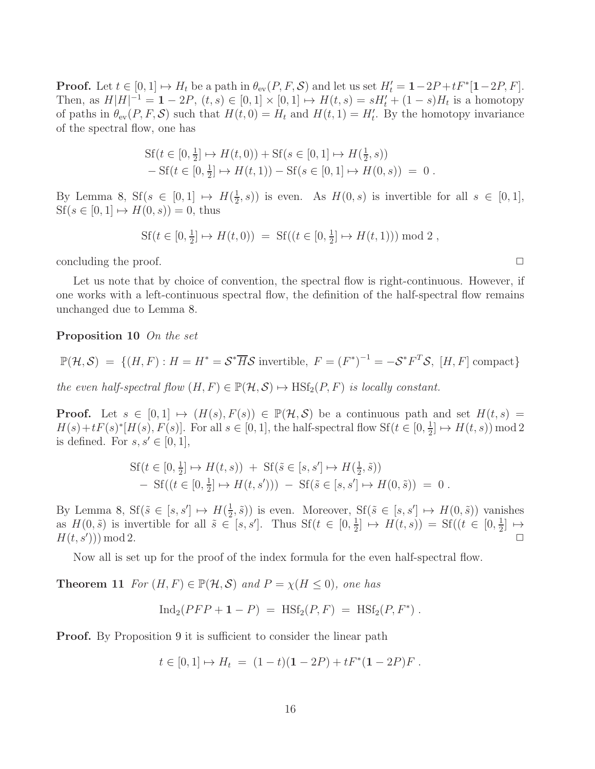**Proof.** Let  $t \in [0, 1] \mapsto H_t$  be a path in  $\theta_{ev}(P, F, S)$  and let us set  $H'_t = 1-2P+tF^*[1-2P, F]$ . Then, as  $H[H]^{-1} = 1 - 2P$ ,  $(t, s) \in [0, 1] \times [0, 1] \mapsto H(t, s) = sH'_t + (1 - s)H_t$  is a homotopy of paths in  $\theta_{ev}(P, F, S)$  such that  $H(t, 0) = H_t$  and  $H(t, 1) = H'_t$ . By the homotopy invariance of the spectral flow, one has

$$
Sf(t \in [0, \frac{1}{2}] \mapsto H(t, 0)) + Sf(s \in [0, 1] \mapsto H(\frac{1}{2}, s))
$$
  
- Sf(t \in [0, \frac{1}{2}] \mapsto H(t, 1)) - Sf(s \in [0, 1] \mapsto H(0, s)) = 0.

By Lemma [8,](#page-14-1)  $Sf(s \in [0,1] \mapsto H(\frac{1}{2})$  $(\frac{1}{2}, s))$  is even. As  $H(0, s)$  is invertible for all  $s \in [0, 1],$  $Sf(s \in [0, 1] \mapsto H(0, s)) = 0$ , thus

$$
Sf(t \in [0, \frac{1}{2}] \mapsto H(t, 0)) = Sf((t \in [0, \frac{1}{2}] \mapsto H(t, 1))) \bmod 2,
$$

concluding the proof.  $\Box$ 

Let us note that by choice of convention, the spectral flow is right-continuous. However, if one works with a left-continuous spectral flow, the definition of the half-spectral flow remains unchanged due to Lemma [8.](#page-14-1)

Proposition 10 *On the set*

$$
\mathbb{P}(\mathcal{H}, \mathcal{S}) = \{ (H, F) : H = H^* = \mathcal{S}^* \overline{H} \mathcal{S} \text{ invertible, } F = (F^*)^{-1} = -\mathcal{S}^* F^T \mathcal{S}, [H, F] \text{ compact} \}
$$

*the even half-spectral flow*  $(H, F) \in \mathbb{P}(\mathcal{H}, \mathcal{S}) \mapsto \text{HSt}_2(P, F)$  *is locally constant.* 

**Proof.** Let  $s \in [0,1] \mapsto (H(s), F(s)) \in \mathbb{P}(\mathcal{H}, \mathcal{S})$  be a continuous path and set  $H(t, s) =$  $H(s) + tF(s)^*[H(s), F(s)]$ . For all  $s \in [0, 1]$ , the half-spectral flow  $Sf(t \in [0, \frac{1}{2}])$  $\frac{1}{2}$   $\mapsto H(t,s)$  mod 2 is defined. For  $s, s' \in [0, 1]$ ,

$$
Sf(t \in [0, \frac{1}{2}] \to H(t, s)) + Sf(\tilde{s} \in [s, s'] \to H(\frac{1}{2}, \tilde{s})) - Sf((t \in [0, \frac{1}{2}] \to H(t, s'))) - Sf(\tilde{s} \in [s, s'] \to H(0, \tilde{s})) = 0.
$$

By Lemma [8,](#page-14-1)  $\text{Sf}(\tilde{s} \in [s, s']) \mapsto H(\frac{1}{2})$  $(\frac{1}{2}, \tilde{s})$  is even. Moreover,  $Sf(\tilde{s} \in [s, s']) \mapsto H(0, \tilde{s})$  vanishes as  $H(0, \tilde{s})$  is invertible for all  $\tilde{s} \in [s, s']$ . Thus  $Sf(t \in [0, \frac{1}{2})]$  $\frac{1}{2}$   $\mapsto$   $H(t, s)$  = Sf(( $t \in [0, \frac{1}{2})$  $\frac{1}{2}$   $\mapsto$  $H(t, s'))$  mod 2. ))) mod 2.  $\Box$ 

<span id="page-15-0"></span>Now all is set up for the proof of the index formula for the even half-spectral flow.

**Theorem 11** *For*  $(H, F) \in \mathbb{P}(\mathcal{H}, \mathcal{S})$  *and*  $P = \chi(H \leq 0)$ *, one has* 

$$
Ind_2(PP + 1 - P) = HSt_2(P, F) = HSt_2(P, F^*) .
$$

**Proof.** By Proposition [9](#page-14-2) it is sufficient to consider the linear path

$$
t \in [0, 1] \mapsto H_t = (1 - t)(1 - 2P) + tF^*(1 - 2P)F
$$
.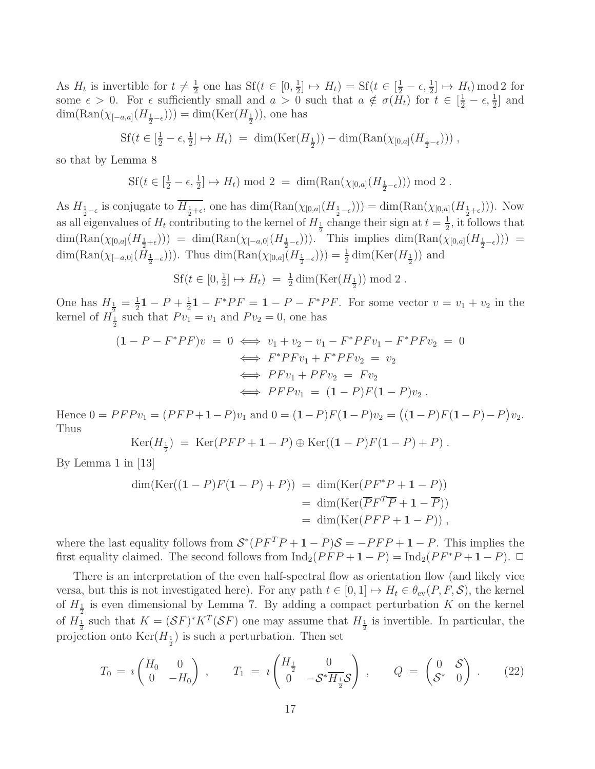As  $H_t$  is invertible for  $t \neq \frac{1}{2}$  $\frac{1}{2}$  one has Sf( $t \in [0, \frac{1}{2}]$  $\frac{1}{2}$   $\mapsto$   $H_t$  = Sf( $t \in \left[\frac{1}{2} - \epsilon, \frac{1}{2}\right] \mapsto H_t$ ) mod 2 for some  $\epsilon > 0$ . For  $\epsilon$  sufficiently small and  $a > 0$  such that  $a \notin \sigma(\bar{H}_t)$  for  $t \in [\frac{1}{2} - \epsilon, \frac{1}{2}]$  and  $\dim(\text{Ran}(\chi_{[-a,a]}(H_{\frac{1}{2}-\epsilon}))) = \dim(\text{Ker}(H_{\frac{1}{2}}))$ , one has

$$
Sf(t \in [\frac{1}{2} - \epsilon, \frac{1}{2}] \mapsto H_t) = \dim(\text{Ker}(H_{\frac{1}{2}})) - \dim(\text{Ran}(\chi_{[0,a]}(H_{\frac{1}{2}-\epsilon})))
$$

so that by Lemma [8](#page-14-1)

$$
Sf(t \in [\frac{1}{2} - \epsilon, \frac{1}{2}] \mapsto H_t) \bmod 2 = \dim(\text{Ran}(\chi_{[0,a]}(H_{\frac{1}{2}-\epsilon}))) \bmod 2.
$$

As  $H_{\frac{1}{2}-\epsilon}$  is conjugate to  $H_{\frac{1}{2}+\epsilon}$ , one has  $\dim(\text{Ran}(\chi_{[0,a]}(H_{\frac{1}{2}-\epsilon}))) = \dim(\text{Ran}(\chi_{[0,a]}(H_{\frac{1}{2}+\epsilon})))$ . Now as all eigenvalues of  $H_t$  contributing to the kernel of  $H_{\frac{1}{2}}$  change their sign at  $t = \frac{1}{2}$  $\frac{1}{2}$ , it follows that  $\dim(\text{Ran}(\chi_{[0,a]}(H_{\frac{1}{2}+\epsilon}))) = \dim(\text{Ran}(\chi_{[-a,0]}(H_{\frac{1}{2}-\epsilon}))).$  This implies  $\dim(\text{Ran}(\chi_{[0,a]}(H_{\frac{1}{2}-\epsilon}))) =$  $\dim(\text{Ran}(\chi_{[-a,0]}(H_{\frac{1}{2}-\epsilon})))$ . Thus  $\dim(\text{Ran}(\chi_{[0,a]}(H_{\frac{1}{2}-\epsilon}))) = \frac{1}{2}\dim(\text{Ker}(H_{\frac{1}{2}}))$  and

$$
Sf(t \in [0, \frac{1}{2}] \mapsto H_t) = \frac{1}{2} \dim(\text{Ker}(H_{\frac{1}{2}})) \mod 2.
$$

One has  $H_{\frac{1}{2}} = \frac{1}{2}$  $\frac{1}{2}$ **1** – *P* +  $\frac{1}{2}$  $\frac{1}{2}$ **1** –  $F^*PF =$  **1** –  $P$  –  $F^*PF$ . For some vector  $v = v_1 + v_2$  in the kernel of  $H_{{}1}^{\mathsf{I}}$  such that  $P v_1 = v_1$  and  $P v_2 = 0$ , one has

$$
(1 - P - F^*PF)v = 0 \iff v_1 + v_2 - v_1 - F^*PFv_1 - F^*PFv_2 = 0
$$
  

$$
\iff F^*PFv_1 + F^*PFv_2 = v_2
$$
  

$$
\iff PFv_1 + PFv_2 = Fv_2
$$
  

$$
\iff PFPv_1 = (1 - P)F(1 - P)v_2.
$$

Hence  $0 = PFPv_1 = (PFP+1-P)v_1$  and  $0 = (1-P)F(1-P)v_2 = ((1-P)F(1-P)-P)v_2$ . Thus

$$
\text{Ker}(H_{\frac{1}{2}}) = \text{Ker}(PFP + 1 - P) \oplus \text{Ker}((1 - P)F(1 - P) + P) .
$$

By Lemma 1 in [\[13\]](#page-36-3)

$$
\dim(\text{Ker}((1 - P)F(1 - P) + P)) = \dim(\text{Ker}(PF^*P + 1 - P))
$$
  
= 
$$
\dim(\text{Ker}(\overline{P}F^T\overline{P} + 1 - \overline{P}))
$$
  
= 
$$
\dim(\text{Ker}(PFP + 1 - P)),
$$

where the last equality follows from  $S^*(\overline{P}F^T\overline{P}+1-\overline{P})S = -PFP+1-P$ . This implies the first equality claimed. The second follows from  $\text{Ind}_2(PF + 1 - P) = \text{Ind}_2(PF^*P + 1 - P)$ .  $\Box$ 

There is an interpretation of the even half-spectral flow as orientation flow (and likely vice versa, but this is not investigated here). For any path  $t \in [0, 1] \mapsto H_t \in \theta_{ev}(P, F, S)$ , the kernel of  $H_{\frac{1}{2}}$  is even dimensional by Lemma [7.](#page-14-0) By adding a compact perturbation K on the kernel of  $H_{\frac{1}{2}}$  such that  $K = (SF)^* K^T (SF)$  one may assume that  $H_{\frac{1}{2}}$  is invertible. In particular, the projection onto  $\text{Ker}(H_{\frac{1}{2}})$  is such a perturbation. Then set

<span id="page-16-0"></span>
$$
T_0 = i \begin{pmatrix} H_0 & 0 \\ 0 & -H_0 \end{pmatrix} , \qquad T_1 = i \begin{pmatrix} H_{\frac{1}{2}} & 0 \\ 0 & -S^* \overline{H_{\frac{1}{2}}} S \end{pmatrix} , \qquad Q = \begin{pmatrix} 0 & S \\ S^* & 0 \end{pmatrix} . \tag{22}
$$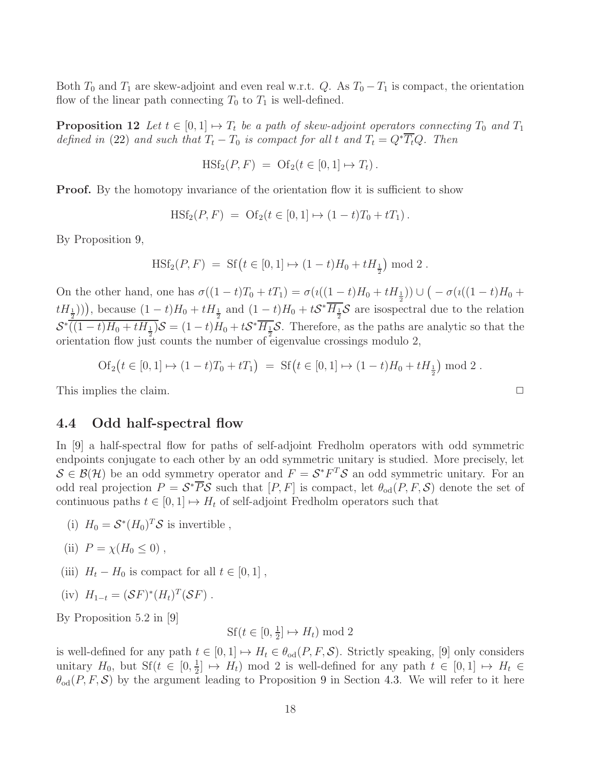<span id="page-17-1"></span>Both  $T_0$  and  $T_1$  are skew-adjoint and even real w.r.t. Q. As  $T_0 - T_1$  is compact, the orientation flow of the linear path connecting  $T_0$  to  $T_1$  is well-defined.

**Proposition 12** Let  $t \in [0,1] \mapsto T_t$  be a path of skew-adjoint operators connecting  $T_0$  and  $T_1$ *defined in* [\(22\)](#page-16-0) *and such that*  $T_t - T_0$  *is compact for all* t *and*  $T_t = Q^* \overline{T_t} Q$ . Then

$$
H\mathrm{Sf}_2(P,F) = \mathrm{Of}_2(t \in [0,1] \mapsto T_t).
$$

**Proof.** By the homotopy invariance of the orientation flow it is sufficient to show

 $\text{HSt}_2(P, F) = \text{Of}_2(t \in [0, 1] \mapsto (1 - t)T_0 + tT_1).$ 

By Proposition [9,](#page-14-2)

$$
\label{eq:HSf2} \text{H} \text{S} \text{f}_2(P,F) \;=\; \text{S} \text{f}\left(t \in [0,1] \mapsto (1-t)H_0 + t H_{\frac{1}{2}}\right) \, \text{mod}\; 2 \; .
$$

On the other hand, one has  $\sigma((1-t)T_0 + tT_1) = \sigma(\iota((1-t)H_0 + tH_{\frac{1}{2}})) \cup (-\sigma(\iota((1-t)H_0 + tH_1))$  $t(H_{\frac{1}{2}}))$ , because  $(1-t)H_0 + tH_{\frac{1}{2}}$  and  $(1-t)H_0 + tS^* \overline{H_{\frac{1}{2}}}S$  are isospectral due to the relation  $\mathcal{S}^* \overline{((1-t)H_0 + tH_{\frac{1}{2}})}\mathcal{S} = (1-t)H_0 + t\mathcal{S}^* \overline{H_{\frac{1}{2}}}\mathcal{S}$ . Therefore, as the paths are analytic so that the orientation flow just counts the number of eigenvalue crossings modulo 2,

$$
Of_2(t \in [0, 1] \mapsto (1 - t)T_0 + tT_1) = Sf(t \in [0, 1] \mapsto (1 - t)H_0 + tH_{\frac{1}{2}} \mod 2.
$$

<span id="page-17-0"></span>This implies the claim.

#### 4.4 Odd half-spectral flow

In [\[9\]](#page-36-8) a half-spectral flow for paths of self-adjoint Fredholm operators with odd symmetric endpoints conjugate to each other by an odd symmetric unitary is studied. More precisely, let  $S \in \mathcal{B}(\mathcal{H})$  be an odd symmetry operator and  $F = \mathcal{S}^* F^T \mathcal{S}$  an odd symmetric unitary. For an odd real projection  $P = \mathcal{S}^* \overline{P} \mathcal{S}$  such that  $[P, F]$  is compact, let  $\theta_{od}(P, F, \mathcal{S})$  denote the set of continuous paths  $t \in [0, 1] \mapsto H_t$  of self-adjoint Fredholm operators such that

- (i)  $H_0 = \mathcal{S}^*(H_0)^T \mathcal{S}$  is invertible,
- (ii)  $P = \chi(H_0 \leq 0)$ ,
- (iii)  $H_t H_0$  is compact for all  $t \in [0, 1]$ ,
- (iv)  $H_{1-t} = (\mathcal{S}F)^*(H_t)^T(\mathcal{S}F)$ .

By Proposition 5.2 in [\[9\]](#page-36-8)

 $Sf(t \in [0, \frac{1}{2}$  $\frac{1}{2}$   $\mapsto$   $H_t$ ) mod 2

is well-defined for any path  $t \in [0, 1] \mapsto H_t \in \theta_{od}(P, F, S)$ . Strictly speaking, [\[9\]](#page-36-8) only considers unitary  $H_0$ , but  $\text{Sf}(t \in [0, \frac{1}{2})$  $\frac{1}{2} \rightarrow H_t$  mod 2 is well-defined for any path  $t \in [0,1] \mapsto H_t \in$  $\theta_{od}(P, F, \mathcal{S})$  by the argument leading to Proposition [9](#page-14-2) in Section [4.3.](#page-13-0) We will refer to it here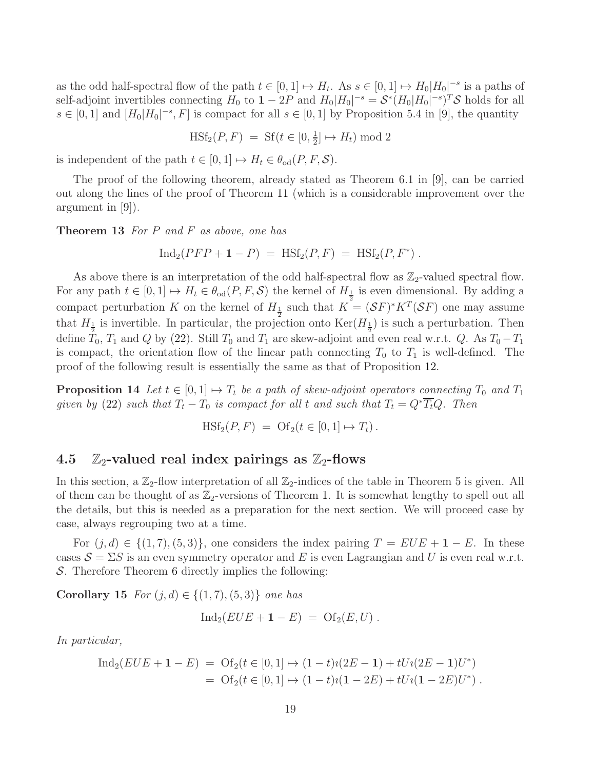as the odd half-spectral flow of the path  $t \in [0,1] \mapsto H_t$ . As  $s \in [0,1] \mapsto H_0|H_0|^{-s}$  is a paths of self-adjoint invertibles connecting  $H_0$  to  $1 - 2P$  and  $H_0|H_0|^{-s} = \mathcal{S}^*(H_0|H_0|^{-s})^T\mathcal{S}$  holds for all  $s \in [0,1]$  and  $[H_0|H_0|^{-s}, F]$  is compact for all  $s \in [0,1]$  by Proposition 5.4 in [\[9\]](#page-36-8), the quantity

$$
\text{HSt}_2(P, F) = \text{Sf}(t \in [0, \frac{1}{2}] \mapsto H_t) \text{ mod } 2
$$

is independent of the path  $t \in [0, 1] \mapsto H_t \in \theta_{od}(P, F, S)$ .

The proof of the following theorem, already stated as Theorem 6.1 in [\[9\]](#page-36-8), can be carried out along the lines of the proof of Theorem [11](#page-15-0) (which is a considerable improvement over the argument in [\[9\]](#page-36-8)).

<span id="page-18-1"></span>Theorem 13 *For* P *and* F *as above, one has*

$$
Ind_2(PP + 1 - P) = HSt_2(P, F) = HSt_2(P, F^*) .
$$

As above there is an interpretation of the odd half-spectral flow as  $\mathbb{Z}_2$ -valued spectral flow. For any path  $t \in [0,1] \mapsto H_t \in \theta_{od}(P, F, S)$  the kernel of  $H_{\frac{1}{2}}$  is even dimensional. By adding a compact perturbation K on the kernel of  $H_{\frac{1}{2}}$  such that  $K = (SF)^* K^T (SF)$  one may assume that  $H_{\frac{1}{2}}$  is invertible. In particular, the projection onto  $\text{Ker}(H_{\frac{1}{2}})$  is such a perturbation. Then define  $\tilde{T}_0$ ,  $T_1$  and Q by [\(22\)](#page-16-0). Still  $T_0$  and  $T_1$  are skew-adjoint and even real w.r.t. Q. As  $T_0 - T_1$ is compact, the orientation flow of the linear path connecting  $T_0$  to  $T_1$  is well-defined. The proof of the following result is essentially the same as that of Proposition [12.](#page-17-1)

<span id="page-18-3"></span>**Proposition 14** Let  $t \in [0,1] \mapsto T_t$  be a path of skew-adjoint operators connecting  $T_0$  and  $T_1$ *given by* [\(22\)](#page-16-0) *such that*  $T_t - T_0$  *is compact for all* t *and such that*  $T_t = Q^* \overline{T_t} Q$ . Then

$$
H\mathrm{Sf}_2(P,F) = \mathrm{Of}_2(t \in [0,1] \mapsto T_t).
$$

#### <span id="page-18-0"></span>4.5  $\mathbb{Z}_2$ -valued real index pairings as  $\mathbb{Z}_2$ -flows

In this section, a  $\mathbb{Z}_2$ -flow interpretation of all  $\mathbb{Z}_2$ -indices of the table in Theorem [5](#page-9-1) is given. All of them can be thought of as  $\mathbb{Z}_2$ -versions of Theorem [1.](#page-6-0) It is somewhat lengthy to spell out all the details, but this is needed as a preparation for the next section. We will proceed case by case, always regrouping two at a time.

For  $(j, d) \in \{(1, 7), (5, 3)\}\)$ , one considers the index pairing  $T = EUE + 1 - E$ . In these cases  $S = \Sigma S$  is an even symmetry operator and E is even Lagrangian and U is even real w.r.t. S. Therefore Theorem [6](#page-12-3) directly implies the following:

<span id="page-18-2"></span>**Corollary 15** *For*  $(j, d)$  ∈  ${(1, 7), (5, 3)}$  *one has* 

$$
Ind_2(EUE + \mathbf{1} - E) = \mathrm{Of}_2(E, U) .
$$

*In particular,*

$$
\text{Ind}_2(EUE + \mathbf{1} - E) = \text{Of}_2(t \in [0, 1] \mapsto (1 - t)i(2E - \mathbf{1}) + tUi(2E - \mathbf{1})U^*)
$$
  
= 
$$
\text{Of}_2(t \in [0, 1] \mapsto (1 - t)i(\mathbf{1} - 2E) + tUi(\mathbf{1} - 2E)U^*)
$$
.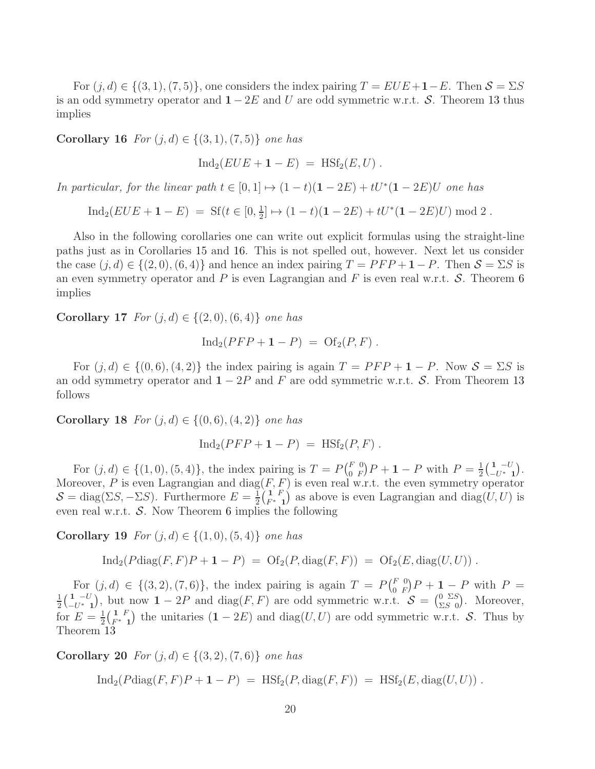For  $(j, d) \in \{(3, 1), (7, 5)\}\)$ , one considers the index pairing  $T = EUE + 1 - E$ . Then  $S = \Sigma S$ is an odd symmetry operator and  $1 - 2E$  and U are odd symmetric w.r.t. S. Theorem [13](#page-18-1) thus implies

<span id="page-19-0"></span>**Corollary 16** *For*  $(j, d)$  ∈  ${(3, 1), (7, 5)}$  *one has* 

$$
Ind_2(EUE + \mathbf{1} - E) = HSt_2(E, U) .
$$

*In particular, for the linear path*  $t \in [0,1] \mapsto (1-t)(1-2E) + tU^*(1-2E)U$  *one has* 

 $\text{Ind}_2(EUE + \mathbf{1} - E) = \text{Sf}(t \in [0, \frac{1}{2}$  $\frac{1}{2}$   $\mapsto$   $(1-t)(1-2E) + tU^*(1-2E)U$  mod 2.

Also in the following corollaries one can write out explicit formulas using the straight-line paths just as in Corollaries [15](#page-18-2) and [16.](#page-19-0) This is not spelled out, however. Next let us consider the case  $(j, d) \in \{(2, 0), (6, 4)\}\$  and hence an index pairing  $T = PFP + 1 - P$ . Then  $S = \Sigma S$  is an even symmetry operator and P is even Lagrangian and F is even real w.r.t.  $\mathcal{S}$ . Theorem [6](#page-12-3) implies

<span id="page-19-1"></span>Corollary 17 *For*  $(j, d) \in \{(2, 0), (6, 4)\}$  *one has* 

$$
Ind_2(PFP+1-P) = Of_2(P,F).
$$

<span id="page-19-2"></span>For  $(j, d) \in \{(0, 6), (4, 2)\}\$  the index pairing is again  $T = PFP + 1 - P$ . Now  $S = \Sigma S$  is an odd symmetry operator and  $1 - 2P$  and F are odd symmetric w.r.t. S. From Theorem [13](#page-18-1) follows

**Corollary 18** *For*  $(j, d) \in \{(0, 6), (4, 2)\}$  *one has* 

$$
Ind_2(PFP + 1 - P) = HSt_2(P, F) .
$$

For  $(j, d) \in \{(1, 0), (5, 4)\}\$ , the index pairing is  $T = P\binom{F}{0}$  $\binom{F\ 0}{0}\n P + 1 - P$  with  $P = \frac{1}{2}$  $\frac{1}{2} \left( \begin{array}{c} 1 & -U \\ -U^* \end{array} \right)$  $\begin{array}{c} \mathbf{1} \ \ -U^* \ \ \mathbf{1} \end{array} \biggr).$ Moreover, P is even Lagrangian and  $diag(F, F)$  is even real w.r.t. the even symmetry operator  $\mathcal{S} = \text{diag}(\Sigma S, -\Sigma S)$ . Furthermore  $E = \frac{1}{2}$  $\frac{1}{2}$  $\left(\frac{1}{F^*}F\right)$  $\left( \begin{matrix} 1 & F \\ F^* & 1 \end{matrix} \right)$  as above is even Lagrangian and  $diag(U, U)$  is even real w.r.t.  $\mathcal{S}$ . Now Theorem [6](#page-12-3) implies the following

**Corollary 19** *For*  $(j, d)$  ∈  ${(1, 0), (5, 4)}$  *one has* 

$$
Ind_2(Pdiag(F,F)P + 1 - P) = Of_2(P, diag(F,F)) = Of_2(E, diag(U,U)).
$$

For  $(j, d) \in \{(3, 2), (7, 6)\},\$  the index pairing is again  $T = P(\begin{matrix} F & 0 \\ 0 & F \end{matrix})$ For  $(j,d) \in \{(3,2), (7,6)\}$ , the index pairing is again  $T = P(\begin{bmatrix} F & 0 \\ 0 & F \end{bmatrix} P + 1 - P$  with  $P = \frac{1}{1}(\begin{bmatrix} 1 & -U \end{bmatrix})$  but now  $1 - 2P$  and diag(*F, F)* are odd symmetric w.r.t.  $S = \begin{bmatrix} 0 & \Sigma S \end{bmatrix}$ . Moreover  $\frac{1}{2} \left( \begin{array}{c} 1 & -U \\ -U^* \end{array} \right)$  $\frac{1}{-U^*}$ , but now  $1-2P$  and  $diag(F, F)$  are odd symmetric w.r.t.  $S = \begin{pmatrix} 0 & \Sigma S \\ \Sigma S & 0 \end{pmatrix}$  $\sum_{S}^{0}$   $\sum_{S}^{S}$  (). Moreover, for  $E=\frac{1}{2}$  $\frac{1}{2} \Big( \frac{1}{F^*} F$  $\binom{1}{F^*}$  the unitaries  $(1 - 2E)$  and  $diag(U, U)$  are odd symmetric w.r.t. S. Thus by Theorem [13](#page-18-1)

**Corollary 20** For  $(j, d) \in \{(3, 2), (7, 6)\}$  one has

 $\text{Ind}_2(P \text{diag}(F, F)P + 1 - P) = \text{H} \text{S} f_2(P, \text{diag}(F, F)) = \text{H} \text{S} f_2(E, \text{diag}(U, U))$ .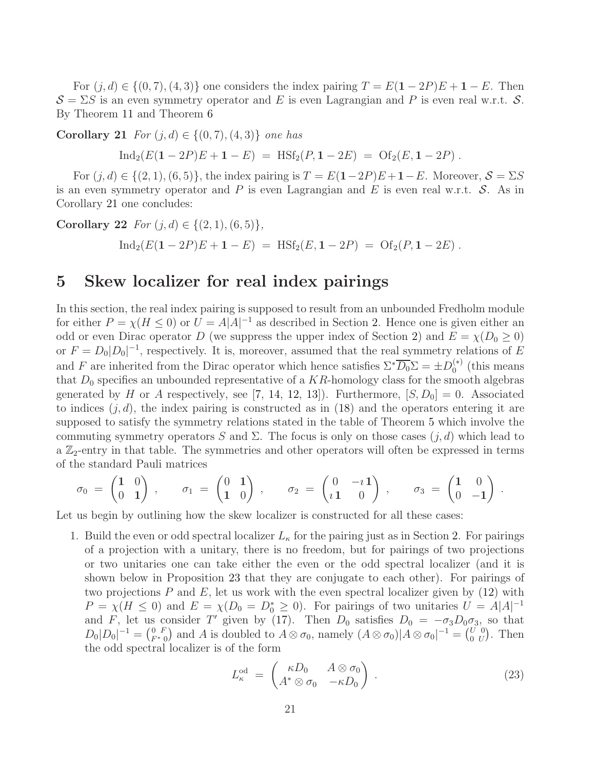For  $(j, d) \in \{(0, 7), (4, 3)\}\$  one considers the index pairing  $T = E(1 - 2P)E + 1 - E$ . Then  $\mathcal{S} = \Sigma S$  is an even symmetry operator and E is even Lagrangian and P is even real w.r.t.  $\mathcal{S}$ . By Theorem [11](#page-15-0) and Theorem [6](#page-12-3)

<span id="page-20-1"></span>**Corollary 21** *For*  $(j, d) \in \{(0, 7), (4, 3)\}$  *one has* 

 $\text{Ind}_2(E(1-2P)E + 1 - E) = \text{HSt}_2(P, 1-2E) = \text{Of}_2(E, 1-2P)$ .

For  $(j, d) \in \{(2, 1), (6, 5)\}\,$ , the index pairing is  $T = E(1-2P)E + 1-E$ . Moreover,  $S = \Sigma S$ is an even symmetry operator and  $P$  is even Lagrangian and  $E$  is even real w.r.t.  $S$ . As in Corollary [21](#page-20-1) one concludes:

Corollary 22  $For (i, d) \in \{(2, 1), (6, 5)\}\$  $\text{Ind}_2(E(1-2P)E + 1 - E) = \text{HSt}_2(E, 1-2P) = \text{Of}_2(P, 1-2E)$ .

## <span id="page-20-0"></span>5 Skew localizer for real index pairings

In this section, the real index pairing is supposed to result from an unbounded Fredholm module for either  $P = \chi(H \le 0)$  or  $U = A|A|^{-1}$  as described in Section [2.](#page-5-0) Hence one is given either an odd or even Dirac operator D (we suppress the upper index of Section [2\)](#page-5-0) and  $E = \chi(D_0 \ge 0)$ or  $F = D_0|D_0|^{-1}$ , respectively. It is, moreover, assumed that the real symmetry relations of E and F are inherited from the Dirac operator which hence satisfies  $\Sigma^* \overline{D_0} \Sigma = \pm D_0^{(*)}$  $_0^{(*)}$  (this means that  $D_0$  specifies an unbounded representative of a KR-homology class for the smooth algebras generated by H or A respectively, see [\[7,](#page-36-12) [14,](#page-36-15) [12,](#page-36-11) [13\]](#page-36-3)). Furthermore,  $[S, D_0] = 0$ . Associated to indices  $(j, d)$ , the index pairing is constructed as in [\(18\)](#page-9-2) and the operators entering it are supposed to satisfy the symmetry relations stated in the table of Theorem [5](#page-9-1) which involve the commuting symmetry operators S and  $\Sigma$ . The focus is only on those cases  $(j, d)$  which lead to a  $\mathbb{Z}_2$ -entry in that table. The symmetries and other operators will often be expressed in terms of the standard Pauli matrices

$$
\sigma_0\;=\;\begin{pmatrix}1&0\\0&1\end{pmatrix}\;,\qquad \sigma_1\;=\;\begin{pmatrix}0&1\\1&0\end{pmatrix}\;,\qquad \sigma_2\;=\;\begin{pmatrix}0&-\imath\,1\\ \imath\,1&0\end{pmatrix}\;,\qquad \sigma_3\;=\;\begin{pmatrix}1&0\\0&-1\end{pmatrix}\;.
$$

Let us begin by outlining how the skew localizer is constructed for all these cases:

1. Build the even or odd spectral localizer  $L_{\kappa}$  for the pairing just as in Section [2.](#page-5-0) For pairings of a projection with a unitary, there is no freedom, but for pairings of two projections or two unitaries one can take either the even or the odd spectral localizer (and it is shown below in Proposition [23](#page-21-0) that they are conjugate to each other). For pairings of two projections  $P$  and  $E$ , let us work with the even spectral localizer given by  $(12)$  with  $P = \chi(H \le 0)$  and  $E = \chi(D_0 = D_0^* \ge 0)$ . For pairings of two unitaries  $U = A|A|^{-1}$ and F, let us consider T' given by [\(17\)](#page-9-3). Then  $D_0$  satisfies  $D_0 = -\sigma_3 D_0 \sigma_3$ , so that  $D_0|D_0|^{-1} = \begin{pmatrix} 0 & F \\ F^* & 0 \end{pmatrix}$  and A is doubled to  $A \otimes \sigma_0$ , namely  $(A \otimes \sigma_0)|A \otimes \sigma_0|^{-1} = \begin{pmatrix} U & 0 \\ 0 & U \end{pmatrix}$  $\begin{pmatrix} U & 0 \\ 0 & U \end{pmatrix}$ . Then the odd spectral localizer is of the form

<span id="page-20-2"></span>
$$
L_{\kappa}^{\text{od}} = \begin{pmatrix} \kappa D_0 & A \otimes \sigma_0 \\ A^* \otimes \sigma_0 & -\kappa D_0 \end{pmatrix} . \tag{23}
$$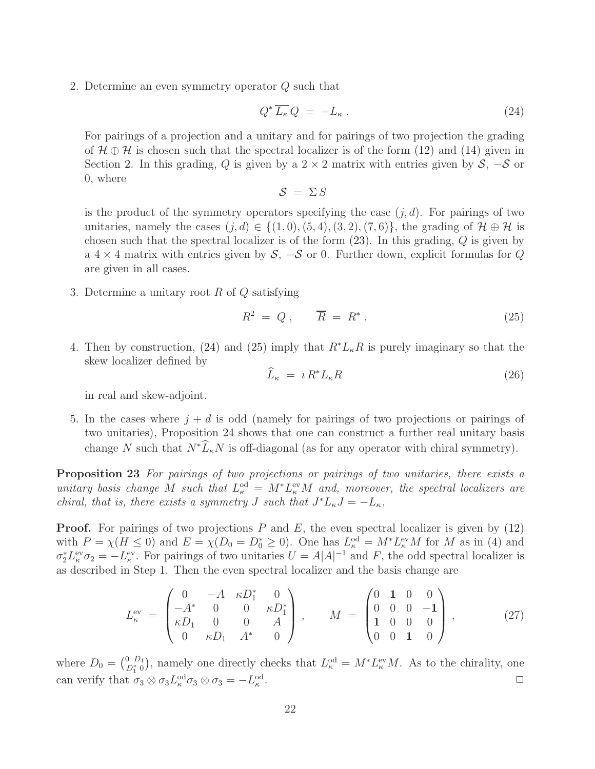2. Determine an even symmetry operator Q such that

<span id="page-21-1"></span>
$$
Q^* \overline{L_{\kappa}} Q = -L_{\kappa} . \tag{24}
$$

For pairings of a projection and a unitary and for pairings of two projection the grading of  $\mathcal{H} \oplus \mathcal{H}$  is chosen such that the spectral localizer is of the form [\(12\)](#page-7-1) and [\(14\)](#page-7-2) given in Section [2.](#page-5-0) In this grading, Q is given by a  $2 \times 2$  matrix with entries given by  $S$ ,  $-S$  or 0, where

 $S = \Sigma S$ 

is the product of the symmetry operators specifying the case  $(j, d)$ . For pairings of two unitaries, namely the cases  $(j, d) \in \{(1, 0), (5, 4), (3, 2), (7, 6)\}$ , the grading of  $\mathcal{H} \oplus \mathcal{H}$  is chosen such that the spectral localizer is of the form [\(23\)](#page-20-2). In this grading, Q is given by a  $4 \times 4$  matrix with entries given by  $S$ ,  $-S$  or 0. Further down, explicit formulas for  $Q$ are given in all cases.

3. Determine a unitary root  $R$  of  $Q$  satisfying

<span id="page-21-2"></span>
$$
R^2 = Q \,, \qquad \overline{R} = R^* \,. \tag{25}
$$

4. Then by construction, [\(24\)](#page-21-1) and [\(25\)](#page-21-2) imply that  $R^*L_{\kappa}R$  is purely imaginary so that the skew localizer defined by

<span id="page-21-4"></span>
$$
\widehat{L}_{\kappa} = \imath R^* L_{\kappa} R \tag{26}
$$

in real and skew-adjoint.

5. In the cases where  $j + d$  is odd (namely for pairings of two projections or pairings of two unitaries), Proposition [24](#page-21-3) shows that one can construct a further real unitary basis change N such that  $N^*\widehat{L}_\kappa N$  is off-diagonal (as for any operator with chiral symmetry).

<span id="page-21-0"></span>Proposition 23 *For pairings of two projections or pairings of two unitaries, there exists a unitary basis change* M *such that*  $L_{\kappa}^{\text{od}} = M^* L_{\kappa}^{\text{ev}} M$  *and, moreover, the spectral localizers are chiral, that is, there exists a symmetry J such that*  $J^*L_{\kappa}J = -L_{\kappa}$ .

**Proof.** For pairings of two projections  $P$  and  $E$ , the even spectral localizer is given by  $(12)$ with  $P = \chi(H \leq 0)$  and  $E = \chi(D_0 = D_0^* \geq 0)$ . One has  $L_{\kappa}^{\text{od}} = M^* L_{\kappa}^{\text{ev}} M$  for M as in [\(4\)](#page-3-1) and  $\sigma_2^* L_{\kappa}^{\text{ev}} \sigma_2 = -L_{\kappa}^{\text{ev}}$ . For pairings of two unitaries  $U = A|A|^{-1}$  and F, the odd spectral localizer is as described in Step 1. Then the even spectral localizer and the basis change are

<span id="page-21-5"></span>
$$
L_{\kappa}^{\text{ev}} = \begin{pmatrix} 0 & -A & \kappa D_1^* & 0 \\ -A^* & 0 & 0 & \kappa D_1^* \\ \kappa D_1 & 0 & 0 & A \\ 0 & \kappa D_1 & A^* & 0 \end{pmatrix}, \qquad M = \begin{pmatrix} 0 & 1 & 0 & 0 \\ 0 & 0 & 0 & -1 \\ 1 & 0 & 0 & 0 \\ 0 & 0 & 1 & 0 \end{pmatrix}, \tag{27}
$$

<span id="page-21-3"></span>where  $D_0 = \binom{0, D_1}{D_1^* 0}$ , namely one directly checks that  $L_{\kappa}^{\text{od}} = M^* L_{\kappa}^{\text{ev}} M$ . As to the chirality, one can verify that  $\sigma_3 \otimes \sigma_3 L_\kappa^{\text{od}} \sigma_3 \otimes \sigma_3 = -L_\kappa^{\text{od}}$ . ✷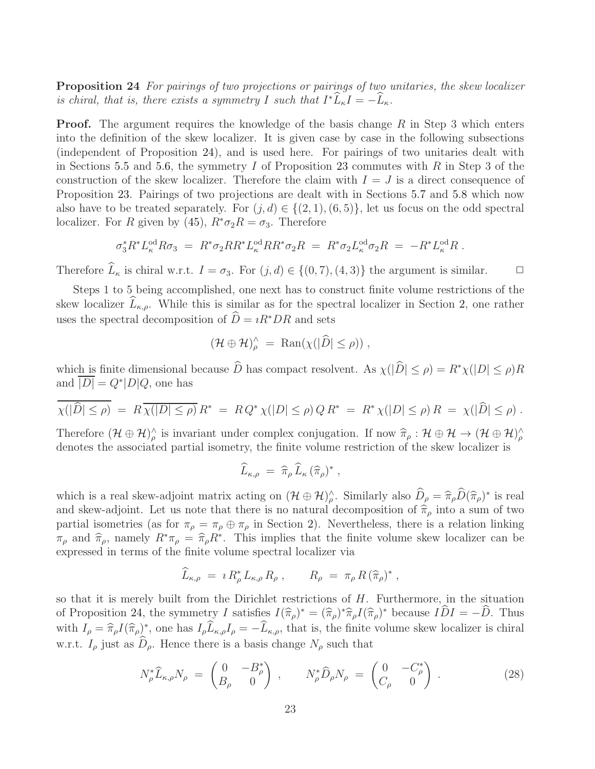Proposition 24 *For pairings of two projections or pairings of two unitaries, the skew localizer is chiral, that is, there exists a symmetry* I *such that*  $I^*\tilde{L}_\kappa I = -\tilde{L}_\kappa$ .

**Proof.** The argument requires the knowledge of the basis change  $R$  in Step 3 which enters into the definition of the skew localizer. It is given case by case in the following subsections (independent of Proposition [24\)](#page-21-3), and is used here. For pairings of two unitaries dealt with in Sections [5.5](#page-33-0) and [5.6,](#page-34-0) the symmetry I of Proposition [23](#page-21-0) commutes with R in Step 3 of the construction of the skew localizer. Therefore the claim with  $I = J$  is a direct consequence of Proposition [23.](#page-21-0) Pairings of two projections are dealt with in Sections [5.7](#page-34-1) and [5.8](#page-35-0) which now also have to be treated separately. For  $(j, d) \in \{(2, 1), (6, 5)\}\,$  let us focus on the odd spectral localizer. For R given by [\(45\)](#page-34-2),  $R^*\sigma_2R = \sigma_3$ . Therefore

$$
\sigma_3^* R^* L^{\text{od}}_\kappa R \sigma_3 = R^* \sigma_2 R R^* L^{\text{od}}_\kappa R R^* \sigma_2 R = R^* \sigma_2 L^{\text{od}}_\kappa \sigma_2 R = -R^* L^{\text{od}}_\kappa R.
$$

Therefore  $\widehat{L}_{\kappa}$  is chiral w.r.t.  $I = \sigma_3$ . For  $(j, d) \in \{(0, 7), (4, 3)\}$  the argument is similar.  $\Box$ 

Steps 1 to 5 being accomplished, one next has to construct finite volume restrictions of the skew localizer  $L_{\kappa,\rho}$ . While this is similar as for the spectral localizer in Section [2,](#page-5-0) one rather uses the spectral decomposition of  $\hat{D} = iR^*DR$  and sets

$$
(\mathcal{H}\oplus\mathcal{H})^{\wedge}_{\rho} = \text{Ran}(\chi(|\widehat{D}| \leq \rho)),
$$

which is finite dimensional because  $\widehat{D}$  has compact resolvent. As  $\chi(|\widehat{D}| \leq \rho) = R^*\chi(|D| \leq \rho)R$ and  $\overline{|D|} = Q^*|D|Q$ , one has

$$
\overline{\chi(|\hat{D}| \le \rho)} = R \overline{\chi(|D| \le \rho)} R^* = R Q^* \chi(|D| \le \rho) Q R^* = R^* \chi(|D| \le \rho) R = \chi(|\hat{D}| \le \rho).
$$

Therefore  $(\mathcal{H} \oplus \mathcal{H})^{\wedge}_{\rho}$  is invariant under complex conjugation. If now  $\widehat{\pi}_{\rho} : \mathcal{H} \oplus \mathcal{H} \rightarrow (\mathcal{H} \oplus \mathcal{H})^{\wedge}_{\rho}$ denotes the associated partial isometry, the finite volume restriction of the skew localizer is

$$
\widehat{L}_{\kappa,\rho} = \widehat{\pi}_{\rho} \widehat{L}_{\kappa} (\widehat{\pi}_{\rho})^*,
$$

which is a real skew-adjoint matrix acting on  $(\mathcal{H} \oplus \mathcal{H})^{\wedge}_{\rho}$ . Similarly also  $\hat{D}_{\rho} = \hat{\pi}_{\rho} \hat{D}(\hat{\pi}_{\rho})^*$  is real and skew-adjoint. Let us note that there is no natural decomposition of  $\hat{\pi}_{\rho}$  into a sum of two partial isometries (as for  $\pi_{\rho} = \pi_{\rho} \oplus \pi_{\rho}$  in Section [2\)](#page-5-0). Nevertheless, there is a relation linking  $\pi_{\rho}$  and  $\hat{\pi}_{\rho}$ , namely  $R^*\pi_{\rho} = \hat{\pi}_{\rho}R^*$ . This implies that the finite volume skew localizer can be expressed in terms of the finite volume spectral localizer via

$$
\widehat{L}_{\kappa,\rho} = i R_{\rho}^* L_{\kappa,\rho} R_{\rho} , \qquad R_{\rho} = \pi_{\rho} R (\widehat{\pi}_{\rho})^* ,
$$

so that it is merely built from the Dirichlet restrictions of  $H$ . Furthermore, in the situation of Proposition [24,](#page-21-3) the symmetry I satisfies  $I(\hat{\pi}_{\rho})^* = (\hat{\pi}_{\rho})^* \hat{\pi}_{\rho} I(\hat{\pi}_{\rho})^*$  because  $I\hat{D}I = -\hat{D}$ . Thus with  $I_{\rho} = \hat{\pi}_{\rho} I(\hat{\pi}_{\rho})^*$ , one has  $I_{\rho} \tilde{L}_{\kappa,\rho} I_{\rho} = -\tilde{L}_{\kappa,\rho}$ , that is, the finite volume skew localizer is chiral w.r.t.  $I_{\rho}$  just as  $D_{\rho}$ . Hence there is a basis change  $N_{\rho}$  such that

<span id="page-22-0"></span>
$$
N_{\rho}^{*}\hat{L}_{\kappa,\rho}N_{\rho} = \begin{pmatrix} 0 & -B_{\rho}^{*} \\ B_{\rho} & 0 \end{pmatrix}, \qquad N_{\rho}^{*}\hat{D}_{\rho}N_{\rho} = \begin{pmatrix} 0 & -C_{\rho}^{*} \\ C_{\rho} & 0 \end{pmatrix}.
$$
 (28)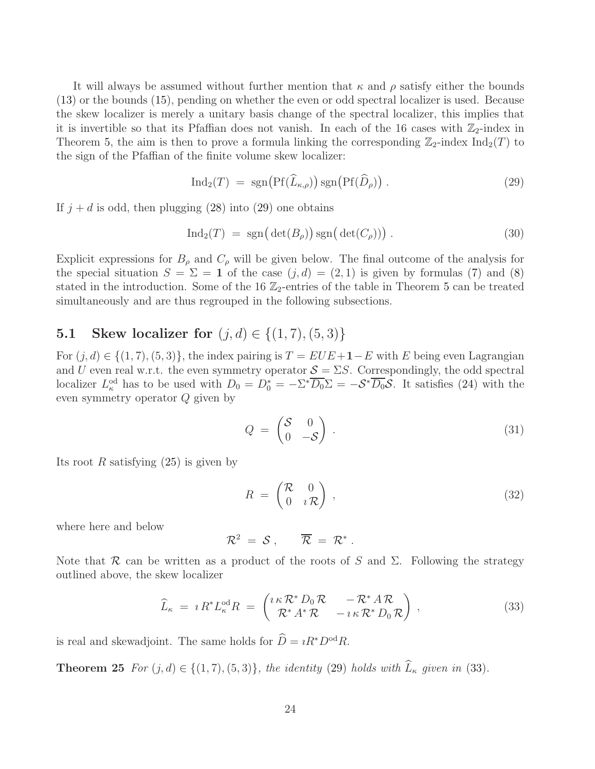It will always be assumed without further mention that  $\kappa$  and  $\rho$  satisfy either the bounds [\(13\)](#page-7-0) or the bounds [\(15\)](#page-8-1), pending on whether the even or odd spectral localizer is used. Because the skew localizer is merely a unitary basis change of the spectral localizer, this implies that it is invertible so that its Pfaffian does not vanish. In each of the 16 cases with  $\mathbb{Z}_2$ -index in Theorem [5,](#page-9-1) the aim is then to prove a formula linking the corresponding  $\mathbb{Z}_2$ -index  $\text{Ind}_2(T)$  to the sign of the Pfaffian of the finite volume skew localizer:

<span id="page-23-0"></span>
$$
\operatorname{Ind}_2(T) = \operatorname{sgn}\left(\operatorname{Pf}(\widehat{L}_{\kappa,\rho})\right) \operatorname{sgn}\left(\operatorname{Pf}(\widehat{D}_{\rho})\right). \tag{29}
$$

If  $j + d$  is odd, then plugging [\(28\)](#page-22-0) into [\(29\)](#page-23-0) one obtains

<span id="page-23-6"></span>
$$
Ind_2(T) = sgn\big(\det(B_\rho)\big) sgn\big(\det(C_\rho)\big)\big) . \tag{30}
$$

Explicit expressions for  $B_\rho$  and  $C_\rho$  will be given below. The final outcome of the analysis for the special situation  $S = \Sigma = 1$  of the case  $(j, d) = (2, 1)$  is given by formulas [\(7\)](#page-4-2) and [\(8\)](#page-4-1) stated in the introduction. Some of the 16  $\mathbb{Z}_2$ -entries of the table in Theorem [5](#page-9-1) can be treated simultaneously and are thus regrouped in the following subsections.

## <span id="page-23-2"></span>5.1 Skew localizer for  $(j, d) \in \{(1, 7), (5, 3)\}\$

For  $(j, d) \in \{(1, 7), (5, 3)\}\,$ , the index pairing is  $T = EUE + 1-E$  with E being even Lagrangian and U even real w.r.t. the even symmetry operator  $S = \Sigma S$ . Correspondingly, the odd spectral localizer  $L_{\kappa}^{\text{od}}$  has to be used with  $D_0 = D_0^* = -\Sigma^* \overline{D_0} \Sigma = -\mathcal{S}^* \overline{D_0} \mathcal{S}$ . It satisfies [\(24\)](#page-21-1) with the even symmetry operator Q given by

<span id="page-23-4"></span>
$$
Q = \begin{pmatrix} S & 0 \\ 0 & -S \end{pmatrix} . \tag{31}
$$

Its root R satisfying  $(25)$  is given by

<span id="page-23-5"></span>
$$
R = \begin{pmatrix} R & 0 \\ 0 & iR \end{pmatrix}, \tag{32}
$$

where here and below

$$
\mathcal{R}^2 = S , \qquad \overline{\mathcal{R}} = \mathcal{R}^* .
$$

Note that R can be written as a product of the roots of S and  $\Sigma$ . Following the strategy outlined above, the skew localizer

<span id="page-23-1"></span>
$$
\widehat{L}_{\kappa} = \imath R^* L_{\kappa}^{\text{od}} R = \begin{pmatrix} \imath \kappa \mathcal{R}^* D_0 \mathcal{R} & -\mathcal{R}^* A \mathcal{R} \\ \mathcal{R}^* A^* \mathcal{R} & -\imath \kappa \mathcal{R}^* D_0 \mathcal{R} \end{pmatrix} \,, \tag{33}
$$

<span id="page-23-3"></span>is real and skewadjoint. The same holds for  $\widehat{D} = iR^*D^{od}R$ .

**Theorem 25** *For*  $(j, d) \in \{(1, 7), (5, 3)\}$ *, the identity* [\(29\)](#page-23-0) *holds with*  $\widehat{L}_{\kappa}$  *given in* [\(33\)](#page-23-1)*.*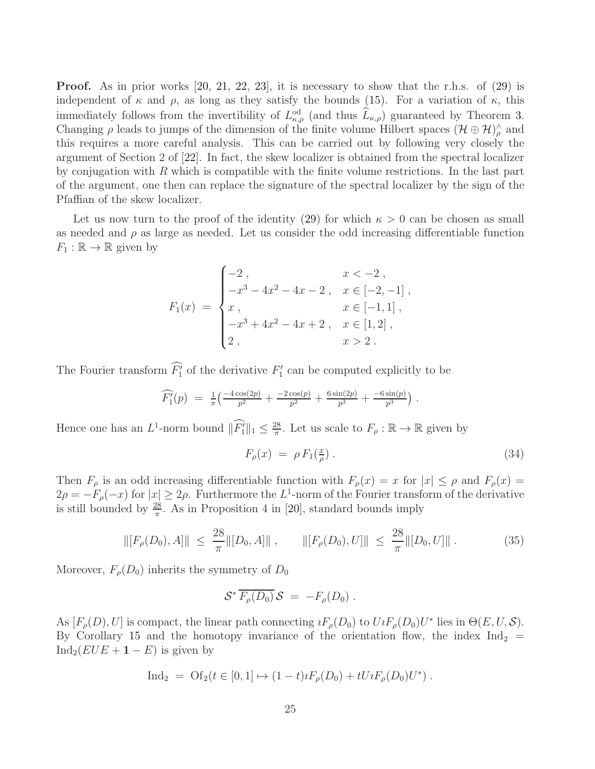**Proof.** As in prior works  $[20, 21, 22, 23]$  $[20, 21, 22, 23]$  $[20, 21, 22, 23]$  $[20, 21, 22, 23]$  $[20, 21, 22, 23]$  $[20, 21, 22, 23]$ , it is necessary to show that the r.h.s. of  $(29)$  is independent of  $\kappa$  and  $\rho$ , as long as they satisfy the bounds [\(15\)](#page-8-1). For a variation of  $\kappa$ , this immediately follows from the invertibility of  $L_{\kappa,\rho}^{\text{od}}$  (and thus  $\widehat{L}_{\kappa,\rho}$ ) guaranteed by Theorem [3.](#page-8-3) Changing  $\rho$  leads to jumps of the dimension of the finite volume Hilbert spaces  $(\mathcal{H} \oplus \mathcal{H})^{\wedge}_{\rho}$  and this requires a more careful analysis. This can be carried out by following very closely the argument of Section 2 of [\[22\]](#page-37-5). In fact, the skew localizer is obtained from the spectral localizer by conjugation with  $R$  which is compatible with the finite volume restrictions. In the last part of the argument, one then can replace the signature of the spectral localizer by the sign of the Pfaffian of the skew localizer.

Let us now turn to the proof of the identity [\(29\)](#page-23-0) for which  $\kappa > 0$  can be chosen as small as needed and  $\rho$  as large as needed. Let us consider the odd increasing differentiable function  $F_1 : \mathbb{R} \to \mathbb{R}$  given by

$$
F_1(x) = \begin{cases}\n-2, & x < -2, \\
-x^3 - 4x^2 - 4x - 2, & x \in [-2, -1], \\
x, & x \in [-1, 1], \\
-x^3 + 4x^2 - 4x + 2, & x \in [1, 2], \\
2, & x > 2.\n\end{cases}
$$

The Fourier transform  $F'_1$  of the derivative  $F'_1$  can be computed explicitly to be

$$
\widehat{F'_1}(p) = \frac{1}{\pi} \left( \frac{-4\cos(2p)}{p^2} + \frac{-2\cos(p)}{p^2} + \frac{6\sin(2p)}{p^3} + \frac{-6\sin(p)}{p^3} \right).
$$

Hence one has an  $L^1$ -norm bound  $\|\overrightarrow{F_1}\|_1 \leq \frac{28}{\pi}$  $\frac{28}{\pi}$ . Let us scale to  $F_{\rho} : \mathbb{R} \to \mathbb{R}$  given by

<span id="page-24-1"></span>
$$
F_{\rho}(x) = \rho F_1(\frac{x}{\rho}) \tag{34}
$$

Then  $F_{\rho}$  is an odd increasing differentiable function with  $F_{\rho}(x) = x$  for  $|x| \le \rho$  and  $F_{\rho}(x) = x$  $2\rho = -F_{\rho}(-x)$  for  $|x| \geq 2\rho$ . Furthermore the L<sup>1</sup>-norm of the Fourier transform of the derivative is still bounded by  $\frac{28}{\pi}$ . As in Proposition 4 in [\[20\]](#page-37-3), standard bounds imply

<span id="page-24-0"></span>
$$
\| [F_{\rho}(D_0), A] \| \leq \frac{28}{\pi} \| [D_0, A] \| , \qquad \| [F_{\rho}(D_0), U] \| \leq \frac{28}{\pi} \| [D_0, U] \| . \tag{35}
$$

Moreover,  $F_{\rho}(D_0)$  inherits the symmetry of  $D_0$ 

$$
\mathcal{S}^* \overline{F_\rho(D_0)} \, \mathcal{S} \; = \; -F_\rho(D_0) \; .
$$

As  $[F_{\rho}(D), U]$  is compact, the linear path connecting  $iF_{\rho}(D_0)$  to  $U_iF_{\rho}(D_0)U^*$  lies in  $\Theta(E, U, S)$ . By Corollary [15](#page-18-2) and the homotopy invariance of the orientation flow, the index  $\text{Ind}_2$  = Ind<sub>2</sub>( $EUE + 1 - E$ ) is given by

$$
\text{Ind}_2 = \text{Of}_2(t \in [0, 1] \mapsto (1 - t)\imath F_{\rho}(D_0) + tU \imath F_{\rho}(D_0)U^*) .
$$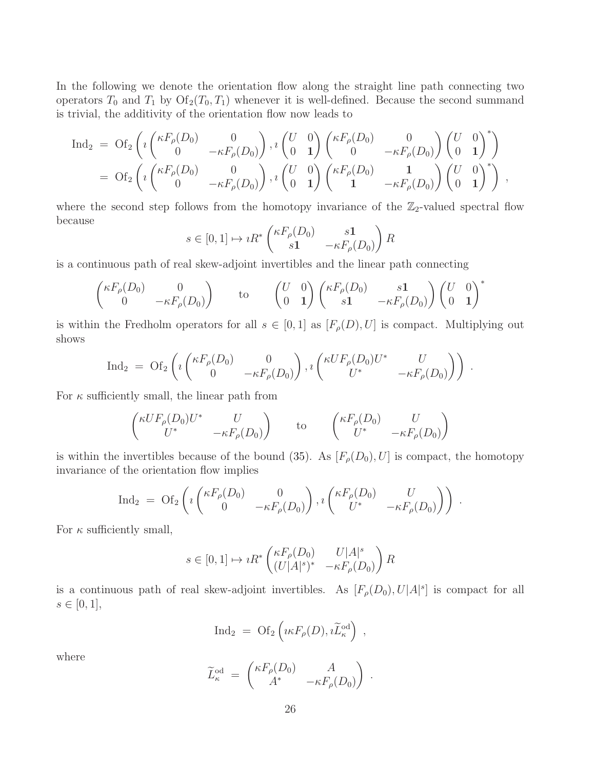In the following we denote the orientation flow along the straight line path connecting two operators  $T_0$  and  $T_1$  by  $\mathrm{Of}_2(T_0, T_1)$  whenever it is well-defined. Because the second summand is trivial, the additivity of the orientation flow now leads to

$$
\begin{array}{llll}\operatorname{Ind_2} & = & \operatorname{Of_2}\left(\imath\begin{pmatrix} \kappa F_{\rho}(D_0) & 0 \\ 0 & -\kappa F_{\rho}(D_0) \end{pmatrix}, \imath\begin{pmatrix} U & 0 \\ 0 & 1 \end{pmatrix} \begin{pmatrix} \kappa F_{\rho}(D_0) & 0 \\ 0 & -\kappa F_{\rho}(D_0) \end{pmatrix} \begin{pmatrix} U & 0 \\ 0 & 1 \end{pmatrix}^{*}\right) \\ & = & \operatorname{Of_2}\left(\imath\begin{pmatrix} \kappa F_{\rho}(D_0) & 0 \\ 0 & -\kappa F_{\rho}(D_0) \end{pmatrix}, \imath\begin{pmatrix} U & 0 \\ 0 & 1 \end{pmatrix} \begin{pmatrix} \kappa F_{\rho}(D_0) & 1 \\ 1 & -\kappa F_{\rho}(D_0) \end{pmatrix} \begin{pmatrix} U & 0 \\ 0 & 1 \end{pmatrix}^{*}\right) ,\end{array}
$$

where the second step follows from the homotopy invariance of the  $\mathbb{Z}_2$ -valued spectral flow because

$$
s \in [0,1] \mapsto iR^* \begin{pmatrix} \kappa F_\rho(D_0) & s\mathbf{1} \\ s\mathbf{1} & -\kappa F_\rho(D_0) \end{pmatrix} R
$$

is a continuous path of real skew-adjoint invertibles and the linear path connecting

$$
\begin{pmatrix} \kappa F_{\rho}(D_0) & 0 \\ 0 & -\kappa F_{\rho}(D_0) \end{pmatrix} \qquad \text{to} \qquad \begin{pmatrix} U & 0 \\ 0 & 1 \end{pmatrix} \begin{pmatrix} \kappa F_{\rho}(D_0) & s\mathbf{1} \\ s\mathbf{1} & -\kappa F_{\rho}(D_0) \end{pmatrix} \begin{pmatrix} U & 0 \\ 0 & \mathbf{1} \end{pmatrix}^*
$$

is within the Fredholm operators for all  $s \in [0,1]$  as  $[F_{\rho}(D), U]$  is compact. Multiplying out shows

$$
\mathrm{Ind}_{2} = \mathrm{Of}_{2}\left(i\begin{pmatrix} \kappa F_{\rho}(D_{0}) & 0 \\ 0 & -\kappa F_{\rho}(D_{0}) \end{pmatrix}, i\begin{pmatrix} \kappa UF_{\rho}(D_{0})U^{*} & U \\ U^{*} & -\kappa F_{\rho}(D_{0}) \end{pmatrix}\right).
$$

For  $\kappa$  sufficiently small, the linear path from

$$
\begin{pmatrix} \kappa U F_{\rho}(D_0) U^* & U \\ U^* & -\kappa F_{\rho}(D_0) \end{pmatrix} \qquad \text{to} \qquad \begin{pmatrix} \kappa F_{\rho}(D_0) & U \\ U^* & -\kappa F_{\rho}(D_0) \end{pmatrix}
$$

is within the invertibles because of the bound [\(35\)](#page-24-0). As  $[F_{\rho}(D_0), U]$  is compact, the homotopy invariance of the orientation flow implies

$$
\mathrm{Ind}_{2} = \mathrm{Of}_{2}\left(i\begin{pmatrix} \kappa F_{\rho}(D_{0}) & 0 \\ 0 & -\kappa F_{\rho}(D_{0}) \end{pmatrix}, i\begin{pmatrix} \kappa F_{\rho}(D_{0}) & U \\ U^{*} & -\kappa F_{\rho}(D_{0}) \end{pmatrix}\right).
$$

For  $\kappa$  sufficiently small,

$$
s \in [0,1] \mapsto iR^* \begin{pmatrix} \kappa F_\rho(D_0) & U|A|^s \\ (U|A|^s)^* & -\kappa F_\rho(D_0) \end{pmatrix} R
$$

is a continuous path of real skew-adjoint invertibles. As  $[F_{\rho}(D_0), U|A|^s]$  is compact for all  $s \in [0, 1],$ 

$$
\mathrm{Ind}_2 \;=\; \mathrm{Of}_2\left(\imath\kappa F_\rho(D), \imath \widetilde{L}_\kappa^{\mathrm{od}}\right) \;,
$$

where

$$
\widetilde{L}_{\kappa}^{\text{od}} = \begin{pmatrix} \kappa F_{\rho}(D_0) & A \\ A^* & -\kappa F_{\rho}(D_0) \end{pmatrix} .
$$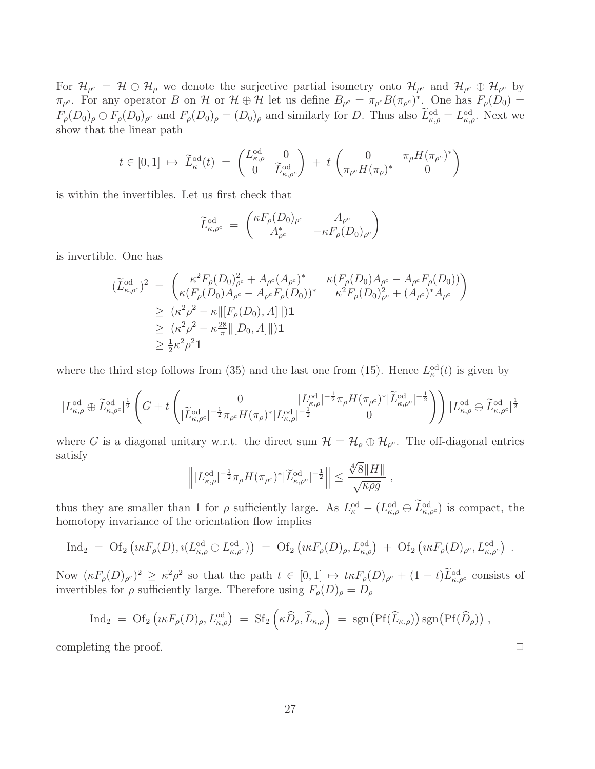For  $\mathcal{H}_{\rho^c} = \mathcal{H} \ominus \mathcal{H}_{\rho}$  we denote the surjective partial isometry onto  $\mathcal{H}_{\rho^c}$  and  $\mathcal{H}_{\rho^c} \oplus \mathcal{H}_{\rho^c}$  by  $\pi_{\rho^c}$ . For any operator B on H or  $\mathcal{H} \oplus \mathcal{H}$  let us define  $B_{\rho^c} = \pi_{\rho^c} B(\pi_{\rho^c})^*$ . One has  $F_{\rho}(D_0) =$  $F_{\rho}(D_0)_{\rho} \oplus F_{\rho}(D_0)_{\rho^c}$  and  $F_{\rho}(D_0)_{\rho} = (D_0)_{\rho}$  and similarly for D. Thus also  $\tilde{L}_{\kappa,\rho}^{\text{od}} = L_{\kappa,\rho}^{\text{od}}$ . Next we show that the linear path

$$
t \in [0,1] \mapsto \widetilde{L}_{\kappa}^{\text{od}}(t) = \begin{pmatrix} L_{\kappa,\rho}^{\text{od}} & 0\\ 0 & \widetilde{L}_{\kappa,\rho^c}^{\text{od}} \end{pmatrix} + t \begin{pmatrix} 0 & \pi_{\rho} H(\pi_{\rho^c})^*\\ \pi_{\rho^c} H(\pi_{\rho})^* & 0 \end{pmatrix}
$$

is within the invertibles. Let us first check that

$$
\widetilde{L}_{\kappa,\rho^c}^{\text{od}} = \begin{pmatrix} \kappa F_{\rho}(D_0)_{\rho^c} & A_{\rho^c} \\ A_{\rho^c}^* & -\kappa F_{\rho}(D_0)_{\rho^c} \end{pmatrix}
$$

is invertible. One has

$$
(\widetilde{L}_{\kappa,\rho^c}^{\text{od}})^2 = \begin{pmatrix} \kappa^2 F_{\rho}(D_0)_{\rho^c}^2 + A_{\rho^c}(A_{\rho^c})^* & \kappa (F_{\rho}(D_0)A_{\rho^c} - A_{\rho^c}F_{\rho}(D_0)) \\ \kappa (F_{\rho}(D_0)A_{\rho^c} - A_{\rho^c}F_{\rho}(D_0))^* & \kappa^2 F_{\rho}(D_0)_{\rho^c}^2 + (A_{\rho^c})^* A_{\rho^c} \end{pmatrix}
$$
  
\n
$$
\geq (\kappa^2 \rho^2 - \kappa ||[F_{\rho}(D_0), A]||)\mathbf{1}
$$
  
\n
$$
\geq (\kappa^2 \rho^2 - \kappa \frac{28}{\pi} ||[D_0, A]||)\mathbf{1}
$$
  
\n
$$
\geq \frac{1}{2} \kappa^2 \rho^2 \mathbf{1}
$$

where the third step follows from [\(35\)](#page-24-0) and the last one from [\(15\)](#page-8-1). Hence  $L_{\kappa}^{\text{od}}(t)$  is given by

$$
|L_{\kappa,\rho}^{\mathrm{od}}\oplus \widetilde{L}_{\kappa,\rho^c}^{\mathrm{od}}|^{\frac{1}{2}} \left(G+t\begin{pmatrix}0&|L_{\kappa,\rho}^{\mathrm{od}}|^{-\frac{1}{2}}\pi_\rho H(\pi_{\rho^c})^*|\widetilde{L}_{\kappa,\rho^c}^{\mathrm{od}}|^{-\frac{1}{2}}\\|\widetilde{L}_{\kappa,\rho^c}^{\mathrm{od}}|^{-\frac{1}{2}}\pi_\rho H(\pi_\rho)^*|L_{\kappa,\rho}^{\mathrm{od}}|^{-\frac{1}{2}}&0\end{pmatrix}\Big)\, |L_{\kappa,\rho}^{\mathrm{od}}\oplus \widetilde{L}_{\kappa,\rho^c}^{\mathrm{od}}|^{\frac{1}{2}}\right)
$$

where G is a diagonal unitary w.r.t. the direct sum  $\mathcal{H} = \mathcal{H}_{\rho} \oplus \mathcal{H}_{\rho^c}$ . The off-diagonal entries satisfy

$$
\left\| |L_{\kappa,\rho}^{\mathrm{od}}|^{-\frac{1}{2}} \pi_\rho H(\pi_{\rho^c})^* |\widetilde{L}_{\kappa,\rho^c}^{\mathrm{od}}|^{-\frac{1}{2}} \right\| \leq \frac{\sqrt[4]{8} \|H\|}{\sqrt{\kappa \rho g}} ,
$$

thus they are smaller than 1 for  $\rho$  sufficiently large. As  $L_{\kappa}^{\text{od}} - (L_{\kappa,\rho}^{\text{od}} \oplus L_{\kappa,\rho}^{\text{od}})$  is compact, the homotopy invariance of the orientation flow implies

$$
\text{Ind}_2 = \text{Of}_2\left(\iota\kappa F_{\rho}(D), \iota(L_{\kappa,\rho}^{\text{od}} \oplus L_{\kappa,\rho^c}^{\text{od}})\right) = \text{Of}_2\left(\iota\kappa F_{\rho}(D)_{\rho}, L_{\kappa,\rho}^{\text{od}}\right) + \text{Of}_2\left(\iota\kappa F_{\rho}(D)_{\rho^c}, L_{\kappa,\rho^c}^{\text{od}}\right).
$$

Now  $(\kappa F_{\rho}(D)_{\rho^c})^2 \geq \kappa^2 \rho^2$  so that the path  $t \in [0,1] \mapsto t \kappa F_{\rho}(D)_{\rho^c} + (1-t)L_{\kappa,\rho^c}^{od}$  consists of invertibles for  $\rho$  sufficiently large. Therefore using  $F_{\rho}(D)_{\rho} = D_{\rho}$ 

$$
\text{Ind}_2 = \text{Of}_2\left(\iota\kappa F_{\rho}(D)_{\rho}, L_{\kappa,\rho}^{\text{od}}\right) = \text{Sf}_2\left(\kappa \widehat{D}_{\rho}, \widehat{L}_{\kappa,\rho}\right) = \text{sgn}\big(\text{Pf}(\widehat{L}_{\kappa,\rho})\big) \text{sgn}\big(\text{Pf}(\widehat{D}_{\rho})\big) ,
$$

completing the proof.  $\Box$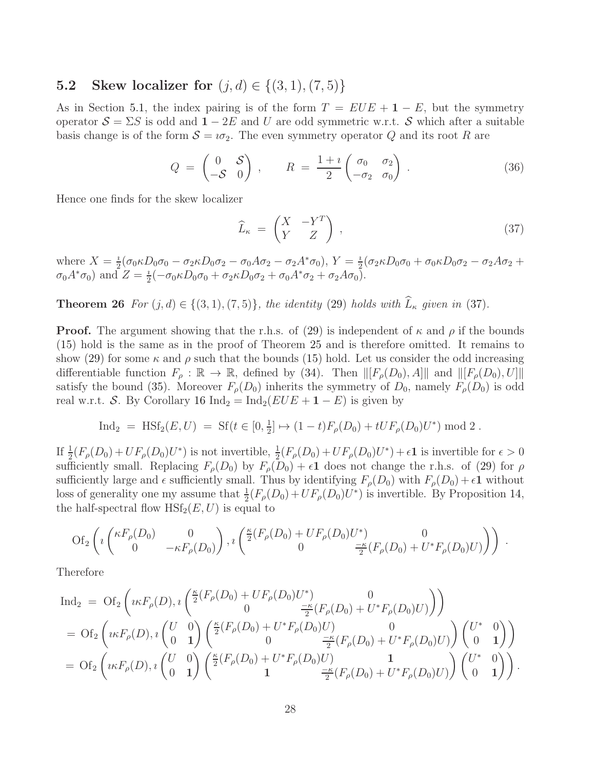### <span id="page-27-2"></span>**5.2** Skew localizer for  $(j, d) \in \{(3, 1), (7, 5)\}\$

As in Section [5.1,](#page-23-2) the index pairing is of the form  $T = EUE + 1 - E$ , but the symmetry operator  $S = \Sigma S$  is odd and  $1 - 2E$  and U are odd symmetric w.r.t. S which after a suitable basis change is of the form  $S = i\sigma_2$ . The even symmetry operator Q and its root R are

<span id="page-27-1"></span>
$$
Q = \begin{pmatrix} 0 & \mathcal{S} \\ -\mathcal{S} & 0 \end{pmatrix} \,, \qquad R = \frac{1+i}{2} \begin{pmatrix} \sigma_0 & \sigma_2 \\ -\sigma_2 & \sigma_0 \end{pmatrix} \,. \tag{36}
$$

Hence one finds for the skew localizer

<span id="page-27-0"></span>
$$
\widehat{L}_{\kappa} = \begin{pmatrix} X & -Y^T \\ Y & Z \end{pmatrix}, \tag{37}
$$

<span id="page-27-3"></span>where  $X=\frac{i}{2}$  $\frac{i}{2}(\sigma_0 \kappa D_0 \sigma_0 - \sigma_2 \kappa D_0 \sigma_2 - \sigma_0 A \sigma_2 - \sigma_2 A^* \sigma_0), Y = \frac{i}{2}$  $\frac{\imath}{2}(\sigma_2\kappa D_0\sigma_0 + \sigma_0\kappa D_0\sigma_2 - \sigma_2A\sigma_2 +$  $\sigma_0 A^* \sigma_0$  and  $Z = \frac{i}{2}$  $\frac{i}{2}(-\sigma_0\kappa D_0\sigma_0 + \sigma_2\kappa D_0\sigma_2 + \sigma_0A^*\sigma_2 + \sigma_2A\sigma_0).$ 

**Theorem 26** *For*  $(j, d) \in \{(3, 1), (7, 5)\}$ *, the identity* [\(29\)](#page-23-0) *holds with*  $\widehat{L}_{\kappa}$  *given in* [\(37\)](#page-27-0)*.* 

**Proof.** The argument showing that the r.h.s. of [\(29\)](#page-23-0) is independent of  $\kappa$  and  $\rho$  if the bounds [\(15\)](#page-8-1) hold is the same as in the proof of Theorem [25](#page-23-3) and is therefore omitted. It remains to show [\(29\)](#page-23-0) for some  $\kappa$  and  $\rho$  such that the bounds [\(15\)](#page-8-1) hold. Let us consider the odd increasing differentiable function  $F_{\rho} : \mathbb{R} \to \mathbb{R}$ , defined by [\(34\)](#page-24-1). Then  $\|[F_{\rho}(D_0), A]\|$  and  $\|[F_{\rho}(D_0), U]\|$ satisfy the bound [\(35\)](#page-24-0). Moreover  $F_{\rho}(D_0)$  inherits the symmetry of  $D_0$ , namely  $F_{\rho}(D_0)$  is odd real w.r.t. S. By Corollary [16](#page-19-0) Ind<sub>2</sub> = Ind<sub>2</sub>( $EUE + 1 - E$ ) is given by

$$
\text{Ind}_2 = \text{HSt}_2(E, U) = \text{Sf}(t \in [0, \frac{1}{2}] \mapsto (1 - t)F_\rho(D_0) + tUF_\rho(D_0)U^*) \text{ mod } 2.
$$

If  $\frac{1}{2}(F_{\rho}(D_0) + UF_{\rho}(D_0)U^*)$  is not invertible,  $\frac{1}{2}(F_{\rho}(D_0) + UF_{\rho}(D_0)U^*) + \epsilon \mathbf{1}$  is invertible for  $\epsilon > 0$ sufficiently small. Replacing  $F_{\rho}(D_0)$  by  $F_{\rho}(D_0) + \epsilon \mathbf{1}$  does not change the r.h.s. of [\(29\)](#page-23-0) for  $\rho$ sufficiently large and  $\epsilon$  sufficiently small. Thus by identifying  $F_{\rho}(D_0)$  with  $F_{\rho}(D_0) + \epsilon \mathbf{1}$  without loss of generality one my assume that  $\frac{1}{2}(F_{\rho}(D_0) + UF_{\rho}(D_0)U^*)$  is invertible. By Proposition [14,](#page-18-3) the half-spectral flow  $H\mathrm{Sf}_2(E, U)$  is equal to

$$
\text{Of}_2\left(\imath \begin{pmatrix} \kappa F_{\rho}(D_0) & 0 \\ 0 & -\kappa F_{\rho}(D_0) \end{pmatrix}, \imath \begin{pmatrix} \frac{\kappa}{2}(F_{\rho}(D_0) + UF_{\rho}(D_0)U^*) & 0 \\ 0 & \frac{-\kappa}{2}(F_{\rho}(D_0) + U^*F_{\rho}(D_0)U) \end{pmatrix}\right) \,.
$$

Therefore

$$
\begin{split} \mathrm{Ind}_{2} &= \mathrm{Of}_{2}\left(\imath\kappa F_{\rho}(D),\imath\begin{pmatrix} \frac{\kappa}{2}(F_{\rho}(D_{0})+UF_{\rho}(D_{0})U^{*}) & 0\\ 0 & \frac{-\kappa}{2}(F_{\rho}(D_{0})+U^{*}F_{\rho}(D_{0})U) \end{pmatrix}\right) \\ &= \mathrm{Of}_{2}\left(\imath\kappa F_{\rho}(D),\imath\begin{pmatrix} U & 0\\ 0 & 1 \end{pmatrix}\begin{pmatrix} \frac{\kappa}{2}(F_{\rho}(D_{0})+U^{*}F_{\rho}(D_{0})U) & 0\\ 0 & \frac{-\kappa}{2}(F_{\rho}(D_{0})+U^{*}F_{\rho}(D_{0})U) \end{pmatrix}\begin{pmatrix} U^{*} & 0\\ 0 & 1 \end{pmatrix}\right) \\ &= \mathrm{Of}_{2}\left(\imath\kappa F_{\rho}(D),\imath\begin{pmatrix} U & 0\\ 0 & 1 \end{pmatrix}\begin{pmatrix} \frac{\kappa}{2}(F_{\rho}(D_{0})+U^{*}F_{\rho}(D_{0})U) & 1\\ 1 & \frac{-\kappa}{2}(F_{\rho}(D_{0})+U^{*}F_{\rho}(D_{0})U) \end{pmatrix}\begin{pmatrix} U^{*} & 0\\ 0 & 1 \end{pmatrix}\right). \end{split}
$$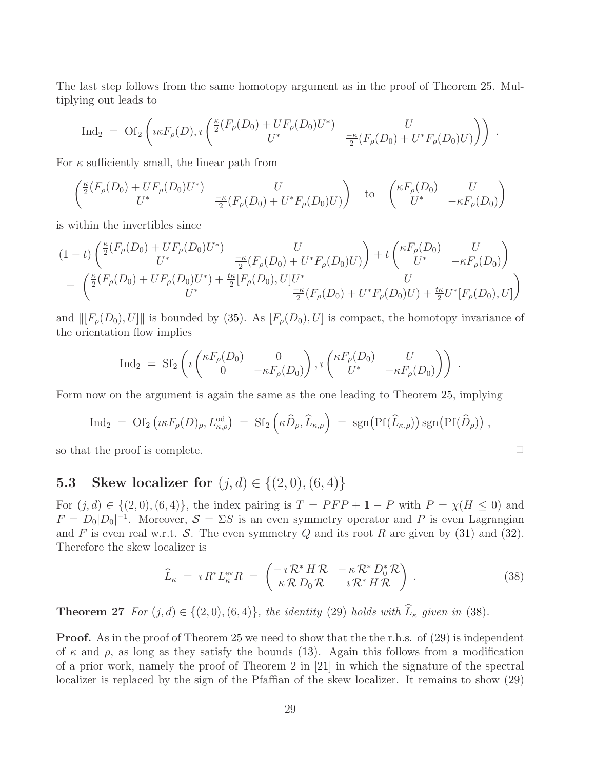The last step follows from the same homotopy argument as in the proof of Theorem [25.](#page-23-3) Multiplying out leads to

$$
\text{Ind}_2 = \text{Of}_2\left(\iota \kappa F_{\rho}(D), \iota\left(\frac{\kappa}{2}(F_{\rho}(D_0) + UF_{\rho}(D_0)U^*) - \frac{U}{2}(F_{\rho}(D_0) + U^*F_{\rho}(D_0)U)\right)\right).
$$

For  $\kappa$  sufficiently small, the linear path from

$$
\begin{pmatrix}\n\frac{\kappa}{2}(F_{\rho}(D_0) + UF_{\rho}(D_0)U^*) & U \\
U^* & \frac{-\kappa}{2}(F_{\rho}(D_0) + U^*F_{\rho}(D_0)U)\n\end{pmatrix} \quad \text{to} \quad \begin{pmatrix}\n\kappa F_{\rho}(D_0) & U \\
U^* & -\kappa F_{\rho}(D_0)\n\end{pmatrix}
$$

is within the invertibles since

$$
(1-t)\begin{pmatrix} \frac{\kappa}{2}(F_{\rho}(D_0) + UF_{\rho}(D_0)U^*) & U \\ U^* & \frac{-\kappa}{2}(F_{\rho}(D_0) + U^*F_{\rho}(D_0)U) \end{pmatrix} + t\begin{pmatrix} \kappa F_{\rho}(D_0) & U \\ U^* & -\kappa F_{\rho}(D_0) \end{pmatrix}
$$
  
= 
$$
\begin{pmatrix} \frac{\kappa}{2}(F_{\rho}(D_0) + UF_{\rho}(D_0)U^*) + \frac{t\kappa}{2}[F_{\rho}(D_0), U]U^* & U \\ U^* & \frac{-\kappa}{2}(F_{\rho}(D_0) + U^*F_{\rho}(D_0)U) + \frac{t\kappa}{2}U^*[F_{\rho}(D_0), U] \end{pmatrix}
$$

and  $\|[F_{\rho}(D_0), U]\|$  is bounded by [\(35\)](#page-24-0). As  $[F_{\rho}(D_0), U]$  is compact, the homotopy invariance of the orientation flow implies

$$
\mathrm{Ind}_{2} = \mathrm{Sf}_{2}\left(i \begin{pmatrix} \kappa F_{\rho}(D_{0}) & 0 \\ 0 & -\kappa F_{\rho}(D_{0}) \end{pmatrix}, i \begin{pmatrix} \kappa F_{\rho}(D_{0}) & U \\ U^{*} & -\kappa F_{\rho}(D_{0}) \end{pmatrix}\right).
$$

Form now on the argument is again the same as the one leading to Theorem [25,](#page-23-3) implying

$$
\text{Ind}_2 = \text{Of}_2\left(\iota\kappa F_{\rho}(D)_{\rho}, L_{\kappa,\rho}^{\text{od}}\right) = \text{Sf}_2\left(\kappa \widehat{D}_{\rho}, \widehat{L}_{\kappa,\rho}\right) = \text{sgn}\big(\text{Pf}(\widehat{L}_{\kappa,\rho})\big) \text{sgn}\big(\text{Pf}(\widehat{D}_{\rho})\big) ,
$$

so that the proof is complete.  $\Box$ 

## <span id="page-28-0"></span>5.3 Skew localizer for  $(j, d) \in \{(2, 0), (6, 4)\}\$

For  $(j, d) \in \{(2, 0), (6, 4)\}\$ , the index pairing is  $T = PFP + 1 - P$  with  $P = \chi(H \le 0)$  and  $F = D_0|D_0|^{-1}$ . Moreover,  $S = \Sigma S$  is an even symmetry operator and P is even Lagrangian and F is even real w.r.t. S. The even symmetry Q and its root R are given by  $(31)$  and  $(32)$ . Therefore the skew localizer is

<span id="page-28-1"></span>
$$
\widehat{L}_{\kappa} = \imath R^* L_{\kappa}^{\text{ev}} R = \begin{pmatrix} -\imath \mathcal{R}^* H \mathcal{R} & -\kappa \mathcal{R}^* D_0^* \mathcal{R} \\ \kappa \mathcal{R} D_0 \mathcal{R} & \imath \mathcal{R}^* H \mathcal{R} \end{pmatrix} . \tag{38}
$$

<span id="page-28-2"></span>**Theorem 27** *For*  $(j, d) \in \{(2, 0), (6, 4)\}$ *, the identity* [\(29\)](#page-23-0) *holds with*  $\widehat{L}_{\kappa}$  *given in* [\(38\)](#page-28-1)*.* 

**Proof.** As in the proof of Theorem [25](#page-23-3) we need to show that the the r.h.s. of [\(29\)](#page-23-0) is independent of  $\kappa$  and  $\rho$ , as long as they satisfy the bounds [\(13\)](#page-7-0). Again this follows from a modification of a prior work, namely the proof of Theorem 2 in [\[21\]](#page-37-4) in which the signature of the spectral localizer is replaced by the sign of the Pfaffian of the skew localizer. It remains to show [\(29\)](#page-23-0)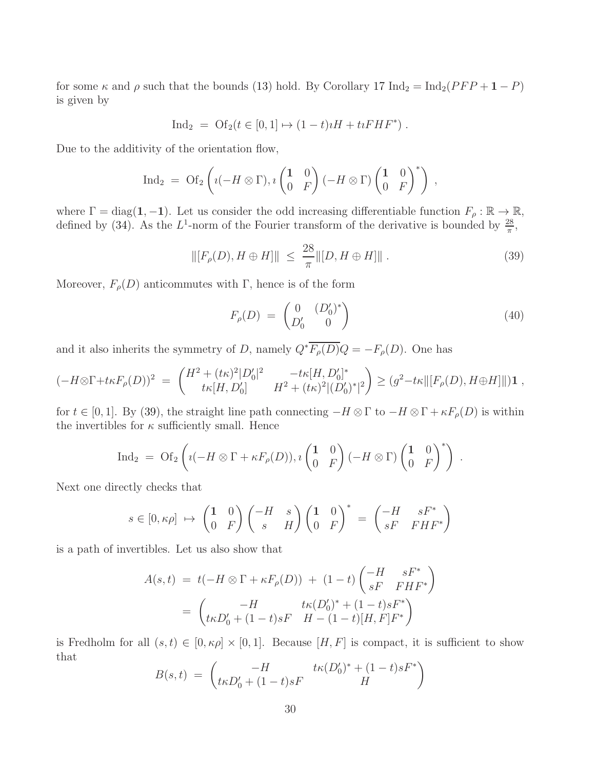for some  $\kappa$  and  $\rho$  such that the bounds [\(13\)](#page-7-0) hold. By Corollary [17](#page-19-1) Ind<sub>2</sub> = Ind<sub>2</sub>( $PFP + 1 - P$ ) is given by

$$
Ind_2 = Of_2(t \in [0,1] \mapsto (1-t)\imath H + \imath \imath FHF^*).
$$

Due to the additivity of the orientation flow,

$$
\mathrm{Ind}_2 = \mathrm{Of}_2\left(\imath(-H\otimes\Gamma),\imath\begin{pmatrix}1 & 0 \\ 0 & F\end{pmatrix}(-H\otimes\Gamma)\begin{pmatrix}1 & 0 \\ 0 & F\end{pmatrix}^*\right) ,
$$

where  $\Gamma = \text{diag}(1, -1)$ . Let us consider the odd increasing differentiable function  $F_{\rho} : \mathbb{R} \to \mathbb{R}$ , defined by [\(34\)](#page-24-1). As the  $L^1$ -norm of the Fourier transform of the derivative is bounded by  $\frac{28}{\pi}$ ,

$$
\| [F_{\rho}(D), H \oplus H] \| \leq \frac{28}{\pi} \| [D, H \oplus H] \|.
$$
 (39)

Moreover,  $F_{\rho}(D)$  anticommutes with Γ, hence is of the form

<span id="page-29-1"></span><span id="page-29-0"></span>
$$
F_{\rho}(D) = \begin{pmatrix} 0 & (D_0')^* \\ D_0' & 0 \end{pmatrix} \tag{40}
$$

and it also inherits the symmetry of D, namely  $Q^* \overline{F_{\rho}(D)} Q = -F_{\rho}(D)$ . One has

$$
(-H \otimes \Gamma + t\kappa F_{\rho}(D))^2 = \begin{pmatrix} H^2 + (t\kappa)^2 |D'_0|^2 & -t\kappa [H, D'_0]^* \\ t\kappa [H, D'_0] & H^2 + (t\kappa)^2 |(D'_0)^*|^2 \end{pmatrix} \geq (g^2 - t\kappa ||[F_{\rho}(D), H \oplus H]||) \mathbf{1} ,
$$

for  $t \in [0,1]$ . By [\(39\)](#page-29-0), the straight line path connecting  $-H \otimes \Gamma$  to  $-H \otimes \Gamma + \kappa F_{\rho}(D)$  is within the invertibles for  $\kappa$  sufficiently small. Hence

$$
\mathrm{Ind}_2 = \mathrm{Of}_2\left(\imath(-H\otimes\Gamma+\kappa F_\rho(D)),\imath\begin{pmatrix}1&0\\0&F\end{pmatrix}(-H\otimes\Gamma)\begin{pmatrix}1&0\\0&F\end{pmatrix}^*\right) .
$$

Next one directly checks that

$$
s \in [0, \kappa \rho] \mapsto \begin{pmatrix} 1 & 0 \\ 0 & F \end{pmatrix} \begin{pmatrix} -H & s \\ s & H \end{pmatrix} \begin{pmatrix} 1 & 0 \\ 0 & F \end{pmatrix}^* = \begin{pmatrix} -H & sF^* \\ sF & FHF^* \end{pmatrix}
$$

is a path of invertibles. Let us also show that

$$
A(s,t) = t(-H \otimes \Gamma + \kappa F_{\rho}(D)) + (1-t) \begin{pmatrix} -H & sF^* \\ sF & FHF^* \end{pmatrix}
$$
  
= 
$$
\begin{pmatrix} -H & t\kappa (D'_0)^* + (1-t)sF^* \\ t\kappa D'_0 + (1-t)sF & H - (1-t)[H, F]F^* \end{pmatrix}
$$

is Fredholm for all  $(s, t) \in [0, \kappa \rho] \times [0, 1]$ . Because  $[H, F]$  is compact, it is sufficient to show that

$$
B(s,t) = \begin{pmatrix} -H & t\kappa (D'_0)^* + (1-t)sF^* \\ t\kappa D'_0 + (1-t)sF & H \end{pmatrix}
$$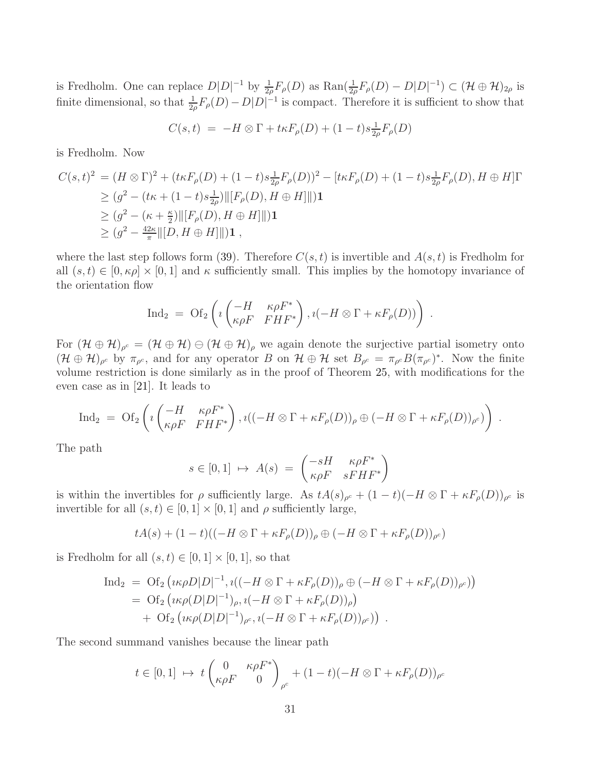is Fredholm. One can replace  $D|D|^{-1}$  by  $\frac{1}{2\rho}F_{\rho}(D)$  as  $\text{Ran}(\frac{1}{2\rho}F_{\rho}(D) - D|D|^{-1}) \subset (\mathcal{H} \oplus \mathcal{H})_{2\rho}$  is finite dimensional, so that  $\frac{1}{2\rho}F_{\rho}(D) - D|D|^{-1}$  is compact. Therefore it is sufficient to show that

$$
C(s,t) = -H \otimes \Gamma + t\kappa F_{\rho}(D) + (1-t)s_{2\rho}^{\perp}F_{\rho}(D)
$$

is Fredholm. Now

$$
C(s,t)^{2} = (H \otimes \Gamma)^{2} + (t\kappa F_{\rho}(D) + (1-t)s\frac{1}{2\rho}F_{\rho}(D))^{2} - [t\kappa F_{\rho}(D) + (1-t)s\frac{1}{2\rho}F_{\rho}(D), H \oplus H]\Gamma
$$
  
\n
$$
\geq (g^{2} - (t\kappa + (1-t)s\frac{1}{2\rho})\|[F_{\rho}(D), H \oplus H]\|)\mathbf{1}
$$
  
\n
$$
\geq (g^{2} - (\kappa + \frac{\kappa}{2})\|[F_{\rho}(D), H \oplus H]\|)\mathbf{1}
$$
  
\n
$$
\geq (g^{2} - \frac{42\kappa}{\pi}\|[D, H \oplus H]\|)\mathbf{1},
$$

where the last step follows form [\(39\)](#page-29-0). Therefore  $C(s, t)$  is invertible and  $A(s, t)$  is Fredholm for all  $(s, t) \in [0, \kappa \rho] \times [0, 1]$  and  $\kappa$  sufficiently small. This implies by the homotopy invariance of the orientation flow

$$
\text{Ind}_2 = \text{Of}_2\left(i\begin{pmatrix} -H & \kappa \rho F^*\\ \kappa \rho F & FHF^* \end{pmatrix}, i(-H \otimes \Gamma + \kappa F_\rho(D))\right).
$$

For  $(\mathcal{H} \oplus \mathcal{H})_{\rho^c} = (\mathcal{H} \oplus \mathcal{H}) \oplus (\mathcal{H} \oplus \mathcal{H})_{\rho}$  we again denote the surjective partial isometry onto  $(\mathcal{H} \oplus \mathcal{H})_{\rho^c}$  by  $\pi_{\rho^c}$ , and for any operator B on  $\mathcal{H} \oplus \mathcal{H}$  set  $B_{\rho^c} = \pi_{\rho^c} B(\pi_{\rho^c})^*$ . Now the finite volume restriction is done similarly as in the proof of Theorem [25,](#page-23-3) with modifications for the even case as in [\[21\]](#page-37-4). It leads to

$$
\mathrm{Ind}_2 = \mathrm{Of}_2\left( \imath \begin{pmatrix} -H & \kappa \rho F^* \\ \kappa \rho F & FHF^* \end{pmatrix}, \imath ((-H \otimes \Gamma + \kappa F_\rho(D))_\rho \oplus (-H \otimes \Gamma + \kappa F_\rho(D))_{\rho^c}) \right) .
$$

The path

$$
s \in [0,1] \mapsto A(s) = \begin{pmatrix} -sH & \kappa \rho F^* \\ \kappa \rho F & sFHF^* \end{pmatrix}
$$

is within the invertibles for  $\rho$  sufficiently large. As  $tA(s)_{\rho^c} + (1-t)(-H \otimes \Gamma + \kappa F_{\rho}(D))_{\rho^c}$  is invertible for all  $(s, t) \in [0, 1] \times [0, 1]$  and  $\rho$  sufficiently large,

$$
tA(s) + (1-t)((-H \otimes \Gamma + \kappa F_{\rho}(D))_{\rho} \oplus (-H \otimes \Gamma + \kappa F_{\rho}(D))_{\rho^c})
$$

is Fredholm for all  $(s, t) \in [0, 1] \times [0, 1]$ , so that

$$
\begin{array}{lll} \text{Ind}_2 & = & \text{Of}_2 \left( \iota \kappa \rho D |D|^{-1}, \iota \big( (-H \otimes \Gamma + \kappa F_\rho(D))_\rho \oplus (-H \otimes \Gamma + \kappa F_\rho(D))_{\rho^c} \big) \right) \\ & = & \text{Of}_2 \left( \iota \kappa \rho(D |D|^{-1})_\rho, \iota \big( -H \otimes \Gamma + \kappa F_\rho(D) \big)_\rho \right) \\ & + & \text{Of}_2 \left( \iota \kappa \rho(D |D|^{-1})_{\rho^c}, \iota \big( -H \otimes \Gamma + \kappa F_\rho(D) \big)_{\rho^c} \big) \right) \ .\end{array}
$$

The second summand vanishes because the linear path

$$
t \in [0,1] \mapsto t \begin{pmatrix} 0 & \kappa \rho F^* \\ \kappa \rho F & 0 \end{pmatrix}_{\rho^c} + (1-t)(-H \otimes \Gamma + \kappa F_{\rho}(D))_{\rho^c}
$$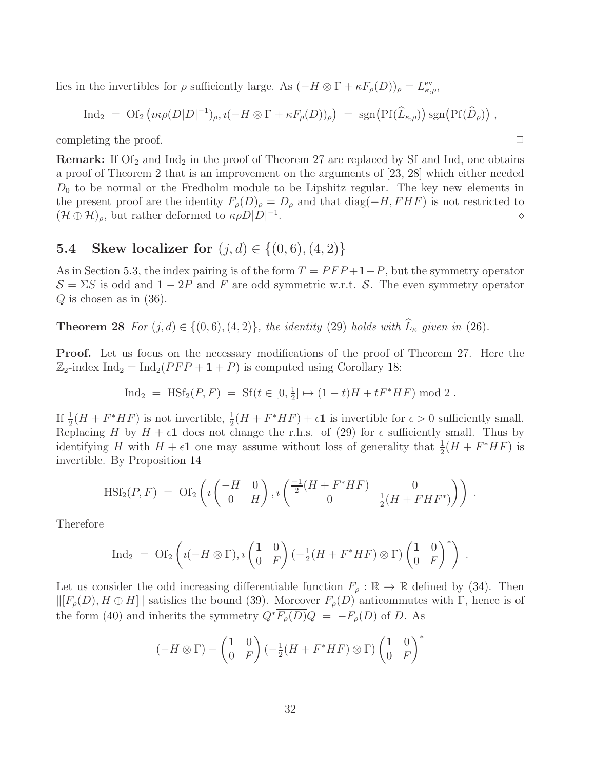lies in the invertibles for  $\rho$  sufficiently large. As  $(-H \otimes \Gamma + \kappa F_{\rho}(D))_{\rho} = L_{\kappa,\rho}^{\text{ev}},$ 

$$
\text{Ind}_2 = \text{Of}_2\left(\iota\kappa\rho(D|D|^{-1})_{\rho}, \iota(-H\otimes\Gamma+\kappa F_{\rho}(D))_{\rho}\right) = \text{sgn}\big(\text{Pf}(\widehat{L}_{\kappa,\rho})\big)\,\text{sgn}\big(\text{Pf}(\widehat{D}_{\rho})\big)\;,
$$

completing the proof.  $\Box$ 

**Remark:** If  $\text{Of}_2$  and  $\text{Ind}_2$  in the proof of Theorem [27](#page-28-2) are replaced by Sf and Ind, one obtains a proof of Theorem [2](#page-7-3) that is an improvement on the arguments of [\[23,](#page-37-6) [28\]](#page-37-7) which either needed  $D_0$  to be normal or the Fredholm module to be Lipshitz regular. The key new elements in the present proof are the identity  $F_{\rho}(D)_{\rho} = D_{\rho}$  and that diag( $-H, FHF$ ) is not restricted to  $(\mathcal{H} \oplus \mathcal{H})_{\rho}$ , but rather deformed to  $\kappa \rho D|D|^{-1}$  $\bullet$   $\circ$ 

### <span id="page-31-0"></span>5.4 Skew localizer for  $(j, d) \in \{(0, 6), (4, 2)\}\$

As in Section [5.3,](#page-28-0) the index pairing is of the form  $T = PFP+1-P$ , but the symmetry operator  $S = \Sigma S$  is odd and  $1 - 2P$  and F are odd symmetric w.r.t. S. The even symmetry operator  $Q$  is chosen as in  $(36)$ .

<span id="page-31-1"></span>**Theorem 28** *For*  $(j, d) \in \{(0, 6), (4, 2)\}$ *, the identity* [\(29\)](#page-23-0) *holds with*  $\widehat{L}_{\kappa}$  *given in* [\(26\)](#page-21-4)*.* 

Proof. Let us focus on the necessary modifications of the proof of Theorem [27.](#page-28-2) Here the  $\mathbb{Z}_2$ -index Ind<sub>2</sub> = Ind<sub>2</sub>(*PFP* + **1** + *P*) is computed using Corollary [18:](#page-19-2)

$$
\text{Ind}_2 = \text{HSt}_2(P, F) = \text{Sf}(t \in [0, \frac{1}{2}] \mapsto (1 - t)H + tF^*HF) \text{ mod } 2.
$$

If  $\frac{1}{2}(H + F^*HF)$  is not invertible,  $\frac{1}{2}(H + F^*HF) + \epsilon \mathbf{1}$  is invertible for  $\epsilon > 0$  sufficiently small. Replacing H by  $H + \epsilon \mathbf{1}$  does not change the r.h.s. of [\(29\)](#page-23-0) for  $\epsilon$  sufficiently small. Thus by identifying H with  $H + \epsilon \mathbf{1}$  one may assume without loss of generality that  $\frac{1}{2}(H + F^*HF)$  is invertible. By Proposition [14](#page-18-3)

$$
\text{HSt}_2(P, F) = \text{Of}_2\left(\imath \begin{pmatrix} -H & 0 \\ 0 & H \end{pmatrix}, \imath \begin{pmatrix} \frac{-1}{2}(H + F^*HF) & 0 \\ 0 & \frac{1}{2}(H + FHF^*) \end{pmatrix}\right).
$$

Therefore

$$
\text{Ind}_2 = \text{Of}_2\left(\imath(-H\otimes\Gamma),\imath\begin{pmatrix}1 & 0\\ 0 & F\end{pmatrix}\left(-\frac{1}{2}(H + F^*HF)\otimes\Gamma\right)\begin{pmatrix}1 & 0\\ 0 & F\end{pmatrix}^*\right).
$$

Let us consider the odd increasing differentiable function  $F_{\rho} : \mathbb{R} \to \mathbb{R}$  defined by [\(34\)](#page-24-1). Then  $\|[F_{\rho}(D), H \oplus H]\|$  satisfies the bound [\(39\)](#page-29-0). Moreover  $F_{\rho}(D)$  anticommutes with Γ, hence is of the form [\(40\)](#page-29-1) and inherits the symmetry  $Q^* \overline{F_{\rho}(D)} Q = -F_{\rho}(D)$  of D. As

$$
(-H \otimes \Gamma) - \begin{pmatrix} 1 & 0 \\ 0 & F \end{pmatrix} \left(-\frac{1}{2}(H + F^*HF) \otimes \Gamma\right) \begin{pmatrix} 1 & 0 \\ 0 & F \end{pmatrix}^*
$$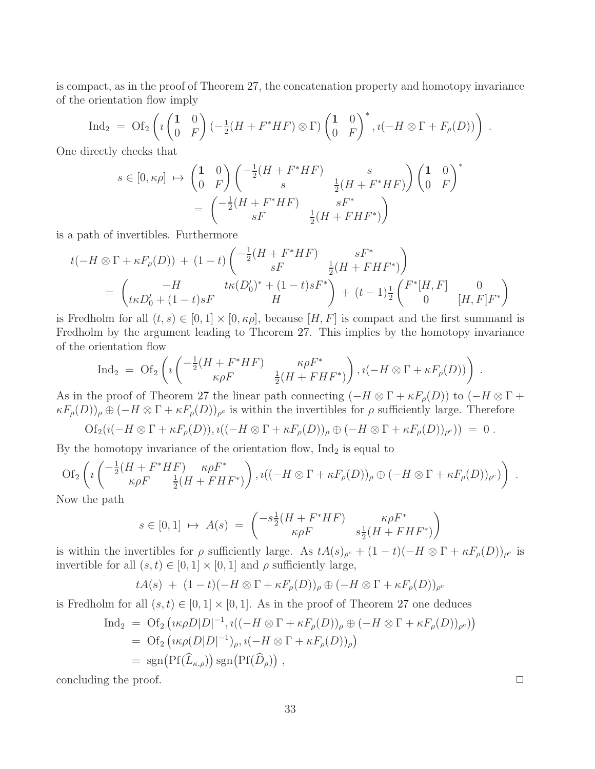is compact, as in the proof of Theorem [27,](#page-28-2) the concatenation property and homotopy invariance of the orientation flow imply

$$
\operatorname{Ind}_2 = \operatorname{Of}_2\left(i\begin{pmatrix}1 & 0\\ 0 & F\end{pmatrix}\left(-\frac{1}{2}(H + F^*HF)\otimes \Gamma\right)\begin{pmatrix}1 & 0\\ 0 & F\end{pmatrix}^*, i(-H\otimes \Gamma + F_\rho(D))\right).
$$

One directly checks that

$$
s \in [0, \kappa \rho] \rightarrow \begin{pmatrix} 1 & 0 \\ 0 & F \end{pmatrix} \begin{pmatrix} -\frac{1}{2}(H + F^*HF) & s \\ s & \frac{1}{2}(H + F^*HF) \end{pmatrix} \begin{pmatrix} 1 & 0 \\ 0 & F \end{pmatrix}^*
$$

$$
= \begin{pmatrix} -\frac{1}{2}(H + F^*HF) & sF^* \\ sF & \frac{1}{2}(H + FHF^*) \end{pmatrix}
$$

is a path of invertibles. Furthermore

$$
t(-H \otimes \Gamma + \kappa F_{\rho}(D)) + (1-t) \begin{pmatrix} -\frac{1}{2}(H + F^*HF) & sF^* \\ sF & \frac{1}{2}(H + FHF^*) \end{pmatrix}
$$
  
=  $\begin{pmatrix} -H & t\kappa(D'_0)^* + (1-t)sF^* \\ t\kappa D'_0 + (1-t)sF & H \end{pmatrix} + (t-1)\frac{1}{2} \begin{pmatrix} F^*[H, F] & 0 \\ 0 & [H, F]F^* \end{pmatrix}$ 

is Fredholm for all  $(t, s) \in [0, 1] \times [0, \kappa \rho]$ , because  $[H, F]$  is compact and the first summand is Fredholm by the argument leading to Theorem [27.](#page-28-2) This implies by the homotopy invariance of the orientation flow

$$
\text{Ind}_2 = \text{Of}_2\left(\imath \left( \frac{-\frac{1}{2}(H + F^*HF)}{\kappa \rho F} \frac{\kappa \rho F^*}{\frac{1}{2}(H + FHF^*)}\right), \imath (-H \otimes \Gamma + \kappa F_\rho(D))\right).
$$

As in the proof of Theorem [27](#page-28-2) the linear path connecting  $(-H \otimes \Gamma + \kappa F_{\rho}(D))$  to  $(-H \otimes \Gamma +$  $\kappa F_{\rho}(D)$ ,  $\oplus$   $(-H \otimes \Gamma + \kappa F_{\rho}(D))_{\rho^c}$  is within the invertibles for  $\rho$  sufficiently large. Therefore

$$
Of_2(\imath(-H\otimes\Gamma+\kappa F_\rho(D)),\imath((-H\otimes\Gamma+\kappa F_\rho(D))_\rho\oplus(-H\otimes\Gamma+\kappa F_\rho(D))_{\rho^c}))=0.
$$

By the homotopy invariance of the orientation flow,  $\text{Ind}_2$  is equal to

Of<sub>2</sub> 
$$
\left(i\left(\frac{-\frac{1}{2}(H + F^*HF)}{\kappa \rho F} \frac{\kappa \rho F^*}{\frac{1}{2}(H + FHF^*)}\right), i\left((-H \otimes \Gamma + \kappa F_{\rho}(D))_{\rho} \oplus (-H \otimes \Gamma + \kappa F_{\rho}(D))_{\rho^c}\right)\right).
$$

Now the path

$$
s \in [0,1] \mapsto A(s) = \begin{pmatrix} -s\frac{1}{2}(H + F^*HF) & \kappa \rho F^* \\ \kappa \rho F & s\frac{1}{2}(H + FHF^*) \end{pmatrix}
$$

is within the invertibles for  $\rho$  sufficiently large. As  $tA(s)_{\rho^c} + (1-t)(-H \otimes \Gamma + \kappa F_{\rho}(D))_{\rho^c}$  is invertible for all  $(s, t) \in [0, 1] \times [0, 1]$  and  $\rho$  sufficiently large,

$$
tA(s) + (1-t)(-H \otimes \Gamma + \kappa F_{\rho}(D))_{\rho} \oplus (-H \otimes \Gamma + \kappa F_{\rho}(D))_{\rho^c}
$$

is Fredholm for all  $(s, t) \in [0, 1] \times [0, 1]$ . As in the proof of Theorem [27](#page-28-2) one deduces

$$
\begin{aligned} \text{Ind}_2 &= \text{Of}_2\left(\iota\kappa\rho D|D|^{-1}, \iota\big((-H \otimes \Gamma + \kappa F_\rho(D))_\rho \oplus (-H \otimes \Gamma + \kappa F_\rho(D))_{\rho^c}\big)\right) \\ &= \text{Of}_2\left(\iota\kappa\rho(D|D|^{-1})_\rho, \iota(-H \otimes \Gamma + \kappa F_\rho(D))_\rho\right) \\ &= \text{sgn}\big(\text{Pf}(\widehat{L}_{\kappa,\rho})\big) \text{sgn}\big(\text{Pf}(\widehat{D}_\rho)\big) \;, \end{aligned}
$$

concluding the proof.  $\Box$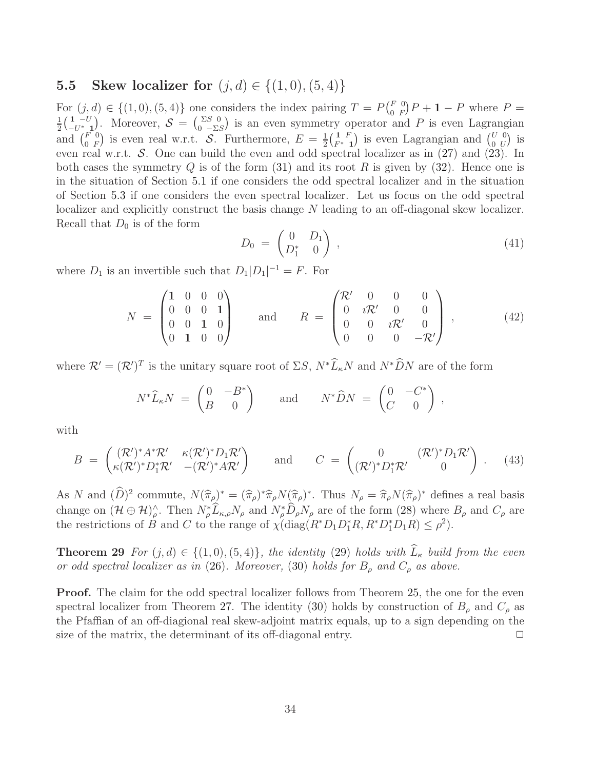### <span id="page-33-0"></span>**5.5** Skew localizer for  $(j, d) \in \{(1, 0), (5, 4)\}\$

For  $(j, d) \in \{(1, 0), (5, 4)\}\$  one considers the index pairing  $T = P\begin{pmatrix} F & 0 \\ 0 & F \end{pmatrix}$ For  $(j,d) \in \{(1,0), (5,4)\}$  one considers the index pairing  $T = P(\begin{bmatrix} F & 0 \\ 0 & F \end{bmatrix} P + 1 - P$  where  $P =$ <br> $\frac{1}{1} (1 - U)$  Moreover  $S = (\begin{bmatrix} \Sigma S & 0 \\ 0 & \Sigma \end{bmatrix})$  is an even symmetry operator and P is even Lagrangian  $\frac{1}{2} \left( \frac{1}{-U^*} \right)$  $\frac{1}{-U^*}$ . Moreover,  $S = \begin{pmatrix} \Sigma S & 0 \\ 0 & -\Sigma S \end{pmatrix}$  is an even symmetry operator and P is even Lagrangian and  $\binom{F}{0}$  $\begin{array}{c} F \ 0 \ F \end{array}$  is even real w.r.t. S. Furthermore,  $E = \frac{1}{2}$  $\frac{1}{2} \left( \frac{1}{F^*} F \right)$  $\begin{pmatrix} 1 & F \\ F^* & 1 \end{pmatrix}$  is even Lagrangian and  $\begin{pmatrix} U & 0 \\ 0 & U \end{pmatrix}$  $\begin{smallmatrix} U&0\0&U \end{smallmatrix}$  is even real w.r.t. S. One can build the even and odd spectral localizer as in  $(27)$  and  $(23)$ . In both cases the symmetry Q is of the form  $(31)$  and its root R is given by  $(32)$ . Hence one is in the situation of Section [5.1](#page-23-2) if one considers the odd spectral localizer and in the situation of Section [5.3](#page-28-0) if one considers the even spectral localizer. Let us focus on the odd spectral localizer and explicitly construct the basis change N leading to an off-diagonal skew localizer. Recall that  $D_0$  is of the form

<span id="page-33-1"></span>
$$
D_0 = \begin{pmatrix} 0 & D_1 \\ D_1^* & 0 \end{pmatrix}, \tag{41}
$$

where  $D_1$  is an invertible such that  $D_1|D_1|^{-1} = F$ . For

<span id="page-33-2"></span>
$$
N = \begin{pmatrix} 1 & 0 & 0 & 0 \\ 0 & 0 & 0 & 1 \\ 0 & 0 & 1 & 0 \\ 0 & 1 & 0 & 0 \end{pmatrix} \quad \text{and} \quad R = \begin{pmatrix} \mathcal{R}' & 0 & 0 & 0 \\ 0 & i\mathcal{R}' & 0 & 0 \\ 0 & 0 & i\mathcal{R}' & 0 \\ 0 & 0 & 0 & -\mathcal{R}' \end{pmatrix}, \quad (42)
$$

where  $\mathcal{R}' = (\mathcal{R}')^T$  is the unitary square root of  $\Sigma S$ ,  $N^* \widehat{L}_\kappa N$  and  $N^* \widehat{D} N$  are of the form

$$
N^*\widehat{L}_\kappa N = \begin{pmatrix} 0 & -B^* \\ B & 0 \end{pmatrix} \quad \text{and} \quad N^*\widehat{D}N = \begin{pmatrix} 0 & -C^* \\ C & 0 \end{pmatrix},
$$

with

<span id="page-33-3"></span>
$$
B = \begin{pmatrix} (\mathcal{R}')^* A^* \mathcal{R}' & \kappa(\mathcal{R}')^* D_1 \mathcal{R}' \\ \kappa(\mathcal{R}')^* D_1^* \mathcal{R}' & -(\mathcal{R}')^* A \mathcal{R}' \end{pmatrix} \quad \text{and} \quad C = \begin{pmatrix} 0 & (\mathcal{R}')^* D_1 \mathcal{R}' \\ (\mathcal{R}')^* D_1^* \mathcal{R}' & 0 \end{pmatrix} . \quad (43)
$$

As N and  $(\tilde{D})^2$  commute,  $N(\hat{\pi}_{\rho})^* = (\hat{\pi}_{\rho})^* \hat{\pi}_{\rho} N(\hat{\pi}_{\rho})^*$ . Thus  $N_{\rho} = \hat{\pi}_{\rho} N(\hat{\pi}_{\rho})^*$  defines a real basis change on  $(\mathcal{H} \oplus \mathcal{H})_\rho^\wedge$ . Then  $N_\rho^* \tilde{L}_{\kappa,\rho} N_\rho$  and  $N_\rho^* \tilde{D}_\rho N_\rho$  are of the form  $(28)$  where  $B_\rho$  and  $C_\rho$  are the restrictions of B and C to the range of  $\chi(\text{diag}(R^*D_1D_1^*R, R^*D_1^*D_1R) \le \rho^2)$ .

**Theorem 29** *For*  $(j, d) \in \{(1, 0), (5, 4)\}$ *, the identity* [\(29\)](#page-23-0) *holds with*  $\widehat{L}_{\kappa}$  *build from the even or odd spectral localizer as in* [\(26\)](#page-21-4). Moreover, [\(30\)](#page-23-6) holds for  $B_\rho$  and  $C_\rho$  as above.

Proof. The claim for the odd spectral localizer follows from Theorem [25,](#page-23-3) the one for the even spectral localizer from Theorem [27.](#page-28-2) The identity [\(30\)](#page-23-6) holds by construction of  $B_\rho$  and  $C_\rho$  as the Pfaffian of an off-diagional real skew-adjoint matrix equals, up to a sign depending on the size of the matrix, the determinant of its off-diagonal entry.  $\Box$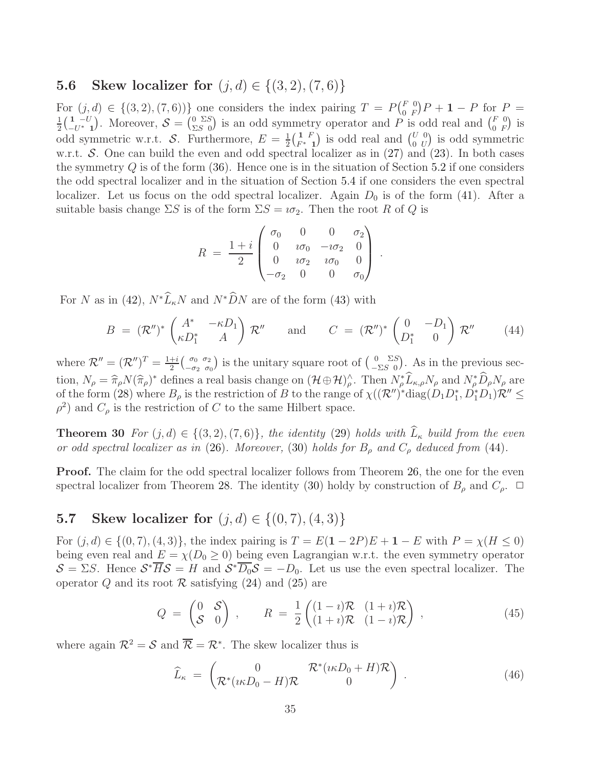### <span id="page-34-0"></span>**5.6** Skew localizer for  $(j, d) \in \{(3, 2), (7, 6)\}\$

For  $(j, d) \in \{(3, 2), (7, 6))\}$  one considers the index pairing  $T = P\begin{pmatrix} F & 0 \\ 0 & F \end{pmatrix}$ For  $(j,d) \in \{(3,2),(7,6)\}$  one considers the index pairing  $T = P(\begin{bmatrix} F & 0 \\ 0 & F \end{bmatrix}P + 1 - P$  for  $P =$ <br> $\frac{1}{1}(\begin{bmatrix} 1 & -U \end{bmatrix})$ . Moreover,  $S = \begin{bmatrix} 0 & \Sigma S \end{bmatrix}$  is an odd symmetry operator and P is odd real and  $\begin{bmatrix} F & 0 \end$  $\frac{1}{2} \left( \frac{1}{-U^*}U \right)$  $\begin{bmatrix} 1 & -U \\ -U^* & 1 \end{bmatrix}$ . Moreover,  $S = \begin{bmatrix} 0 & \Sigma S \\ \Sigma S & 0 \end{bmatrix}$  $\frac{0}{\Sigma S}$  is an odd symmetry operator and P is odd real and  $\binom{F}{0}$  $\begin{pmatrix} F & 0 \\ 0 & F \end{pmatrix}$  is odd symmetric w.r.t. S. Furthermore,  $E = \frac{1}{2}$  $\frac{1}{2} \Big( \frac{1}{F^*} F$  $\begin{pmatrix} 1 & F \\ F^* & 1 \end{pmatrix}$  is odd real and  $\begin{pmatrix} U & 0 \\ 0 & U \end{pmatrix}$  $\begin{pmatrix} U & 0 \\ 0 & U \end{pmatrix}$  is odd symmetric w.r.t.  $\mathcal{S}$ . One can build the even and odd spectral localizer as in [\(27\)](#page-21-5) and [\(23\)](#page-20-2). In both cases the symmetry  $Q$  is of the form [\(36\)](#page-27-1). Hence one is in the situation of Section [5.2](#page-27-2) if one considers the odd spectral localizer and in the situation of Section [5.4](#page-31-0) if one considers the even spectral localizer. Let us focus on the odd spectral localizer. Again  $D_0$  is of the form [\(41\)](#page-33-1). After a suitable basis change  $\Sigma S$  is of the form  $\Sigma S = i\sigma_2$ . Then the root R of Q is

$$
R = \frac{1+i}{2} \begin{pmatrix} \sigma_0 & 0 & 0 & \sigma_2 \\ 0 & i\sigma_0 & -i\sigma_2 & 0 \\ 0 & i\sigma_2 & i\sigma_0 & 0 \\ -\sigma_2 & 0 & 0 & \sigma_0 \end{pmatrix}.
$$

For N as in [\(42\)](#page-33-2),  $N^*\widehat{L}_kN$  and  $N^*\widehat{D}N$  are of the form [\(43\)](#page-33-3) with

<span id="page-34-3"></span>
$$
B = (\mathcal{R}'')^* \begin{pmatrix} A^* & -\kappa D_1 \\ \kappa D_1^* & A \end{pmatrix} \mathcal{R}'' \quad \text{and} \quad C = (\mathcal{R}'')^* \begin{pmatrix} 0 & -D_1 \\ D_1^* & 0 \end{pmatrix} \mathcal{R}'' \qquad (44)
$$

where  $\mathcal{R}'' = (\mathcal{R}'')^T = \frac{1+i}{2}$  $\frac{+i}{2}\begin{pmatrix} \sigma_0 & \sigma_2 \\ -\sigma_2 & \sigma_0 \end{pmatrix}$  $\begin{pmatrix} \sigma_0 & \sigma_2 \\ -\sigma_2 & \sigma_0 \end{pmatrix}$  is the unitary square root of  $\begin{pmatrix} 0 & \Sigma S \\ -\Sigma S & 0 \end{pmatrix}$  $\frac{0}{-\Sigma S} \sum_{i=0}^{\infty}$ . As in the previous section,  $N_{\rho} = \hat{\pi}_{\rho} N(\hat{\pi}_{\rho})^*$  defines a real basis change on  $(\mathcal{H} \oplus \mathcal{H})^{\wedge}_{\rho}$ . Then  $N_{\rho}^* \hat{L}_{\kappa,\rho} N_{\rho}$  and  $N_{\rho}^* \hat{D}_{\rho} N_{\rho}$  are of the form [\(28\)](#page-22-0) where  $B_\rho$  is the restriction of B to the range of  $\chi((\mathcal{R}'')^*diag(D_1D_1^*, D_1^*D_1)\mathcal{R}'' \leq$  $\rho^2$ ) and  $C_\rho$  is the restriction of C to the same Hilbert space.

**Theorem 30** *For*  $(j, d) \in \{(3, 2), (7, 6)\}$ *, the identity* [\(29\)](#page-23-0) *holds with*  $\widehat{L}_{\kappa}$  *build from the even or odd spectral localizer as in* [\(26\)](#page-21-4)*. Moreover,* [\(30\)](#page-23-6) *holds for*  $B_{\rho}$  *and*  $C_{\rho}$  *deduced from* [\(44\)](#page-34-3)*.* 

Proof. The claim for the odd spectral localizer follows from Theorem [26,](#page-27-3) the one for the even spectral localizer from Theorem [28.](#page-31-1) The identity [\(30\)](#page-23-6) holdy by construction of  $B_\rho$  and  $C_\rho$ .  $\Box$ 

## <span id="page-34-1"></span>5.7 Skew localizer for  $(j, d) \in \{(0, 7), (4, 3)\}\$

For  $(j, d) \in \{(0, 7), (4, 3)\}\$ , the index pairing is  $T = E(1 - 2P)E + 1 - E$  with  $P = \chi(H \le 0)$ being even real and  $E = \chi(D_0 \ge 0)$  being even Lagrangian w.r.t. the even symmetry operator  $\mathcal{S} = \Sigma S$ . Hence  $\mathcal{S}^* \overline{H} \mathcal{S} = H$  and  $\mathcal{S}^* \overline{D_0} \mathcal{S} = -D_0$ . Let us use the even spectral localizer. The operator Q and its root  $\mathcal R$  satisfying [\(24\)](#page-21-1) and [\(25\)](#page-21-2) are

<span id="page-34-2"></span>
$$
Q = \begin{pmatrix} 0 & \mathcal{S} \\ \mathcal{S} & 0 \end{pmatrix} \,, \qquad R = \frac{1}{2} \begin{pmatrix} (1-i)\mathcal{R} & (1+i)\mathcal{R} \\ (1+i)\mathcal{R} & (1-i)\mathcal{R} \end{pmatrix} \,, \tag{45}
$$

where again  $\mathcal{R}^2 = \mathcal{S}$  and  $\overline{\mathcal{R}} = \mathcal{R}^*$ . The skew localizer thus is

<span id="page-34-4"></span>
$$
\widehat{L}_{\kappa} = \begin{pmatrix} 0 & \mathcal{R}^*(\iota\kappa D_0 + H)\mathcal{R} \\ \mathcal{R}^*(\iota\kappa D_0 - H)\mathcal{R} & 0 \end{pmatrix} . \tag{46}
$$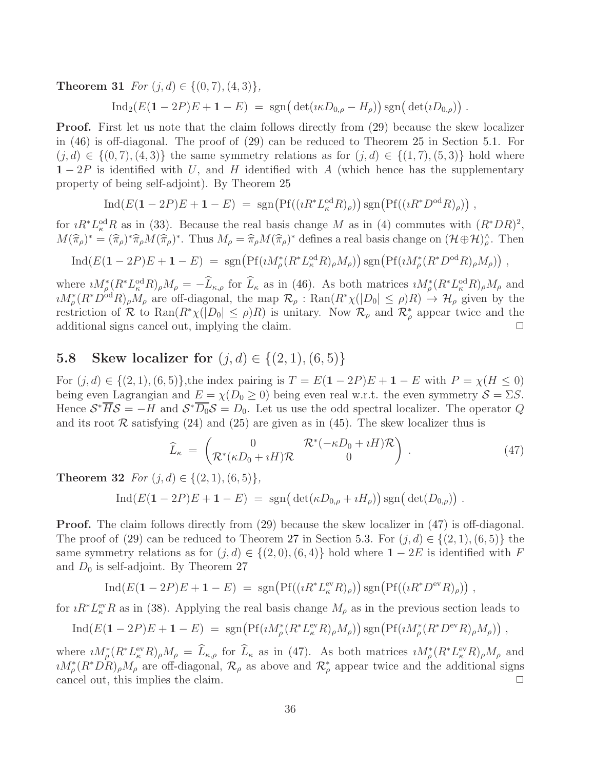**Theorem 31** *For*  $(i, d) \in \{(0, 7), (4, 3)\},\$ 

 $\text{Ind}_2(E(1 - 2P)E + 1 - E) = \text{sgn}(\det(i \kappa D_{0,\rho} - H_{\rho})) \text{sgn}(\det(i D_{0,\rho}))$ .

Proof. First let us note that the claim follows directly from [\(29\)](#page-23-0) because the skew localizer in [\(46\)](#page-34-4) is off-diagonal. The proof of [\(29\)](#page-23-0) can be reduced to Theorem [25](#page-23-3) in Section [5.1.](#page-23-2) For  $(j, d) \in \{(0, 7), (4, 3)\}\$ the same symmetry relations as for  $(j, d) \in \{(1, 7), (5, 3)\}\$ hold where  $1 - 2P$  is identified with U, and H identified with A (which hence has the supplementary property of being self-adjoint). By Theorem [25](#page-23-3)

$$
\operatorname{Ind}(E(\mathbf{1}-2P)E+\mathbf{1}-E) = \operatorname{sgn}\left(\operatorname{Pf}((\imath R^*L_{\kappa}^{\text{od}}R)_{\rho})\right)\operatorname{sgn}\left(\operatorname{Pf}((\imath R^*D^{\text{od}}R)_{\rho})\right),
$$

for  $iR^*L_{\kappa}^{\text{od}}R$  as in [\(33\)](#page-23-1). Because the real basis change M as in [\(4\)](#page-3-1) commutes with  $(R^*DR)^2$ ,  $M(\hat{\pi}_{\rho})^* = (\hat{\pi}_{\rho})^* \hat{\pi}_{\rho} M(\hat{\pi}_{\rho})^*$ . Thus  $M_{\rho} = \hat{\pi}_{\rho} M(\hat{\pi}_{\rho})^*$  defines a real basis change on  $(\mathcal{H} \oplus \mathcal{H})^{\wedge}_{\rho}$ . Then

$$
\operatorname{Ind}(E(\mathbf{1}-2P)E+\mathbf{1}-E) = \operatorname{sgn}\left(\operatorname{Pf}(iM^*_{\rho}(R^*L^{\text{od}}_{\kappa}R)_{\rho}M_{\rho})\right)\operatorname{sgn}\left(\operatorname{Pf}(iM^*_{\rho}(R^*D^{\text{od}}R)_{\rho}M_{\rho})\right),
$$

where  $iM_{\rho}^*(R^*L_{\kappa}^{\text{od}}R)_{\rho}M_{\rho} = -\tilde{L}_{\kappa,\rho}$  for  $\tilde{L}_{\kappa}$  as in [\(46\)](#page-34-4). As both matrices  $iM_{\rho}^*(R^*L_{\kappa}^{\text{od}}R)_{\rho}M_{\rho}$  and  $iM_{\rho}^*(R^*D^{od}R)_{\rho}M_{\rho}$  are off-diagonal, the map  $\mathcal{R}_{\rho}: \text{Ran}(R^*\chi(|D_0| \le \rho)R) \to \mathcal{H}_{\rho}$  given by the restriction of R to  $\text{Ran}(R^*\chi(|D_0| \le \rho)R)$  is unitary. Now  $\mathcal{R}_{\rho}$  and  $\mathcal{R}_{\rho}^*$  appear twice and the additional signs cancel out, implying the claim.  $\Box$ 

## <span id="page-35-0"></span>5.8 Skew localizer for  $(j, d) \in \{(2, 1), (6, 5)\}\$

For  $(j, d) \in \{(2, 1), (6, 5)\}\$ , the index pairing is  $T = E(1 - 2P)E + 1 - E$  with  $P = \chi(H \le 0)$ being even Lagrangian and  $E = \chi(D_0 \ge 0)$  being even real w.r.t. the even symmetry  $S = \Sigma S$ . Hence  $S^* \overline{H} S = -H$  and  $S^* \overline{D_0} S = D_0$ . Let us use the odd spectral localizer. The operator Q and its root  $\mathcal R$  satisfying [\(24\)](#page-21-1) and [\(25\)](#page-21-2) are given as in [\(45\)](#page-34-2). The skew localizer thus is

<span id="page-35-1"></span>
$$
\widehat{L}_{\kappa} = \begin{pmatrix} 0 & \mathcal{R}^*(-\kappa D_0 + iH)\mathcal{R} \\ \mathcal{R}^*(\kappa D_0 + iH)\mathcal{R} & 0 \end{pmatrix} . \tag{47}
$$

**Theorem 32** *For*  $(j, d) \in \{(2, 1), (6, 5)\},\$ 

$$
Ind(E(1-2P)E + 1 - E) = sgn(det(\kappa D_{0,\rho} + iH_{\rho})) sgn(det(D_{0,\rho})) .
$$

Proof. The claim follows directly from [\(29\)](#page-23-0) because the skew localizer in [\(47\)](#page-35-1) is off-diagonal. The proof of [\(29\)](#page-23-0) can be reduced to Theorem [27](#page-28-2) in Section [5.3.](#page-28-0) For  $(j, d) \in \{(2, 1), (6, 5)\}\$  the same symmetry relations as for  $(j, d) \in \{(2, 0), (6, 4)\}\$ hold where  $1 - 2E$  is identified with F and  $D_0$  is self-adjoint. By Theorem [27](#page-28-2)

$$
\operatorname{Ind}(E(\mathbf{1}-2P)E+\mathbf{1}-E) = \operatorname{sgn}(\operatorname{Pf}((iR^*L_{\kappa}^{\operatorname{ev}}R)_{\rho})) \operatorname{sgn}(\operatorname{Pf}((iR^*D^{\operatorname{ev}}R)_{\rho})) ,
$$

for  $iR^*L_{\kappa}^{\text{ev}}R$  as in [\(38\)](#page-28-1). Applying the real basis change  $M_{\rho}$  as in the previous section leads to

$$
\text{Ind}(E(\mathbf{1}-2P)E+\mathbf{1}-E) = \text{sgn}(\text{Pf}(\imath M^*_{\rho}(R^*L^{\text{ev}}_{\kappa}R)_{\rho}M_{\rho})) \text{sgn}(\text{Pf}(\imath M^*_{\rho}(R^*D^{\text{ev}}R)_{\rho}M_{\rho})) ,
$$

where  $iM^*_{\rho}(R^*L^{\text{ev}}_{\kappa}R)_{\rho}M_{\rho} = \tilde{L}_{\kappa,\rho}$  for  $\tilde{L}_{\kappa}$  as in [\(47\)](#page-35-1). As both matrices  $iM^*_{\rho}(R^*L^{\text{ev}}_{\kappa}R)_{\rho}M_{\rho}$  and  $\imath M_{\rho}^{*}(R^{*}DR)_{\rho}M_{\rho}$  are off-diagonal,  $\mathcal{R}_{\rho}$  as above and  $\mathcal{R}_{\rho}^{*}$  appear twice and the additional signs cancel out, this implies the claim.  $\Box$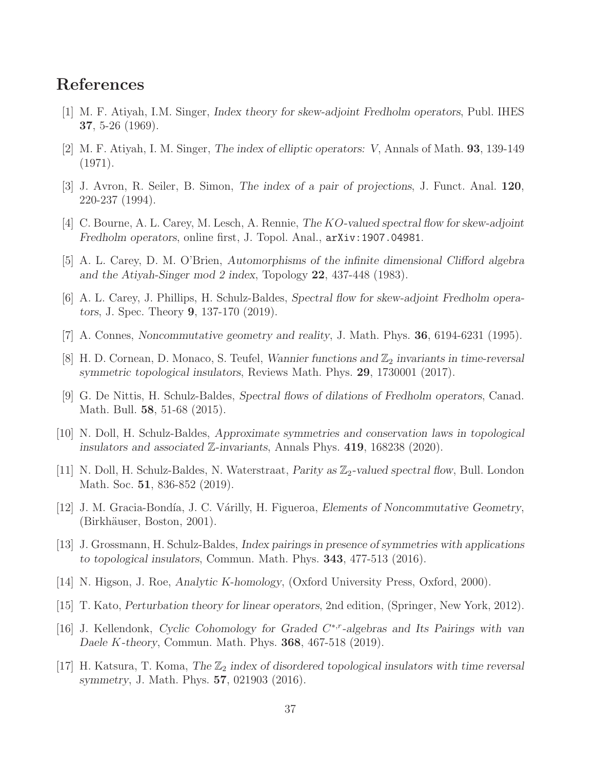## <span id="page-36-0"></span>References

- <span id="page-36-1"></span>[1] M. F. Atiyah, I.M. Singer, Index theory for skew-adjoint Fredholm operators, Publ. IHES 37, 5-26 (1969).
- <span id="page-36-14"></span>[2] M. F. Atiyah, I. M. Singer, The index of elliptic operators: V, Annals of Math. 93, 139-149 (1971).
- <span id="page-36-6"></span>[3] J. Avron, R. Seiler, B. Simon, The index of a pair of projections, J. Funct. Anal. 120, 220-237 (1994).
- [4] C. Bourne, A. L. Carey, M. Lesch, A. Rennie, The KO-valued spectral flow for skew-adjoint Fredholm operators, online first, J. Topol. Anal., arXiv:1907.04981.
- <span id="page-36-9"></span>[5] A. L. Carey, D. M. O'Brien, Automorphisms of the infinite dimensional Clifford algebra and the Atiyah-Singer mod 2 index, Topology 22, 437-448 (1983).
- <span id="page-36-12"></span>[6] A. L. Carey, J. Phillips, H. Schulz-Baldes, Spectral flow for skew-adjoint Fredholm operators, J. Spec. Theory 9, 137-170 (2019).
- <span id="page-36-2"></span>[7] A. Connes, Noncommutative geometry and reality, J. Math. Phys. 36, 6194-6231 (1995).
- <span id="page-36-8"></span>[8] H. D. Cornean, D. Monaco, S. Teufel, Wannier functions and  $\mathbb{Z}_2$  invariants in time-reversal symmetric topological insulators, Reviews Math. Phys. 29, 1730001 (2017).
- [9] G. De Nittis, H. Schulz-Baldes, Spectral flows of dilations of Fredholm operators, Canad. Math. Bull. 58, 51-68 (2015).
- <span id="page-36-10"></span><span id="page-36-7"></span>[10] N. Doll, H. Schulz-Baldes, Approximate symmetries and conservation laws in topological insulators and associated Z-invariants, Annals Phys. 419, 168238 (2020).
- [11] N. Doll, H. Schulz-Baldes, N. Waterstraat, Parity as  $\mathbb{Z}_2$ -valued spectral flow, Bull. London Math. Soc. 51, 836-852 (2019).
- <span id="page-36-11"></span>[12] J. M. Gracia-Bondía, J. C. Várilly, H. Figueroa, *Elements of Noncommutative Geometry*, (Birkhäuser, Boston, 2001).
- <span id="page-36-3"></span>[13] J. Grossmann, H. Schulz-Baldes, Index pairings in presence of symmetries with applications to topological insulators, Commun. Math. Phys. 343, 477-513 (2016).
- <span id="page-36-15"></span><span id="page-36-13"></span>[14] N. Higson, J. Roe, Analytic K-homology, (Oxford University Press, Oxford, 2000).
- <span id="page-36-5"></span>[15] T. Kato, Perturbation theory for linear operators, 2nd edition, (Springer, New York, 2012).
- [16] J. Kellendonk, Cyclic Cohomology for Graded C<sup>\*,r</sup>-algebras and Its Pairings with van Daele K-theory, Commun. Math. Phys. 368, 467-518 (2019).
- <span id="page-36-4"></span>[17] H. Katsura, T. Koma, The  $\mathbb{Z}_2$  index of disordered topological insulators with time reversal symmetry, J. Math. Phys. 57, 021903 (2016).